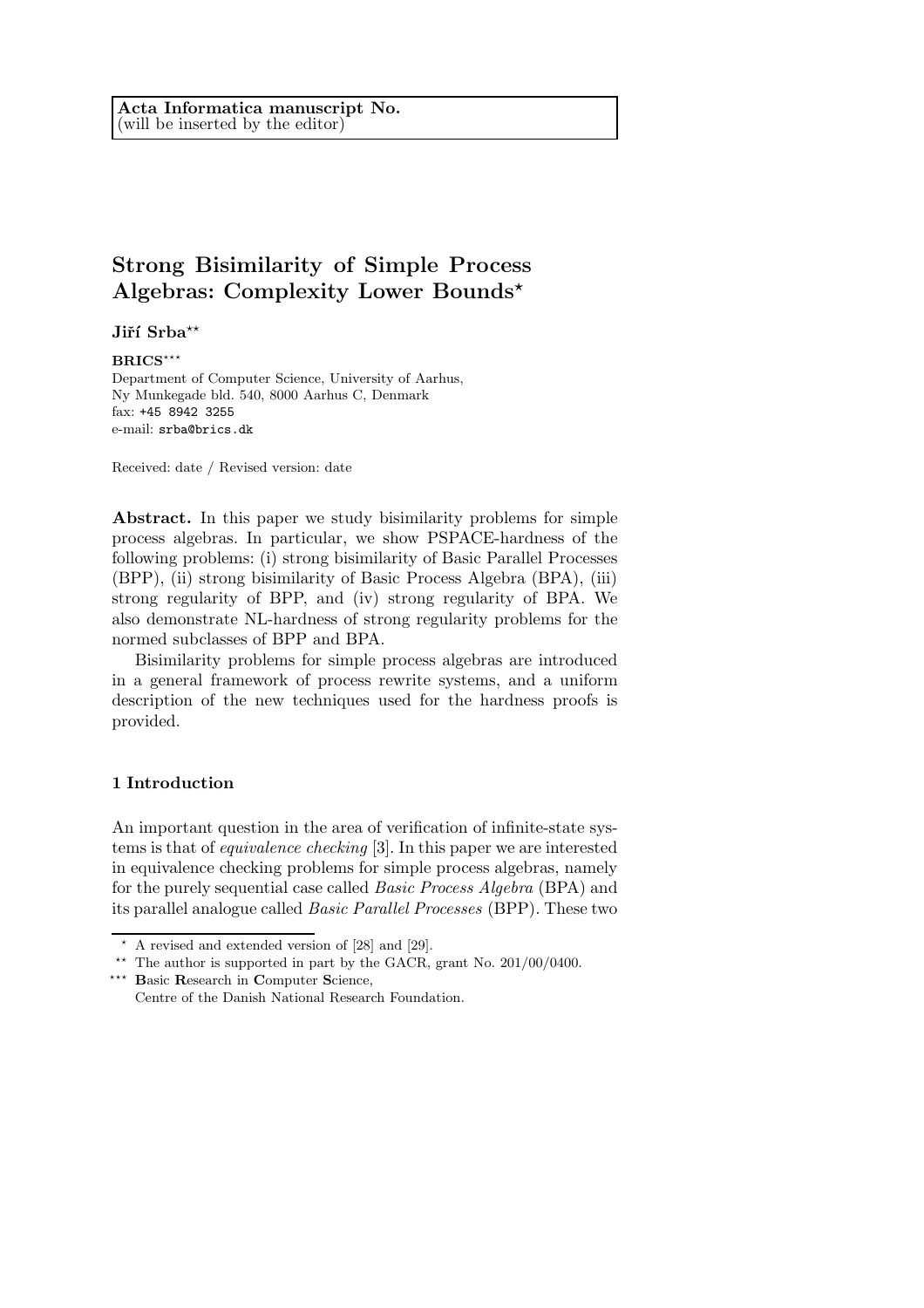# **Strong Bisimilarity of Simple Process Algebras: Complexity Lower Bounds***?*

Jiří Srba<sup>\*\*</sup>

### **BRICS**\*\*\*

Department of Computer Science, University of Aarhus, Ny Munkegade bld. 540, 8000 Aarhus C, Denmark fax: +45 8942 3255 e-mail: srba@brics.dk

Received: date / Revised version: date

**Abstract.** In this paper we study bisimilarity problems for simple process algebras. In particular, we show PSPACE-hardness of the following problems: (i) strong bisimilarity of Basic Parallel Processes (BPP), (ii) strong bisimilarity of Basic Process Algebra (BPA), (iii) strong regularity of BPP, and (iv) strong regularity of BPA. We also demonstrate NL-hardness of strong regularity problems for the normed subclasses of BPP and BPA.

Bisimilarity problems for simple process algebras are introduced in a general framework of process rewrite systems, and a uniform description of the new techniques used for the hardness proofs is provided.

### **1 Introduction**

An important question in the area of verification of infinite-state systems is that of *equivalence checking* [3]. In this paper we are interested in equivalence checking problems for simple process algebras, namely for the purely sequential case called *Basic Process Algebra* (BPA) and its parallel analogue called *Basic Parallel Processes* (BPP). These two

 $\star$  A revised and extended version of [28] and [29].

<sup>\*\*</sup> The author is supported in part by the GACR, grant No.  $201/00/0400$ .

<sup>???</sup> **B**asic **R**esearch in **C**omputer **S**cience,

Centre of the Danish National Research Foundation.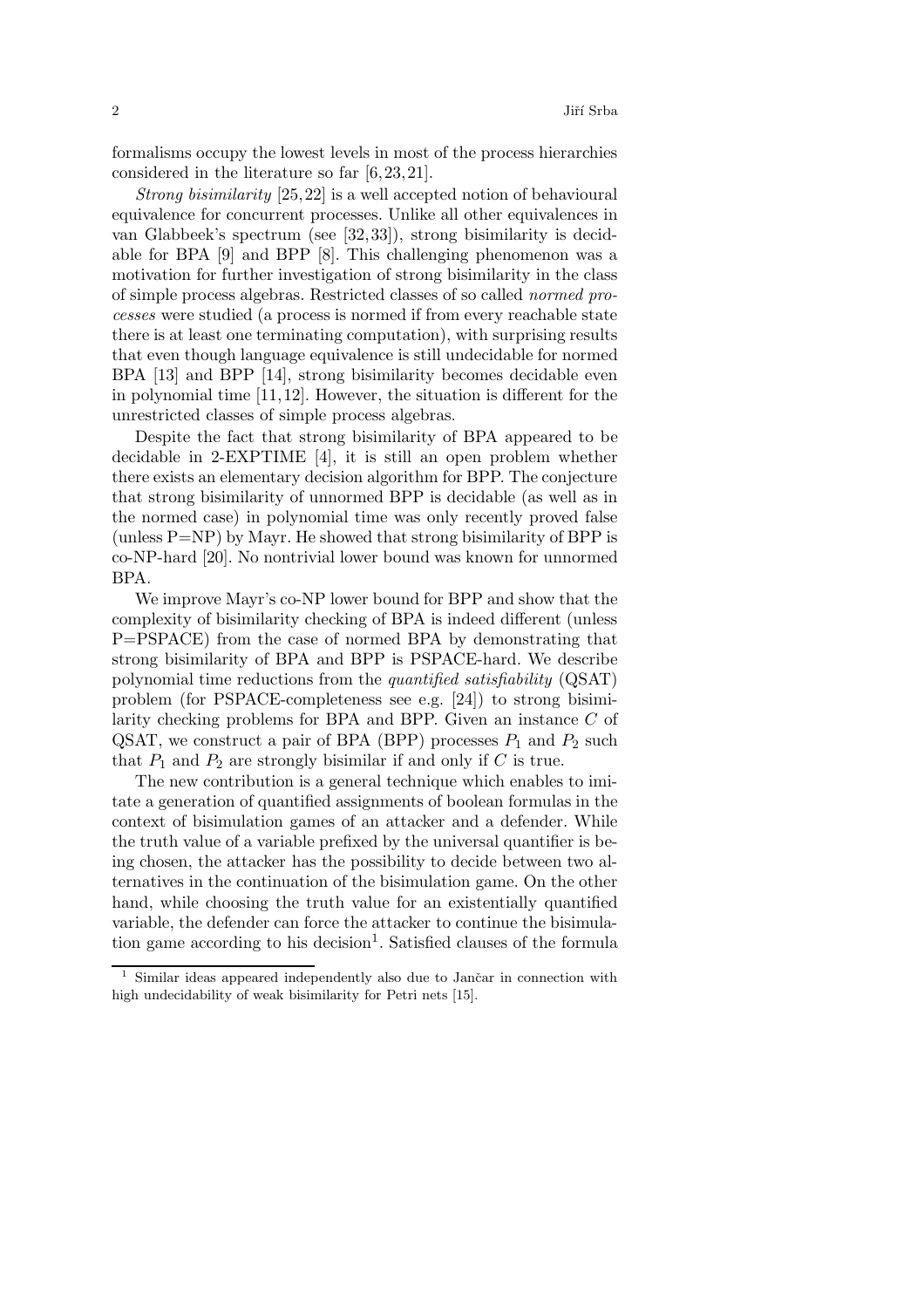formalisms occupy the lowest levels in most of the process hierarchies considered in the literature so far  $[6,23,21]$ .

*Strong bisimilarity* [25,22] is a well accepted notion of behavioural equivalence for concurrent processes. Unlike all other equivalences in van Glabbeek's spectrum (see [32,33]), strong bisimilarity is decidable for BPA [9] and BPP [8]. This challenging phenomenon was a motivation for further investigation of strong bisimilarity in the class of simple process algebras. Restricted classes of so called *normed processes* were studied (a process is normed if from every reachable state there is at least one terminating computation), with surprising results that even though language equivalence is still undecidable for normed BPA [13] and BPP [14], strong bisimilarity becomes decidable even in polynomial time  $[11,12]$ . However, the situation is different for the unrestricted classes of simple process algebras.

Despite the fact that strong bisimilarity of BPA appeared to be decidable in 2-EXPTIME [4], it is still an open problem whether there exists an elementary decision algorithm for BPP. The conjecture that strong bisimilarity of unnormed BPP is decidable (as well as in the normed case) in polynomial time was only recently proved false (unless  $P=NP$ ) by Mayr. He showed that strong bisimilarity of BPP is co-NP-hard [20]. No nontrivial lower bound was known for unnormed BPA.

We improve Mayr's co-NP lower bound for BPP and show that the complexity of bisimilarity checking of BPA is indeed different (unless P=PSPACE) from the case of normed BPA by demonstrating that strong bisimilarity of BPA and BPP is PSPACE-hard. We describe polynomial time reductions from the *quantified satisfiability* (QSAT) problem (for PSPACE-completeness see e.g. [24]) to strong bisimilarity checking problems for BPA and BPP. Given an instance C of QSAT, we construct a pair of BPA (BPP) processes  $P_1$  and  $P_2$  such that  $P_1$  and  $P_2$  are strongly bisimilar if and only if C is true.

The new contribution is a general technique which enables to imitate a generation of quantified assignments of boolean formulas in the context of bisimulation games of an attacker and a defender. While the truth value of a variable prefixed by the universal quantifier is being chosen, the attacker has the possibility to decide between two alternatives in the continuation of the bisimulation game. On the other hand, while choosing the truth value for an existentially quantified variable, the defender can force the attacker to continue the bisimulation game according to his decision<sup>1</sup>. Satisfied clauses of the formula

 $1$  Similar ideas appeared independently also due to Jančar in connection with high undecidability of weak bisimilarity for Petri nets [15].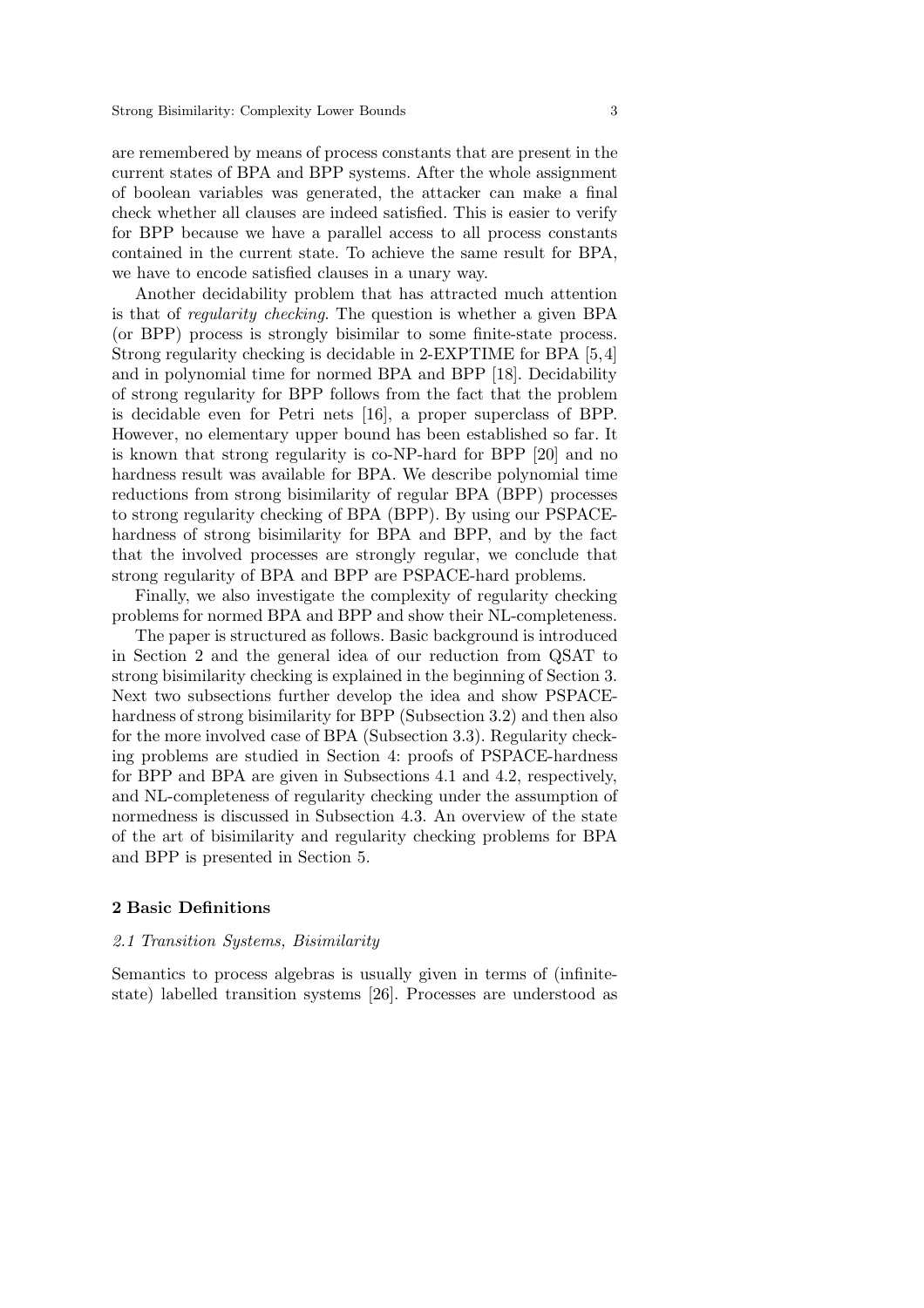are remembered by means of process constants that are present in the current states of BPA and BPP systems. After the whole assignment of boolean variables was generated, the attacker can make a final check whether all clauses are indeed satisfied. This is easier to verify for BPP because we have a parallel access to all process constants contained in the current state. To achieve the same result for BPA, we have to encode satisfied clauses in a unary way.

Another decidability problem that has attracted much attention is that of *regularity checking*. The question is whether a given BPA (or BPP) process is strongly bisimilar to some finite-state process. Strong regularity checking is decidable in 2-EXPTIME for BPA [5,4] and in polynomial time for normed BPA and BPP [18]. Decidability of strong regularity for BPP follows from the fact that the problem is decidable even for Petri nets [16], a proper superclass of BPP. However, no elementary upper bound has been established so far. It is known that strong regularity is co-NP-hard for BPP [20] and no hardness result was available for BPA. We describe polynomial time reductions from strong bisimilarity of regular BPA (BPP) processes to strong regularity checking of BPA (BPP). By using our PSPACEhardness of strong bisimilarity for BPA and BPP, and by the fact that the involved processes are strongly regular, we conclude that strong regularity of BPA and BPP are PSPACE-hard problems.

Finally, we also investigate the complexity of regularity checking problems for normed BPA and BPP and show their NL-completeness.

The paper is structured as follows. Basic background is introduced in Section 2 and the general idea of our reduction from QSAT to strong bisimilarity checking is explained in the beginning of Section 3. Next two subsections further develop the idea and show PSPACEhardness of strong bisimilarity for BPP (Subsection 3.2) and then also for the more involved case of BPA (Subsection 3.3). Regularity checking problems are studied in Section 4: proofs of PSPACE-hardness for BPP and BPA are given in Subsections 4.1 and 4.2, respectively, and NL-completeness of regularity checking under the assumption of normedness is discussed in Subsection 4.3. An overview of the state of the art of bisimilarity and regularity checking problems for BPA and BPP is presented in Section 5.

# **2 Basic Definitions**

# *2.1 Transition Systems, Bisimilarity*

Semantics to process algebras is usually given in terms of (infinitestate) labelled transition systems [26]. Processes are understood as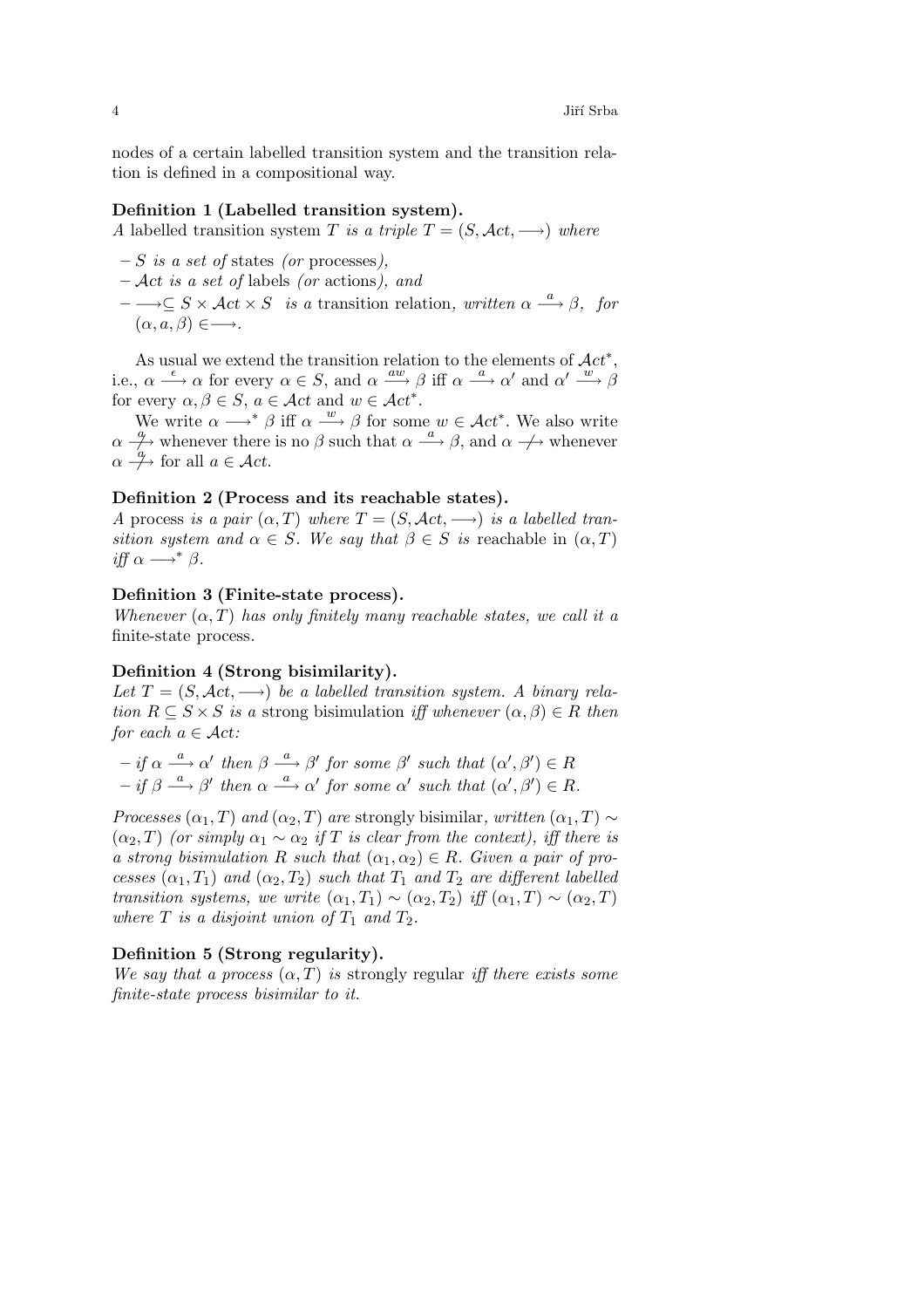nodes of a certain labelled transition system and the transition relation is defined in a compositional way.

# **Definition 1 (Labelled transition system).**

*A* labelled transition system T *is a triple*  $T = (S, \mathcal{A}ct, \rightarrow)$  *where* 

- **–** S *is a set of* states *(or* processes*),*
- **–** Act *is a set of* labels *(or* actions*), and*
- $-\rightarrow\subseteq S\times \mathcal{A}ct\times S$  *is a* transition relation, written  $\alpha \stackrel{a}{\longrightarrow} \beta$ , for  $(\alpha, a, \beta) \in \longrightarrow$ *.*

As usual we extend the transition relation to the elements of  $\mathcal{A}ct^*$ , i.e.,  $\alpha \stackrel{\epsilon}{\longrightarrow} \alpha$  for every  $\alpha \in S$ , and  $\alpha \stackrel{aw}{\longrightarrow} \beta$  iff  $\alpha \stackrel{a}{\longrightarrow} \alpha'$  and  $\alpha' \stackrel{w}{\longrightarrow} \beta$ for every  $\alpha, \beta \in S$ ,  $a \in \mathcal{A}ct$  and  $w \in \mathcal{A}ct^*$ .

We write  $\alpha \longrightarrow^* \beta$  iff  $\alpha \stackrel{w}{\longrightarrow} \beta$  for some  $w \in \mathcal{A}ct^*$ . We also write  $\alpha \stackrel{a}{\rightarrow} \phi$  whenever there is no  $\beta$  such that  $\alpha \stackrel{a}{\rightarrow} \beta$ , and  $\alpha \stackrel{a}{\rightarrow} \phi$  whenever  $\alpha \stackrel{a}{\rightarrow}$  for all  $a \in \mathcal{A}ct$ .

# **Definition 2 (Process and its reachable states).**

*A* process *is a pair*  $(\alpha, T)$  *where*  $T = (S, \mathcal{A}ct, \rightarrow)$  *is a labelled transition system and*  $\alpha \in S$ *. We say that*  $\beta \in S$  *is* reachable in  $(\alpha, T)$ *iff*  $\alpha \longrightarrow^* \beta$ .

### **Definition 3 (Finite-state process).**

*Whenever*  $(\alpha, T)$  *has only finitely many reachable states, we call it a* finite-state process*.*

# **Definition 4 (Strong bisimilarity).**

Let  $T = (S, \mathcal{A}ct, \longrightarrow)$  *be a labelled transition system.* A *binary relation*  $R \subseteq S \times S$  *is a* strong bisimulation *iff whenever*  $(\alpha, \beta) \in R$  *then for each*  $a \in \mathcal{A}ct$ *:* 

- $-$  *if*  $\alpha \stackrel{a}{\longrightarrow} \alpha'$  *then*  $\beta \stackrel{a}{\longrightarrow} \beta'$  *for some*  $\beta'$  *such that*  $(\alpha', \beta') \in R$  $- if \beta \stackrel{a}{\longrightarrow} \beta' then \alpha \stackrel{a}{\longrightarrow} \alpha' for some \alpha' such that (\alpha', \beta') \in R.$
- *Processes*  $(\alpha_1, T)$  *and*  $(\alpha_2, T)$  *are* strongly bisimilar, written  $(\alpha_1, T) \sim$  $(\alpha_2, T)$  *(or simply*  $\alpha_1 \sim \alpha_2$  *if* T *is clear from the context), iff there is a strong bisimulation* R *such that*  $(\alpha_1, \alpha_2) \in R$ *. Given a pair of processes*  $(\alpha_1, T_1)$  *and*  $(\alpha_2, T_2)$  *such that*  $T_1$  *and*  $T_2$  *are different labelled transition systems, we write*  $(\alpha_1, T_1) \sim (\alpha_2, T_2)$  *iff*  $(\alpha_1, T) \sim (\alpha_2, T)$ *where*  $T$  *is a disjoint union of*  $T_1$  *and*  $T_2$ *.*

### **Definition 5 (Strong regularity).**

*We say that a process*  $(\alpha, T)$  *is* strongly regular *iff there exists some finite-state process bisimilar to it.*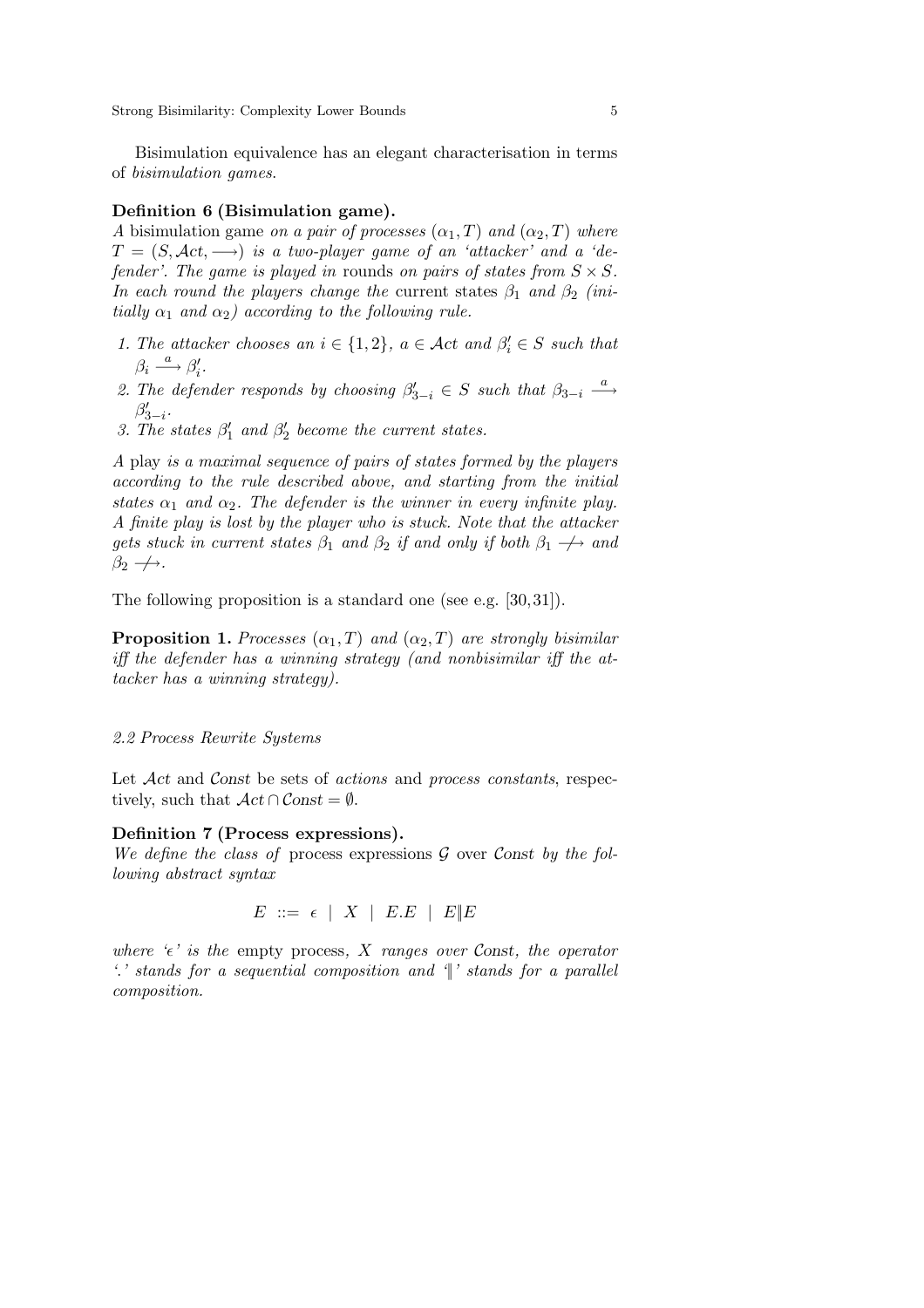Bisimulation equivalence has an elegant characterisation in terms of *bisimulation games*.

### **Definition 6 (Bisimulation game).**

*A* bisimulation game *on a pair of processes*  $(\alpha_1, T)$  *and*  $(\alpha_2, T)$  *where*  $T = (S, \text{Act}, \rightarrow)$  *is a two-player game of an 'attacker' and a 'defender'. The game is played in* rounds *on pairs of states from*  $S \times S$ *. In each round the players change the* current states  $\beta_1$  *and*  $\beta_2$  *(initially*  $\alpha_1$  *and*  $\alpha_2$ *) according to the following rule.* 

- *1. The attacker chooses an*  $i \in \{1, 2\}$ ,  $a \in \mathcal{A}$ ct and  $\beta_i' \in S$  such that  $\beta_i \stackrel{a}{\longrightarrow} \beta'_i.$
- 2. The defender responds by choosing  $\beta'_{3-i} \in S$  such that  $\beta_{3-i} \stackrel{a}{\longrightarrow}$  $\beta'_{3-i}$ .
- 3. The states  $\beta'_1$  and  $\beta'_2$  become the current states.

*A* play *is a maximal sequence of pairs of states formed by the players according to the rule described above, and starting from the initial states*  $\alpha_1$  *and*  $\alpha_2$ *. The defender is the winner in every infinite play. A finite play is lost by the player who is stuck. Note that the attacker gets stuck in current states*  $\beta_1$  *and*  $\beta_2$  *if and only if both*  $\beta_1 \rightarrow$  *and*  $\beta_2 \rightarrow$ .

The following proposition is a standard one (see e.g. [30,31]).

**Proposition 1.** *Processes*  $(\alpha_1, T)$  *and*  $(\alpha_2, T)$  *are strongly bisimilar iff the defender has a winning strategy (and nonbisimilar iff the attacker has a winning strategy).*

# *2.2 Process Rewrite Systems*

Let Act and Const be sets of *actions* and *process constants*, respectively, such that  $\mathcal{A}ct \cap \mathcal{C}onst = \emptyset$ .

### **Definition 7 (Process expressions).**

*We define the class of* process expressions G over Const *by the following abstract syntax*

 $E \ ::= \epsilon \mid X \mid E.E \mid E \parallel E$ 

*where*  $\epsilon'$  *is the empty process, X ranges over Const, the operator '*.*' stands for a sequential composition and '*||*' stands for a parallel composition.*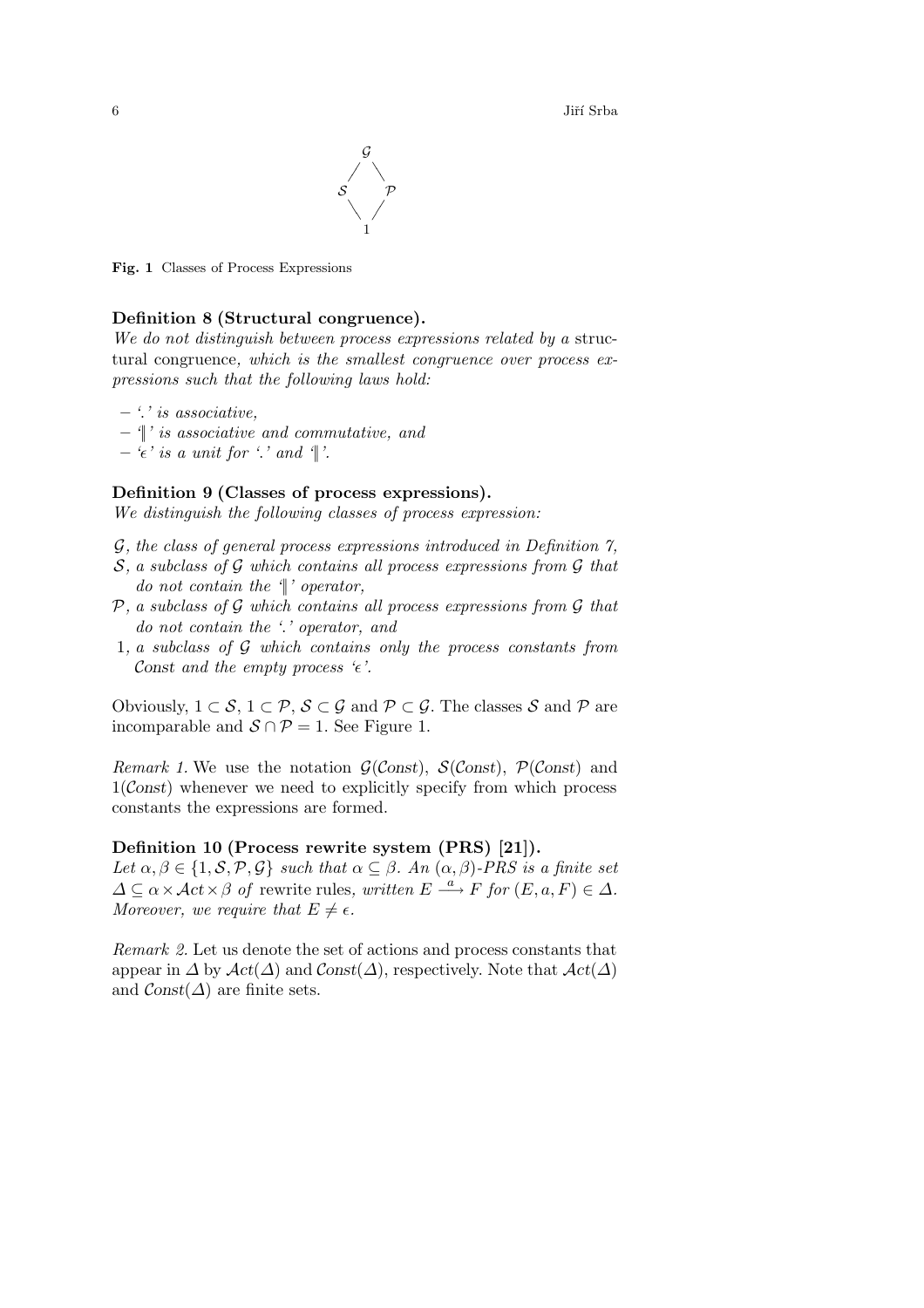$\frac{1}{2}$  Jiří Srba



**Fig. 1** Classes of Process Expressions

# **Definition 8 (Structural congruence).**

*We do not distinguish between process expressions related by a* structural congruence*, which is the smallest congruence over process expressions such that the following laws hold:*

- **–** *'*.*' is associative,*
- **–** *'*||*' is associative and commutative, and*
- $\epsilon$ <sup>*'*</sup> *is a unit for '.' and '*|'.

# **Definition 9 (Classes of process expressions).**

*We distinguish the following classes of process expression:*

- G*, the class of general process expressions introduced in Definition 7,*
- S*, a subclass of* G *which contains all process expressions from* G *that do not contain the '*||*' operator,*
- P*, a subclass of* G *which contains all process expressions from* G *that do not contain the '*.*' operator, and*
- 1*, a subclass of* G *which contains only the process constants from* Const and the empty process  $\epsilon$ .

Obviously,  $1 \subset S$ ,  $1 \subset \mathcal{P}$ ,  $S \subset \mathcal{G}$  and  $\mathcal{P} \subset \mathcal{G}$ . The classes S and P are incomparable and  $S \cap P = 1$ . See Figure 1.

*Remark 1.* We use the notation  $\mathcal{G}(\mathcal{C}(\text{const}))$ ,  $\mathcal{S}(\mathcal{C}(\text{const}))$ ,  $\mathcal{P}(\mathcal{C}(\text{const}))$  and  $1(C$ onst) whenever we need to explicitly specify from which process constants the expressions are formed.

# **Definition 10 (Process rewrite system (PRS) [21]).**

Let  $\alpha, \beta \in \{1, \mathcal{S}, \mathcal{P}, \mathcal{G}\}\$  *such that*  $\alpha \subseteq \beta$ *. An*  $(\alpha, \beta)$ *-PRS is a finite set*  $\Delta \subseteq \alpha \times \mathcal{A}ct \times \beta$  *of* rewrite rules, written  $E \stackrel{a}{\longrightarrow} F$  for  $(E, a, F) \in \Delta$ *. Moreover, we require that*  $E \neq \epsilon$ *.* 

*Remark 2.* Let us denote the set of actions and process constants that appear in  $\Delta$  by  $\mathcal{A}ct(\Delta)$  and  $\mathcal{C}onst(\Delta)$ , respectively. Note that  $\mathcal{A}ct(\Delta)$ and  $\mathcal{C}$ onst $(\Delta)$  are finite sets.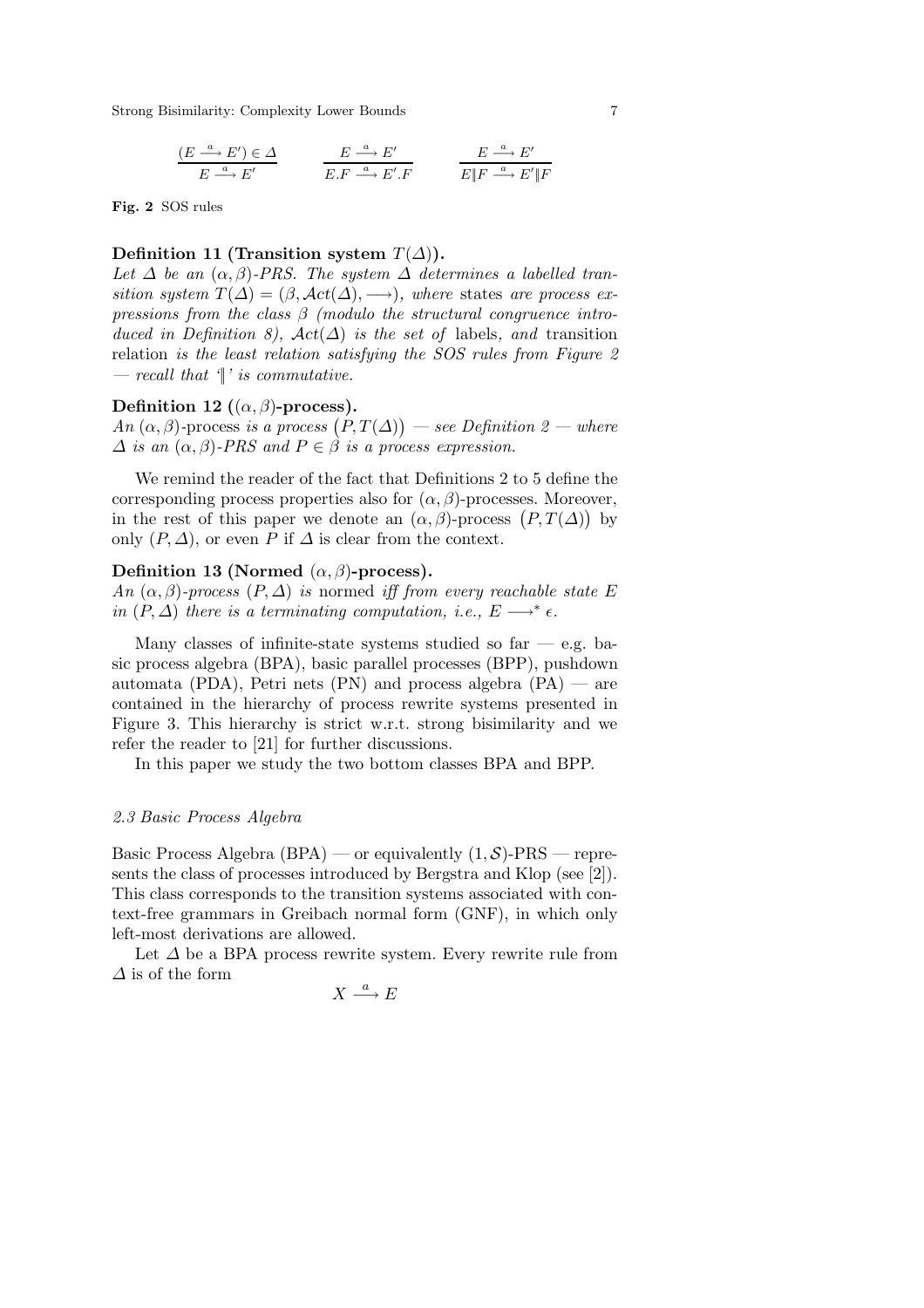$$
\frac{(E \stackrel{a}{\longrightarrow} E') \in \Delta}{E \stackrel{a}{\longrightarrow} E'} \qquad \frac{E \stackrel{a}{\longrightarrow} E'}{E.F \stackrel{a}{\longrightarrow} E'.F} \qquad \frac{E \stackrel{a}{\longrightarrow} E'}{E \parallel F \stackrel{a}{\longrightarrow} E' \parallel F}
$$

**Fig. 2** SOS rules

# **Definition 11 (Transition system**  $T(\Delta)$ ).

Let  $\Delta$  be an  $(\alpha, \beta)$ -PRS. The system  $\Delta$  determines a labelled tran*sition system*  $T(\Delta) = (\beta, \text{Act}(\Delta), \rightarrow)$ *, where* states *are process expressions from the class* β *(modulo the structural congruence introduced in Definition 8),*  $\text{Act}(\Delta)$  *is the set of* labels, and transition relation *is the least relation satisfying the SOS rules from Figure 2 — recall that '*||*' is commutative.*

### **Definition 12** ( $(\alpha, \beta)$ **-process).**

 $An (\alpha, \beta)$ -process *is a process*  $(P, T(\Delta))$  — see Definition 2 — where  $\Delta$  *is an*  $(\alpha, \beta)$ -PRS and  $P \in \beta$  *is a process expression.* 

We remind the reader of the fact that Definitions 2 to 5 define the corresponding process properties also for  $(\alpha, \beta)$ -processes. Moreover, in the rest of this paper we denote an  $(\alpha, \beta)$ -process  $(P, T(\Delta))$  by only  $(P, \Delta)$ , or even P if  $\Delta$  is clear from the context.

# **Definition 13 (Normed**  $(\alpha, \beta)$ -process).

*An*  $(\alpha, \beta)$ *-process*  $(P, \Delta)$  *is* normed *iff from every reachable state* E *in*  $(P, \Delta)$  *there is a terminating computation, i.e.,*  $E \longrightarrow^* \epsilon$ .

Many classes of infinite-state systems studied so far  $-$  e.g. basic process algebra (BPA), basic parallel processes (BPP), pushdown automata (PDA), Petri nets (PN) and process algebra  $(\overline{PA})$  — are contained in the hierarchy of process rewrite systems presented in Figure 3. This hierarchy is strict w.r.t. strong bisimilarity and we refer the reader to [21] for further discussions.

In this paper we study the two bottom classes BPA and BPP.

#### *2.3 Basic Process Algebra*

Basic Process Algebra (BPA) — or equivalently  $(1, S)$ -PRS — represents the class of processes introduced by Bergstra and Klop (see [2]). This class corresponds to the transition systems associated with context-free grammars in Greibach normal form (GNF), in which only left-most derivations are allowed.

Let  $\Delta$  be a BPA process rewrite system. Every rewrite rule from  $\Delta$  is of the form

$$
X \xrightarrow{a} E
$$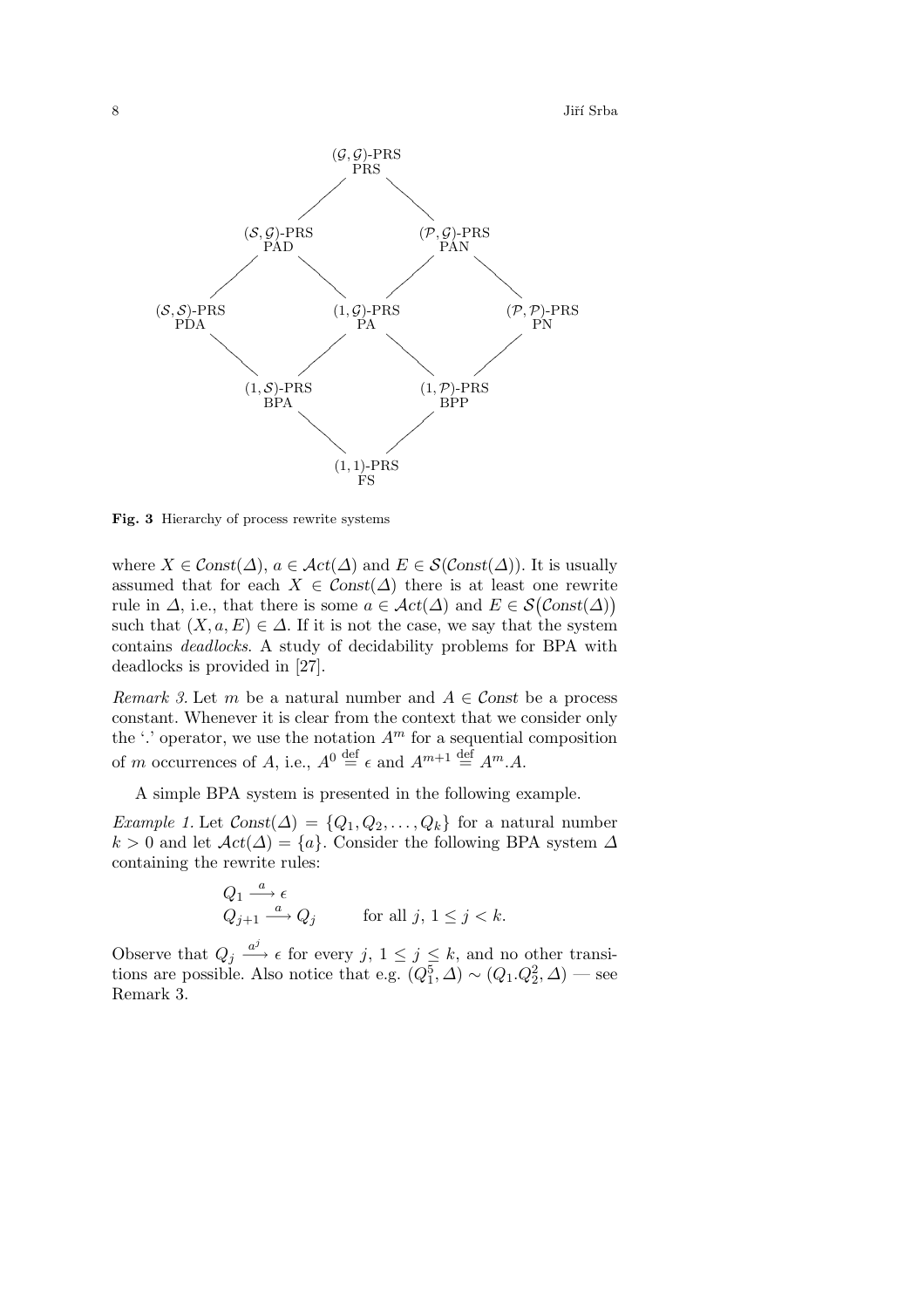8 Jiří Srba



**Fig. 3** Hierarchy of process rewrite systems

where  $X \in \mathcal{C}$ onst $(\Delta)$ ,  $a \in \mathcal{A}ct(\Delta)$  and  $E \in \mathcal{S}(\mathcal{C}$ onst $(\Delta)$ . It is usually assumed that for each  $X \in \mathcal{C}$ onst $(\Delta)$  there is at least one rewrite rule in  $\Delta$ , i.e., that there is some  $a \in \mathcal{A}ct(\Delta)$  and  $E \in \mathcal{S}(\mathcal{C}onst(\Delta))$ such that  $(X, a, E) \in \Delta$ . If it is not the case, we say that the system contains *deadlocks*. A study of decidability problems for BPA with deadlocks is provided in [27].

*Remark 3.* Let m be a natural number and  $A \in \mathcal{C}$  onst be a process constant. Whenever it is clear from the context that we consider only the  $\cdot$  operator, we use the notation  $A<sup>m</sup>$  for a sequential composition of m occurrences of A, i.e.,  $A^0 \stackrel{\text{def}}{=} \epsilon$  and  $A^{m+1} \stackrel{\text{def}}{=} A^m A$ .

A simple BPA system is presented in the following example.

*Example 1.* Let  $Const(\Delta) = \{Q_1, Q_2, \ldots, Q_k\}$  for a natural number k > 0 and let  $\mathcal{A}ct(\Delta) = \{a\}$ . Consider the following BPA system  $\Delta$ containing the rewrite rules:

$$
Q_1 \xrightarrow{a} \epsilon
$$
  
 
$$
Q_{j+1} \xrightarrow{a} Q_j \qquad \text{for all } j, 1 \le j < k.
$$

Observe that  $Q_j \stackrel{a^j}{\longrightarrow} \epsilon$  for every  $j, 1 \leq j \leq k$ , and no other transitions are possible. Also notice that e.g.  $(Q_1^5, \Delta) \sim (Q_1 \cdot Q_2^2, \Delta)$  — see Remark 3.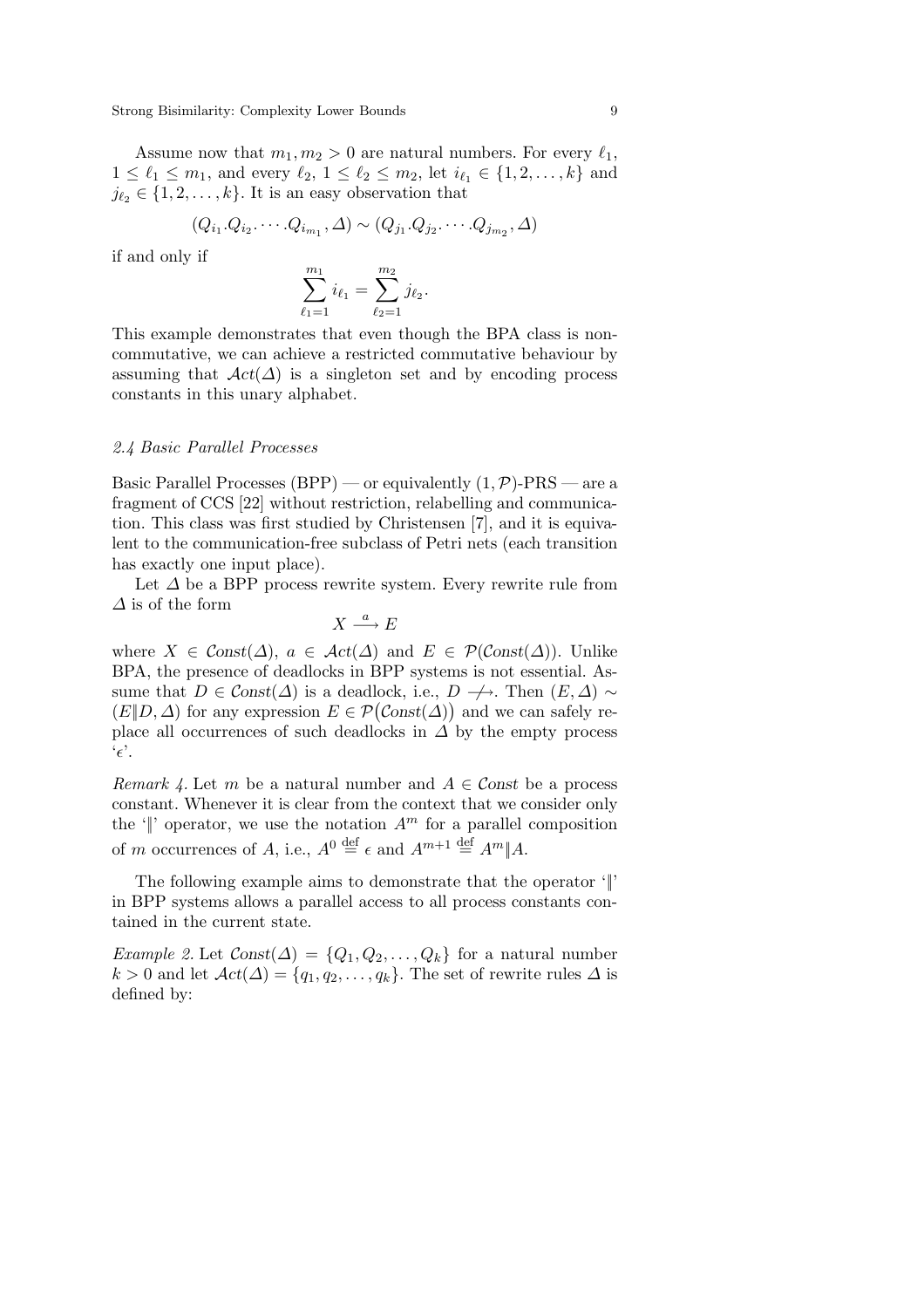Assume now that  $m_1, m_2 > 0$  are natural numbers. For every  $\ell_1$ ,  $1 \leq \ell_1 \leq m_1$ , and every  $\ell_2$ ,  $1 \leq \ell_2 \leq m_2$ , let  $i_{\ell_1} \in \{1, 2, ..., k\}$  and  $j_{\ell_2} \in \{1, 2, \ldots, k\}$ . It is an easy observation that

$$
(Q_{i_1}.Q_{i_2}.\cdots.Q_{i_{m_1}},\Delta)\sim (Q_{j_1}.Q_{j_2}.\cdots.Q_{j_{m_2}},\Delta)
$$

if and only if

$$
\sum_{\ell_1=1}^{m_1} i_{\ell_1} = \sum_{\ell_2=1}^{m_2} j_{\ell_2}.
$$

This example demonstrates that even though the BPA class is noncommutative, we can achieve a restricted commutative behaviour by assuming that  $\mathcal{A}ct(\Delta)$  is a singleton set and by encoding process constants in this unary alphabet.

#### *2.4 Basic Parallel Processes*

Basic Parallel Processes (BPP) — or equivalently  $(1, \mathcal{P})$ -PRS — are a fragment of CCS [22] without restriction, relabelling and communication. This class was first studied by Christensen [7], and it is equivalent to the communication-free subclass of Petri nets (each transition has exactly one input place).

Let  $\Delta$  be a BPP process rewrite system. Every rewrite rule from  $\Delta$  is of the form

$$
X \xrightarrow{a} E
$$

where  $X \in \text{Const}(\Delta)$ ,  $a \in \text{Act}(\Delta)$  and  $E \in \mathcal{P}(\text{Const}(\Delta))$ . Unlike BPA, the presence of deadlocks in BPP systems is not essential. Assume that  $D \in \mathcal{C}$ onst $(\Delta)$  is a deadlock, i.e.,  $D \nrightarrow$ . Then  $(E, \Delta) \sim$  $(E|D, \Delta)$  for any expression  $E \in \mathcal{P}(\mathcal{C}(\Delta))$  and we can safely replace all occurrences of such deadlocks in  $\Delta$  by the empty process  $\epsilon'.$ 

*Remark 4.* Let m be a natural number and  $A \in \mathcal{C}$  onst be a process constant. Whenever it is clear from the context that we consider only the ' $\parallel$ ' operator, we use the notation  $A^m$  for a parallel composition of *m* occurrences of *A*, i.e.,  $A^0 \stackrel{\text{def}}{=} \epsilon$  and  $A^{m+1} \stackrel{\text{def}}{=} A^m || A$ .

The following example aims to demonstrate that the operator '||' in BPP systems allows a parallel access to all process constants contained in the current state.

*Example 2.* Let  $Const(\Delta) = \{Q_1, Q_2, \ldots, Q_k\}$  for a natural number  $k > 0$  and let  $\mathcal{A}ct(\Delta) = \{q_1, q_2, \ldots, q_k\}$ . The set of rewrite rules  $\Delta$  is defined by: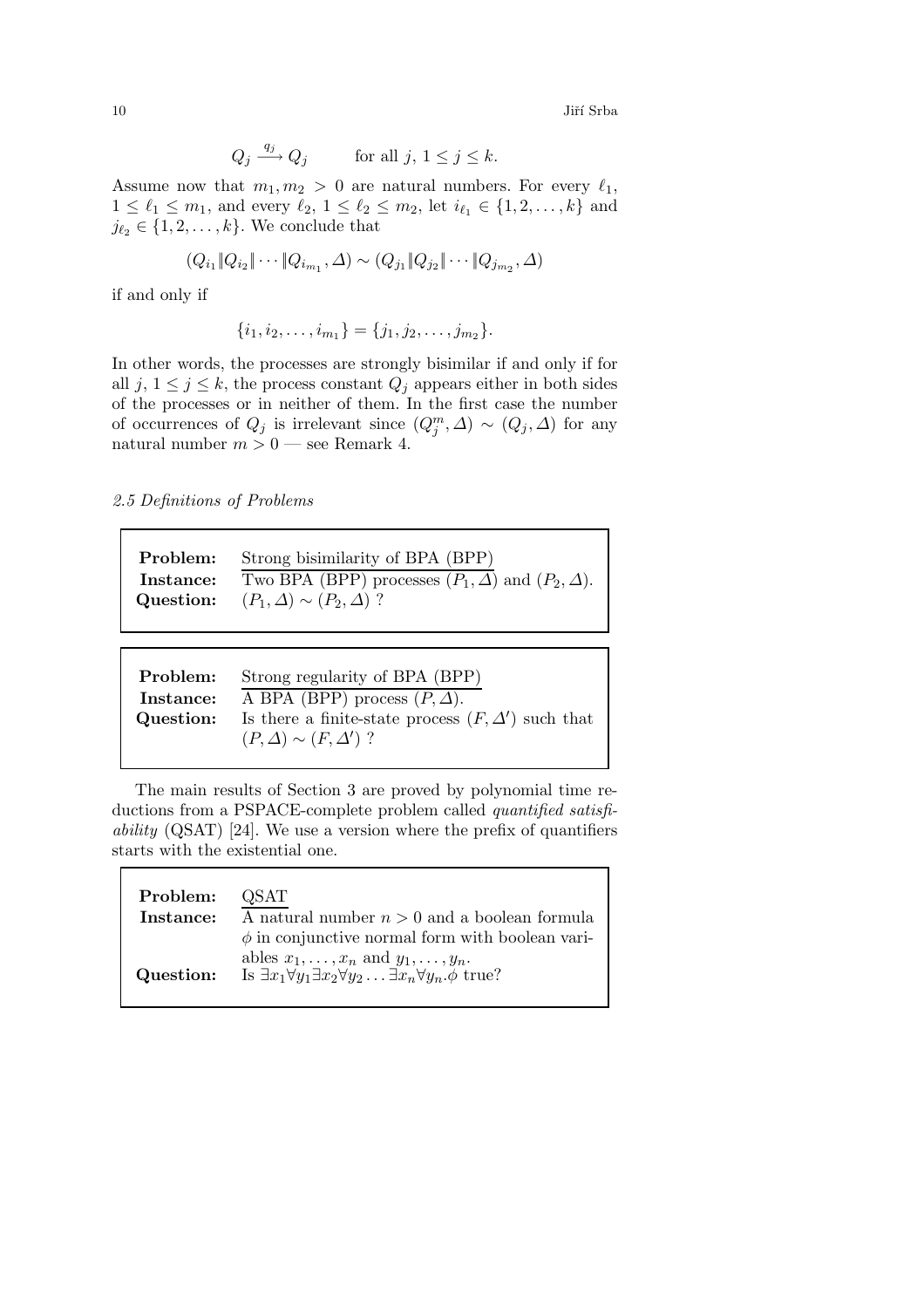$10$  Jiří Srba $\,$ 

$$
Q_j \xrightarrow{q_j} Q_j \qquad \text{for all } j, 1 \le j \le k.
$$

Assume now that  $m_1, m_2 > 0$  are natural numbers. For every  $\ell_1$ ,  $1 \leq \ell_1 \leq m_1$ , and every  $\ell_2$ ,  $1 \leq \ell_2 \leq m_2$ , let  $i_{\ell_1} \in \{1, 2, ..., k\}$  and  $j_{\ell_2} \in \{1, 2, \ldots, k\}$ . We conclude that

$$
(Q_{i_1} \| Q_{i_2} \| \cdots \| Q_{i_{m_1}}, \Delta) \sim (Q_{j_1} \| Q_{j_2} \| \cdots \| Q_{j_{m_2}}, \Delta)
$$

if and only if

 $\{i_1, i_2, \ldots, i_{m_1}\} = \{j_1, j_2, \ldots, j_{m_2}\}.$ 

In other words, the processes are strongly bisimilar if and only if for all  $j, 1 \leq j \leq k$ , the process constant  $Q_j$  appears either in both sides of the processes or in neither of them. In the first case the number of occurrences of  $Q_j$  is irrelevant since  $(Q_j^m, \Delta) \sim (Q_j, \Delta)$  for any natural number  $m > 0$  — see Remark 4.

*2.5 Definitions of Problems*

| Problem:               | Strong bisimilarity of BPA (BPP)                                                                      |
|------------------------|-------------------------------------------------------------------------------------------------------|
| Instance:<br>Question: | Two BPA (BPP) processes $(P_1, \Delta)$ and $(P_2, \Delta)$ .<br>$(P_1, \Delta) \sim (P_2, \Delta)$ ? |
|                        |                                                                                                       |

| Problem:  | Strong regularity of BPA (BPP)                           |
|-----------|----------------------------------------------------------|
| Instance: | A BPA (BPP) process $(P, \Delta)$ .                      |
| Question: | Is there a finite-state process $(F, \Delta')$ such that |
|           | $(P, \Delta) \sim (F, \Delta')$ ?                        |

The main results of Section 3 are proved by polynomial time reductions from a PSPACE-complete problem called *quantified satisfiability* (QSAT) [24]. We use a version where the prefix of quantifiers starts with the existential one.

| Problem:  | QSAT                                                                                                                                               |
|-----------|----------------------------------------------------------------------------------------------------------------------------------------------------|
| Instance: | A natural number $n > 0$ and a boolean formula<br>$\phi$ in conjunctive normal form with boolean vari-                                             |
| Question: | ables $x_1, \ldots, x_n$ and $y_1, \ldots, y_n$ .<br>Is $\exists x_1 \forall y_1 \exists x_2 \forall y_2 \dots \exists x_n \forall y_n \phi$ true? |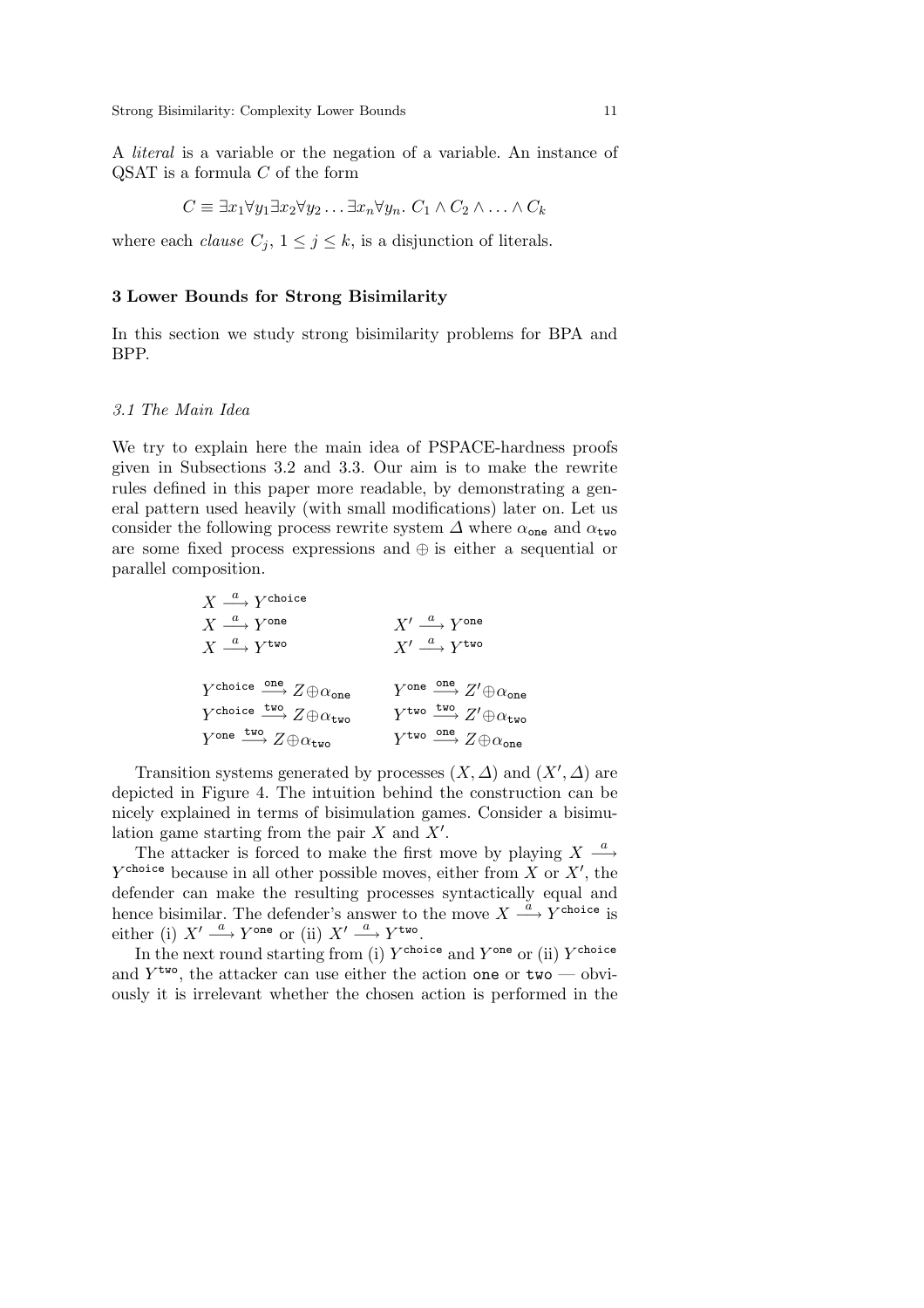A *literal* is a variable or the negation of a variable. An instance of  $\operatorname{QSAT}$  is a formula C of the form

$$
C \equiv \exists x_1 \forall y_1 \exists x_2 \forall y_2 \dots \exists x_n \forall y_n. C_1 \land C_2 \land \dots \land C_k
$$

where each *clause*  $C_j$ ,  $1 \leq j \leq k$ , is a disjunction of literals.

### **3 Lower Bounds for Strong Bisimilarity**

In this section we study strong bisimilarity problems for BPA and BPP.

# *3.1 The Main Idea*

We try to explain here the main idea of PSPACE-hardness proofs given in Subsections 3.2 and 3.3. Our aim is to make the rewrite rules defined in this paper more readable, by demonstrating a general pattern used heavily (with small modifications) later on. Let us consider the following process rewrite system  $\Delta$  where  $\alpha_{\text{one}}$  and  $\alpha_{\text{two}}$ are some fixed process expressions and ⊕ is either a sequential or parallel composition.

$$
\begin{array}{ccc}\nX\xrightarrow{a} Y^{\text{choice}}\\
X\xrightarrow{a} Y^{\text{one}}\\
X\xrightarrow{a} Y^{\text{one}}\\
X^{\text{two}}\\
Y^{\text{choice}}\xrightarrow{one} Z\oplus\alpha_{\text{one}}\\
Y^{\text{choice}}Z\oplus\alpha_{\text{two}}\\
Y^{\text{choice}}Z\oplus\alpha_{\text{two}}\\
Y^{\text{one}}Z\oplus\alpha_{\text{two}}\\
Y^{\text{one}}\xrightarrow{fwo} Z\oplus\alpha_{\text{two}}\\
Y^{\text{two}}\xrightarrow{fwo} Z\oplus\alpha_{\text{one}}\\
Y^{\text{two}}\xrightarrow{fwo} Z\oplus\alpha_{\text{two}}\\
Y^{\text{two}}\xrightarrow{fwo} Z\oplus\alpha_{\text{one}}\\
Y^{\text{two}}\xrightarrow{fwo} Z\oplus\alpha_{\text{one}}\\
Y^{\text{two}}\xrightarrow{fwo} Z\oplus\alpha_{\text{one}}\\
Y^{\text{two}}\xrightarrow{fwo} Z\oplus\alpha_{\text{one}}\\
Y^{\text{two}}\xrightarrow{fwo} Z\oplus\alpha_{\text{one}}\\
Y^{\text{two}}\xrightarrow{fwo} Z\oplus\alpha_{\text{one}}\\
Y^{\text{two}}\xrightarrow{fwo} Z\oplus\alpha_{\text{one}}\\
Y^{\text{two}}\xrightarrow{fwo} Z\oplus\alpha_{\text{one}}\\
Y^{\text{two}}\xrightarrow{fwo} Z\oplus\alpha_{\text{one}}\\
Y^{\text{two}}\xrightarrow{fwo} Z\oplus\alpha_{\text{one}}\\
Y^{\text{two}}\xrightarrow{fwo} Z\oplus\alpha_{\text{one}}\\
Y^{\text{two}}\xrightarrow{fwo} Z\oplus\alpha_{\text{one}}\\
Y^{\text{two}}\xrightarrow{fwo} Z\oplus\alpha_{\text{one}}\\
Y^{\text{two}}\xrightarrow{fwo} Z\oplus\alpha_{\text{one}}\\
Y^{\text{two}}\xrightarrow{fwo} Z\oplus\alpha_{\text{one}}\\
Y^{\text{two}}\xrightarrow{fwo} Z\oplus\alpha_{\text{one}}\\
Y^{\text{two}}\xrightarrow{fwo} Z\oplus\alpha_{\text{one}}\\
Y^{\text{two}}\xrightarrow{fwo} Z\oplus\alpha_{\text{one}}\\
Y^{\text{two}}\xrightarrow{fwo} Z\oplus\alpha
$$

Transition systems generated by processes  $(X, \Delta)$  and  $(X', \Delta)$  are depicted in Figure 4. The intuition behind the construction can be nicely explained in terms of bisimulation games. Consider a bisimulation game starting from the pair  $X$  and  $X'$ .

The attacker is forced to make the first move by playing  $X \stackrel{a}{\longrightarrow}$  $Y^{\text{choice}}$  because in all other possible moves, either from X or  $X'$ , the defender can make the resulting processes syntactically equal and hence bisimilar. The defender's answer to the move  $X \stackrel{a}{\longrightarrow} Y^{\text{choice}}$  is either (i)  $X' \stackrel{a}{\longrightarrow} Y^{\text{one}}$  or (ii)  $X' \stackrel{a}{\longrightarrow} Y^{\text{two}}$ .

In the next round starting from (i)  $Y^{\text{choice}}$  and  $Y^{\text{one}}$  or (ii)  $Y^{\text{choice}}$ and  $Y^{\text{two}}$ , the attacker can use either the action one or two — obviously it is irrelevant whether the chosen action is performed in the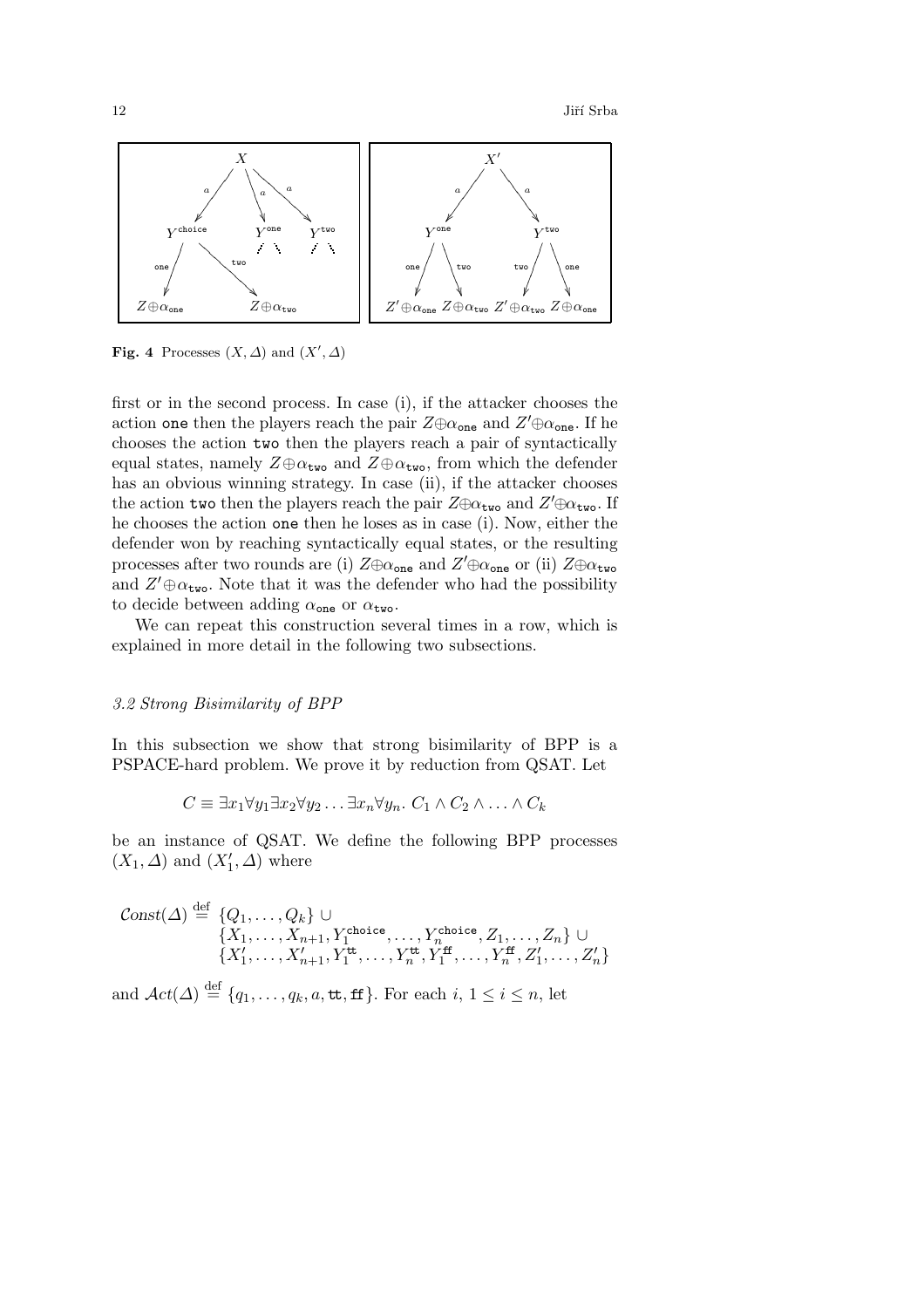$12$  Jiří Srba



**Fig. 4** Processes  $(X, \Delta)$  and  $(X', \Delta)$ 

first or in the second process. In case (i), if the attacker chooses the action one then the players reach the pair  $Z \oplus \alpha_{\text{one}}$  and  $Z' \oplus \alpha_{\text{one}}$ . If he chooses the action two then the players reach a pair of syntactically equal states, namely  $Z \oplus \alpha_{\text{two}}$  and  $Z \oplus \alpha_{\text{two}}$ , from which the defender has an obvious winning strategy. In case (ii), if the attacker chooses the action two then the players reach the pair  $Z \oplus \alpha_{\sf two}$  and  $Z' \oplus \alpha_{\sf two}$ . If he chooses the action one then he loses as in case (i). Now, either the defender won by reaching syntactically equal states, or the resulting processes after two rounds are (i)  $Z \oplus \alpha_{\text{one}}$  and  $Z' \oplus \alpha_{\text{one}}$  or (ii)  $Z \oplus \alpha_{\text{two}}$ and  $Z' \oplus \alpha_{\text{two}}$ . Note that it was the defender who had the possibility to decide between adding  $\alpha_{one}$  or  $\alpha_{two}$ .

We can repeat this construction several times in a row, which is explained in more detail in the following two subsections.

# *3.2 Strong Bisimilarity of BPP*

In this subsection we show that strong bisimilarity of BPP is a PSPACE-hard problem. We prove it by reduction from QSAT. Let

 $C \equiv \exists x_1 \forall y_1 \exists x_2 \forall y_2 \ldots \exists x_n \forall y_n$ .  $C_1 \wedge C_2 \wedge \ldots \wedge C_k$ 

be an instance of QSAT. We define the following BPP processes  $(X_1, \Delta)$  and  $(X'_1, \Delta)$  where

$$
\text{Const}(\Delta) \stackrel{\text{def}}{=} \{Q_1, \ldots, Q_k\} \cup \{X_1, \ldots, X_{n+1}, Y_1^{\text{choice}}, \ldots, Y_n^{\text{choice}}, Z_1, \ldots, Z_n\} \cup \{X'_1, \ldots, X'_{n+1}, Y_1^{\text{tt}}, \ldots, Y_n^{\text{tt}}, Y_1^{\text{ff}}, \ldots, Y_n^{\text{ff}}, Z'_1, \ldots, Z'_n\}
$$

and  $\mathcal{A}ct(\Delta) \stackrel{\text{def}}{=} \{q_1,\ldots,q_k,a,\text{tt},\text{ff}\}.$  For each  $i, 1 \leq i \leq n$ , let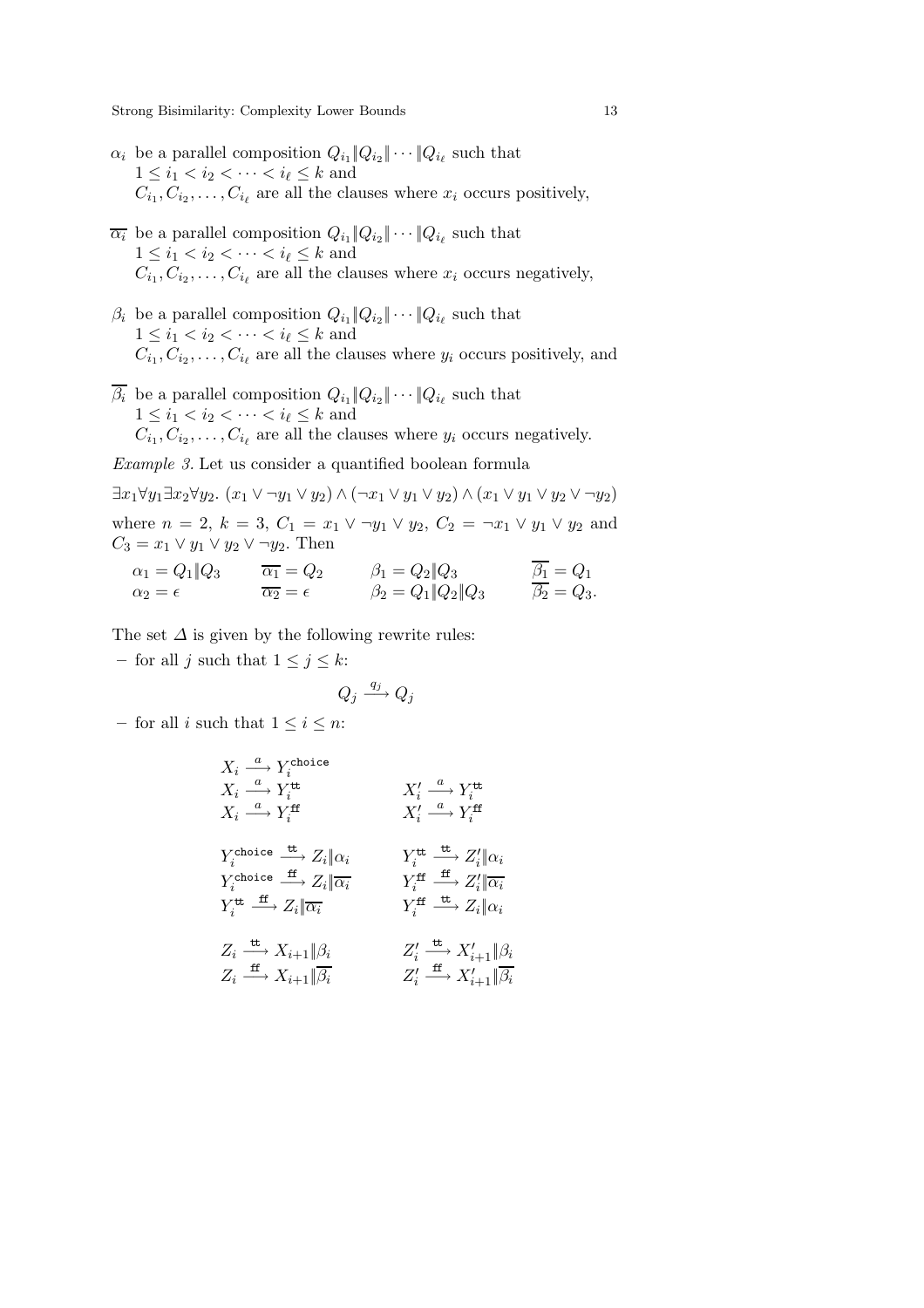- $\alpha_i$  be a parallel composition  $Q_{i_1} \| Q_{i_2} \| \cdots \| Q_{i_\ell}$  such that  $1 \leq i_1 < i_2 < \cdots < i_\ell \leq k$  and  $C_{i_1}, C_{i_2}, \ldots, C_{i_\ell}$  are all the clauses where  $x_i$  occurs positively,
- $\overline{\alpha_i}$  be a parallel composition  $Q_{i_1} || Q_{i_2} || \cdots || Q_{i_\ell}$  such that  $1 \leq i_1 < i_2 < \cdots < i_\ell \leq k$  and  $C_{i_1}, C_{i_2}, \ldots, C_{i_\ell}$  are all the clauses where  $x_i$  occurs negatively,
- $\beta_i$  be a parallel composition  $Q_{i_1} \| Q_{i_2} \| \cdots \| Q_{i_\ell}$  such that  $1 \leq i_1 < i_2 < \cdots < i_\ell \leq k$  and  $C_{i_1}, C_{i_2}, \ldots, C_{i_\ell}$  are all the clauses where  $y_i$  occurs positively, and
- $\overline{\beta_i}$  be a parallel composition  $Q_{i_1} \| Q_{i_2} \| \cdots \| Q_{i_\ell}$  such that  $1 \leq i_1 < i_2 < \cdots < i_\ell \leq k$  and  $C_{i_1}, C_{i_2}, \ldots, C_{i_\ell}$  are all the clauses where  $y_i$  occurs negatively.

*Example 3.* Let us consider a quantified boolean formula

 $\exists x_1 \forall y_1 \exists x_2 \forall y_2.$   $(x_1 \vee \neg y_1 \vee y_2) \wedge (\neg x_1 \vee y_1 \vee y_2) \wedge (x_1 \vee y_1 \vee y_2 \vee \neg y_2)$ where  $n = 2$ ,  $k = 3$ ,  $C_1 = x_1 \vee \neg y_1 \vee y_2$ ,  $C_2 = \neg x_1 \vee y_1 \vee y_2$  and  $C_3 = x_1 \vee y_1 \vee y_2 \vee \neg y_2$ . Then

$$
\alpha_1 = Q_1 \| Q_3 \qquad \overline{\alpha_1} = Q_2 \qquad \beta_1 = Q_2 \| Q_3 \qquad \overline{\beta_1} = Q_1 \n\alpha_2 = \epsilon \qquad \beta_2 = Q_1 \| Q_2 \| Q_3 \qquad \overline{\beta_2} = Q_3.
$$

The set  $\Delta$  is given by the following rewrite rules:

– for all j such that  $1 \leq j \leq k$ :

$$
Q_j \xrightarrow{q_j} Q_j
$$

– for all *i* such that  $1 \leq i \leq n$ :

$$
\begin{array}{ccc} X_i \stackrel{a}{\longrightarrow} Y_i^{\text{choice}} & & & \\ X_i \stackrel{a}{\longrightarrow} Y_i^{\text{tt}} & & & X_i' \stackrel{a}{\longrightarrow} Y_i^{\text{tt}} \\ X_i \stackrel{a}{\longrightarrow} Y_i^{\text{ff}} & & & X_i' \stackrel{a}{\longrightarrow} Y_i^{\text{ff}} \\ Y_i^{\text{choice}} \stackrel{\text{tt}}{\longrightarrow} Z_i \Vert \alpha_i & & & Y_i^{\text{tt}} \stackrel{\text{tt}}{\longrightarrow} Z_i' \Vert \alpha_i \\ Y_i^{\text{choice}} \stackrel{\text{ff}}{\longrightarrow} Z_i \Vert \overline{\alpha_i} & & & Y_i^{\text{ff}} \stackrel{\text{ft}}{\longrightarrow} Z_i' \Vert \overline{\alpha_i} \\ Y_i^{\text{tt}} \stackrel{\text{ff}}{\longrightarrow} Z_i \Vert \overline{\alpha_i} & & & Y_i^{\text{ff}} \stackrel{\text{ff}}{\longrightarrow} Z_i' \Vert \overline{\alpha_i} \\ Z_i \stackrel{\text{tt}}{\longrightarrow} X_{i+1} \Vert \beta_i & & Z_i' \stackrel{\text{tt}}{\longrightarrow} X_{i+1}' \Vert \beta_i \\ Z_i \stackrel{\text{ff}}{\longrightarrow} X_{i+1} \Vert \overline{\beta_i} & & Z_i' \stackrel{\text{ff}}{\longrightarrow} X_{i+1}' \Vert \overline{\beta_i} \\ Z_i' \stackrel{\text{ff}}{\longrightarrow} X_{i+1}' \Vert \overline{\beta_i} \\ Z_i' \stackrel{\text{ff}}{\longrightarrow} X_{i+1}' \Vert \overline{\beta_i} \\ Z_i' \stackrel{\text{ff}}{\longrightarrow} X_{i+1}' \Vert \overline{\beta_i} \\ \end{array}
$$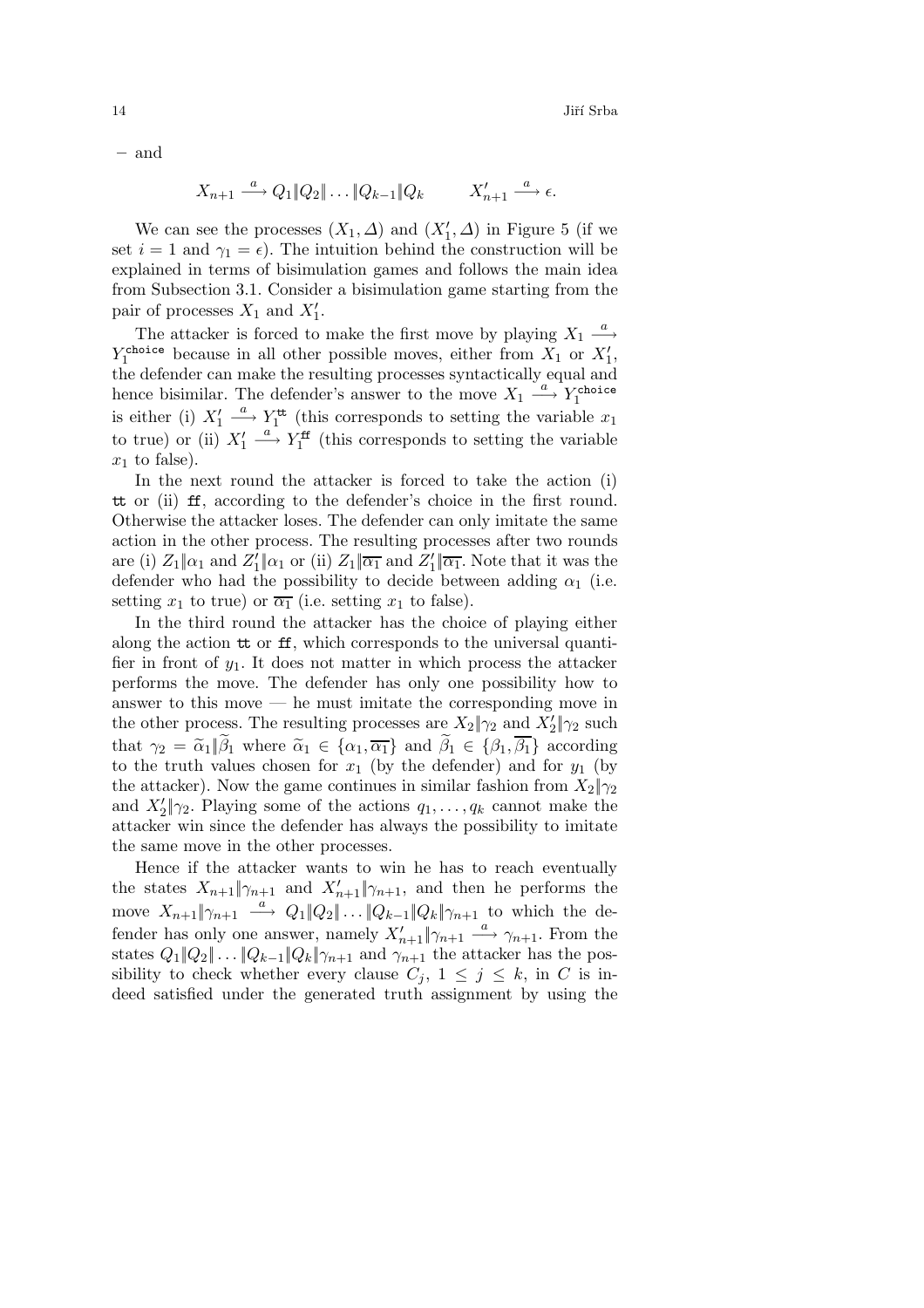**–** and

$$
X_{n+1} \stackrel{a}{\longrightarrow} Q_1 \|Q_2\| \dots \|Q_{k-1}\|Q_k \qquad X'_{n+1} \stackrel{a}{\longrightarrow} \epsilon.
$$

We can see the processes  $(X_1, \Delta)$  and  $(X'_1, \Delta)$  in Figure 5 (if we set  $i = 1$  and  $\gamma_1 = \epsilon$ ). The intuition behind the construction will be explained in terms of bisimulation games and follows the main idea from Subsection 3.1. Consider a bisimulation game starting from the pair of processes  $X_1$  and  $X'_1$ .

The attacker is forced to make the first move by playing  $X_1 \stackrel{a}{\longrightarrow}$  $Y_1^{\text{choice}}$  because in all other possible moves, either from  $X_1$  or  $X'_1$ , the defender can make the resulting processes syntactically equal and hence bisimilar. The defender's answer to the move  $X_1 \stackrel{a}{\longrightarrow} Y_1^{\text{choice}}$ is either (i)  $X_1' \stackrel{a}{\longrightarrow} Y_1^{\text{tt}}$  (this corresponds to setting the variable  $x_1$ to true) or (ii)  $X'_1 \stackrel{a}{\longrightarrow} Y_1^{\text{ff}}$  (this corresponds to setting the variable  $x_1$  to false).

In the next round the attacker is forced to take the action (i) tt or (ii) ff, according to the defender's choice in the first round. Otherwise the attacker loses. The defender can only imitate the same action in the other process. The resulting processes after two rounds are (i)  $Z_1 \| \alpha_1$  and  $Z_1' \| \alpha_1$  or (ii)  $Z_1 \| \overline{\alpha_1}$  and  $Z_1' \| \overline{\alpha_1}$ . Note that it was the defender who had the possibility to decide between adding  $\alpha_1$  (i.e. setting  $x_1$  to true) or  $\overline{\alpha_1}$  (i.e. setting  $x_1$  to false).

In the third round the attacker has the choice of playing either along the action tt or ff, which corresponds to the universal quantifier in front of  $y_1$ . It does not matter in which process the attacker performs the move. The defender has only one possibility how to answer to this move — he must imitate the corresponding move in the other process. The resulting processes are  $X_2|\gamma_2$  and  $X'_2|\gamma_2$  such that  $\gamma_2 = \tilde{\alpha}_1 \| \tilde{\beta}_1$  where  $\tilde{\alpha}_1 \in {\alpha_1, \overline{\alpha_1}}$  and  $\tilde{\beta}_1 \in {\beta_1, \overline{\beta_1}}$  according to the truth values chosen for  $x_1$  (by the defender) and for  $y_1$  (by the attacker). Now the game continues in similar fashion from  $X_2|\gamma_2$ and  $X_2'|\gamma_2$ . Playing some of the actions  $q_1,\ldots,q_k$  cannot make the attacker win since the defender has always the possibility to imitate the same move in the other processes.

Hence if the attacker wants to win he has to reach eventually the states  $X_{n+1}$   $\|\gamma_{n+1}\|$  and  $X'_{n+1}\|\gamma_{n+1}\|$ , and then he performs the move  $X_{n+1}|\gamma_{n+1} \stackrel{a}{\longrightarrow} Q_1|Q_2|\dots|Q_{k-1}|Q_k|\gamma_{n+1}$  to which the defender has only one answer, namely  $X'_{n+1}\parallel \gamma_{n+1} \stackrel{a}{\longrightarrow} \gamma_{n+1}$ . From the states  $Q_1||Q_2|| \dots ||Q_{k-1}||Q_k||\gamma_{n+1}$  and  $\gamma_{n+1}$  the attacker has the possibility to check whether every clause  $C_j$ ,  $1 \leq j \leq k$ , in C is indeed satisfied under the generated truth assignment by using the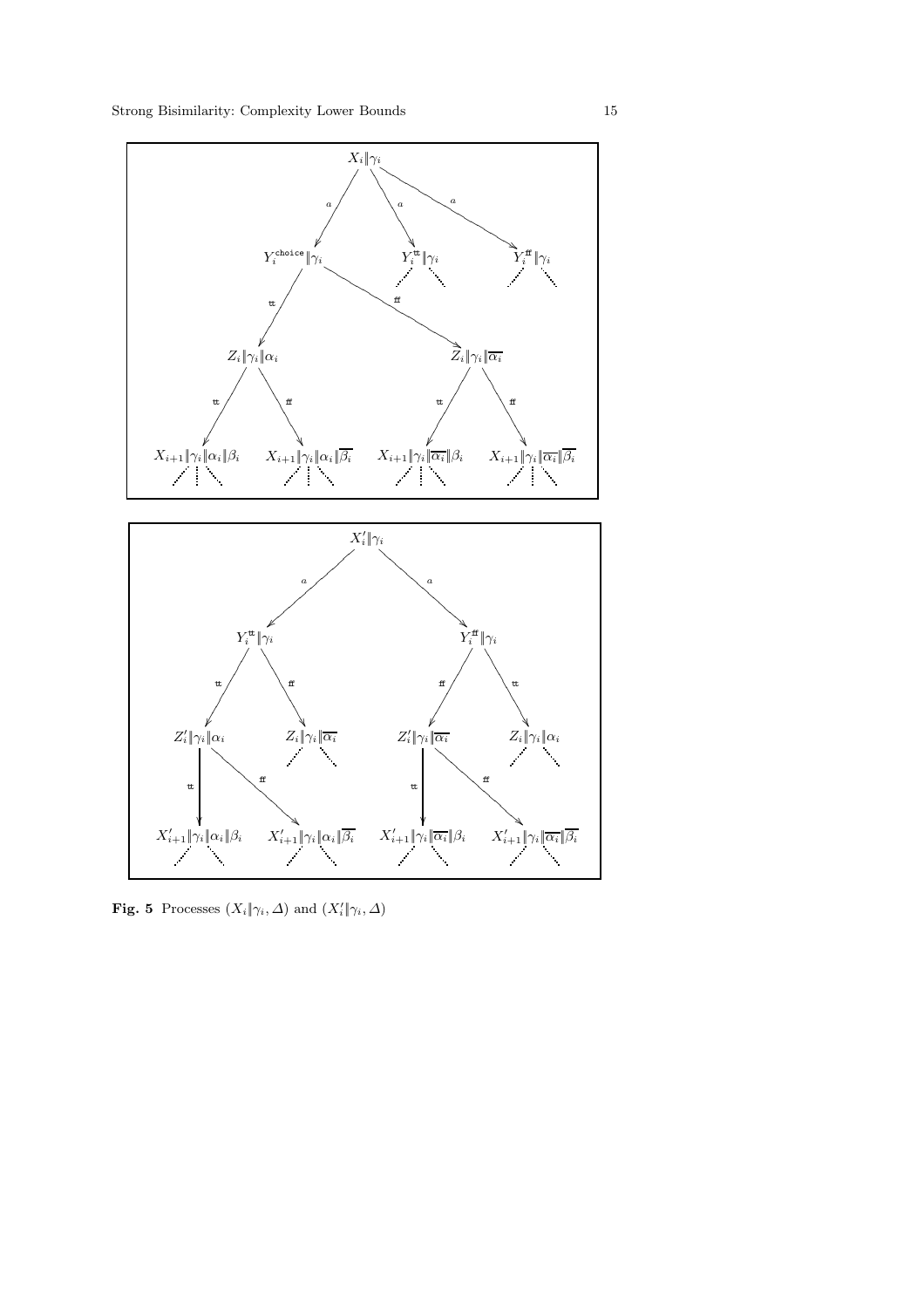

**Fig. 5** Processes  $(X_i \| \gamma_i, \Delta)$  and  $(X'_i \| \gamma_i, \Delta)$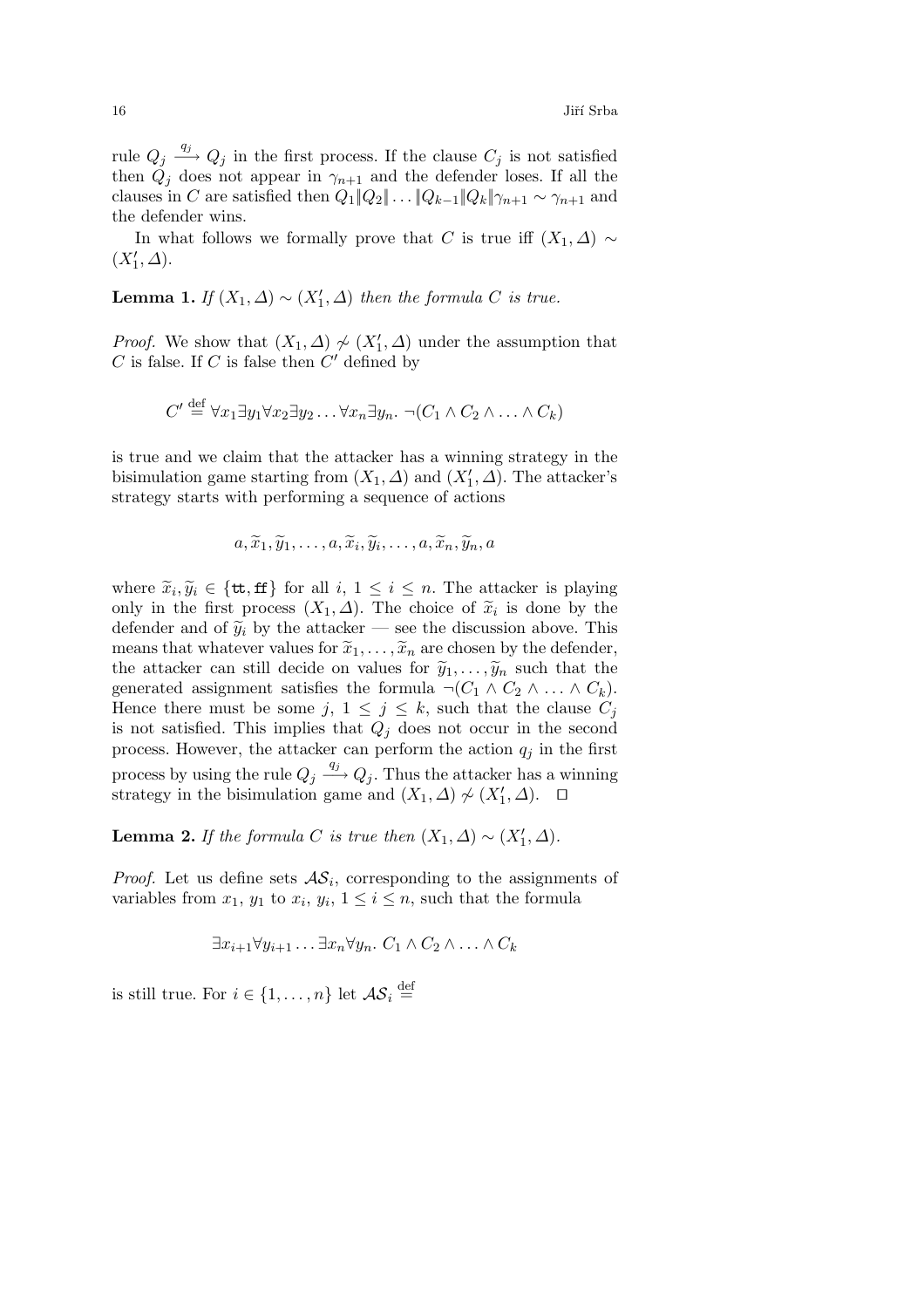$16$  Jiří Srba

rule  $Q_j \stackrel{q_j}{\longrightarrow} Q_j$  in the first process. If the clause  $C_j$  is not satisfied then  $Q_j$  does not appear in  $\gamma_{n+1}$  and the defender loses. If all the clauses in C are satisfied then  $Q_1||Q_2|| \dots ||Q_{k-1}||Q_k||\gamma_{n+1} \sim \gamma_{n+1}$  and the defender wins.

In what follows we formally prove that C is true iff  $(X_1, \Delta) \sim$  $(X'_1, \Delta).$ 

**Lemma 1.** *If*  $(X_1, \Delta) \sim (X'_1, \Delta)$  *then the formula C is true.* 

*Proof.* We show that  $(X_1, \Delta) \nsim (X_1', \Delta)$  under the assumption that C is false. If C is false then  $C'$  defined by

$$
C' \stackrel{\text{def}}{=} \forall x_1 \exists y_1 \forall x_2 \exists y_2 \dots \forall x_n \exists y_n. \ \neg(C_1 \land C_2 \land \dots \land C_k)
$$

is true and we claim that the attacker has a winning strategy in the bisimulation game starting from  $(X_1, \Delta)$  and  $(X'_1, \Delta)$ . The attacker's strategy starts with performing a sequence of actions

$$
a, \widetilde{x}_1, \widetilde{y}_1, \ldots, a, \widetilde{x}_i, \widetilde{y}_i, \ldots, a, \widetilde{x}_n, \widetilde{y}_n, a
$$

where  $\widetilde{x}_i, \widetilde{y}_i \in \{\texttt{tt}, \texttt{ff}\}$  for all  $i, 1 \leq i \leq n$ . The attacker is playing only in the first process  $(X_1, \Delta)$ . The choice of  $\tilde{x}_i$  is done by the defender and of  $\tilde{y}_i$  by the attacker — see the discussion above. This means that whatever values for  $\tilde{x}_1,\ldots,\tilde{x}_n$  are chosen by the defender, the attacker can still decide on values for  $\tilde{y}_1,\ldots,\tilde{y}_n$  such that the generated assignment satisfies the formula  $\neg(C_1 \land C_2 \land \dots \land C_k)$ . Hence there must be some j,  $1 \leq j \leq k$ , such that the clause  $C_j$ is not satisfied. This implies that  $Q_i$  does not occur in the second process. However, the attacker can perform the action  $q_j$  in the first process by using the rule  $Q_j \stackrel{q_j}{\longrightarrow} Q_j$ . Thus the attacker has a winning strategy in the bisimulation game and  $(X_1, \Delta) \nsim (X'_1, \Delta)$ . □

**Lemma 2.** *If the formula* C *is true then*  $(X_1, \Delta) \sim (X'_1, \Delta)$ *.* 

*Proof.* Let us define sets  $AS_i$ , corresponding to the assignments of variables from  $x_1$ ,  $y_1$  to  $x_i$ ,  $y_i$ ,  $1 \leq i \leq n$ , such that the formula

$$
\exists x_{i+1} \forall y_{i+1} \dots \exists x_n \forall y_n. C_1 \land C_2 \land \dots \land C_k
$$

is still true. For  $i \in \{1, ..., n\}$  let  $\mathcal{AS}_i \stackrel{\text{def}}{=}$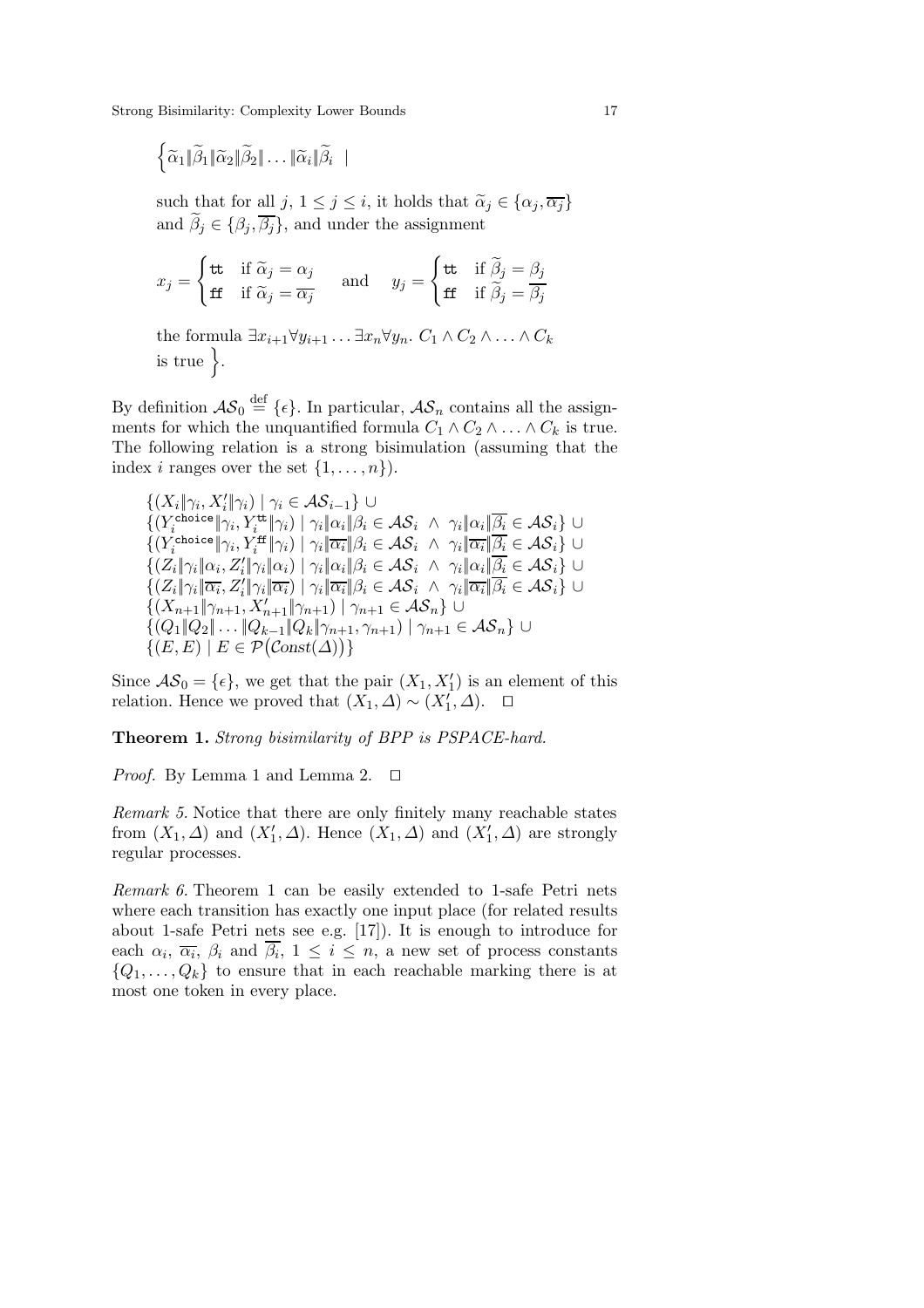$\left\{ \widetilde{\alpha}_{1} \| \widetilde{\beta}_{1} \| \widetilde{\alpha}_{2} \| \widetilde{\beta}_{2} \| \ldots \| \widetilde{\alpha}_{i} \| \widetilde{\beta}_{i} \right.$ 

such that for all  $j, 1 \leq j \leq i$ , it holds that  $\widetilde{\alpha}_j \in {\alpha_j, \overline{\alpha_j}}$ and  $\beta_j \in \{\beta_j, \overline{\beta_j}\}\$ , and under the assignment

$$
x_j = \begin{cases} \text{tt} & \text{if } \widetilde{\alpha}_j = \alpha_j \\ \text{tt} & \text{if } \widetilde{\alpha}_j = \overline{\alpha_j} \end{cases} \quad \text{and} \quad y_j = \begin{cases} \text{tt} & \text{if } \widetilde{\beta}_j = \beta_j \\ \text{tt} & \text{if } \widetilde{\beta}_j = \overline{\beta_j} \end{cases}
$$

the formula  $\exists x_{i+1} \forall y_{i+1} \ldots \exists x_n \forall y_n$ .  $C_1 \land C_2 \land \ldots \land C_k$ is true  $\}$ .

By definition  $\mathcal{AS}_0 \stackrel{\text{def}}{=} \{\epsilon\}$ . In particular,  $\mathcal{AS}_n$  contains all the assignments for which the unquantified formula  $C_1 \wedge C_2 \wedge \ldots \wedge C_k$  is true. The following relation is a strong bisimulation (assuming that the index *i* ranges over the set  $\{1,\ldots,n\}$ .

$$
\{(X_i|\gamma_i, X_i'|\gamma_i) | \gamma_i \in \mathcal{AS}_{i-1}\} \cup \{(Y_i^{\text{choice}}|\gamma_i, Y_i^{\text{tt}}|\gamma_i) | \gamma_i|\alpha_i|\beta_i \in \mathcal{AS}_i \wedge \gamma_i|\alpha_i|\overline{\beta_i} \in \mathcal{AS}_i\} \cup \{(Y_i^{\text{choice}}|\gamma_i, Y_i^{\text{tt}}|\gamma_i) | \gamma_i|\overline{\alpha_i}|\beta_i \in \mathcal{AS}_i \wedge \gamma_i|\overline{\alpha_i}|\overline{\beta_i} \in \mathcal{AS}_i\} \cup \{(Z_i|\gamma_i|\alpha_i, Z_i'|\gamma_i|\alpha_i) | \gamma_i|\alpha_i|\beta_i \in \mathcal{AS}_i \wedge \gamma_i|\overline{\alpha_i}|\overline{\beta_i} \in \mathcal{AS}_i\} \cup \{(Z_i|\gamma_i|\overline{\alpha_i}, Z_i'|\gamma_i|\overline{\alpha_i}) | \gamma_i|\overline{\alpha_i}|\beta_i \in \mathcal{AS}_i \wedge \gamma_i|\overline{\alpha_i}|\overline{\beta_i} \in \mathcal{AS}_i\} \cup \{(X_{n+1}|\gamma_{n+1}, X_{n+1}'|\gamma_{n+1}) | \gamma_{n+1} \in \mathcal{AS}_n\} \cup \{(Q_1|\overline{Q_2}|\dots|\overline{Q_{k-1}}|\overline{Q_k}|\gamma_{n+1}, \gamma_{n+1}) | \gamma_{n+1} \in \mathcal{AS}_n\} \cup \{(E, E) | E \in \mathcal{P}(Const(\Delta))\}
$$

Since  $\mathcal{AS}_0 = \{\epsilon\}$ , we get that the pair  $(X_1, X_1')$  is an element of this relation. Hence we proved that  $(X_1, \Delta) \sim (X'_1, \Delta)$ . □

**Theorem 1.** *Strong bisimilarity of BPP is PSPACE-hard.*

*Proof.* By Lemma 1 and Lemma 2.  $\Box$ 

*Remark 5.* Notice that there are only finitely many reachable states from  $(X_1, \Delta)$  and  $(X'_1, \Delta)$ . Hence  $(X_1, \Delta)$  and  $(X'_1, \Delta)$  are strongly regular processes.

*Remark 6.* Theorem 1 can be easily extended to 1-safe Petri nets where each transition has exactly one input place (for related results about 1-safe Petri nets see e.g. [17]). It is enough to introduce for each  $\alpha_i$ ,  $\overline{\alpha_i}$ ,  $\beta_i$  and  $\overline{\beta_i}$ ,  $1 \leq i \leq n$ , a new set of process constants  $\{Q_1,\ldots,Q_k\}$  to ensure that in each reachable marking there is at most one token in every place.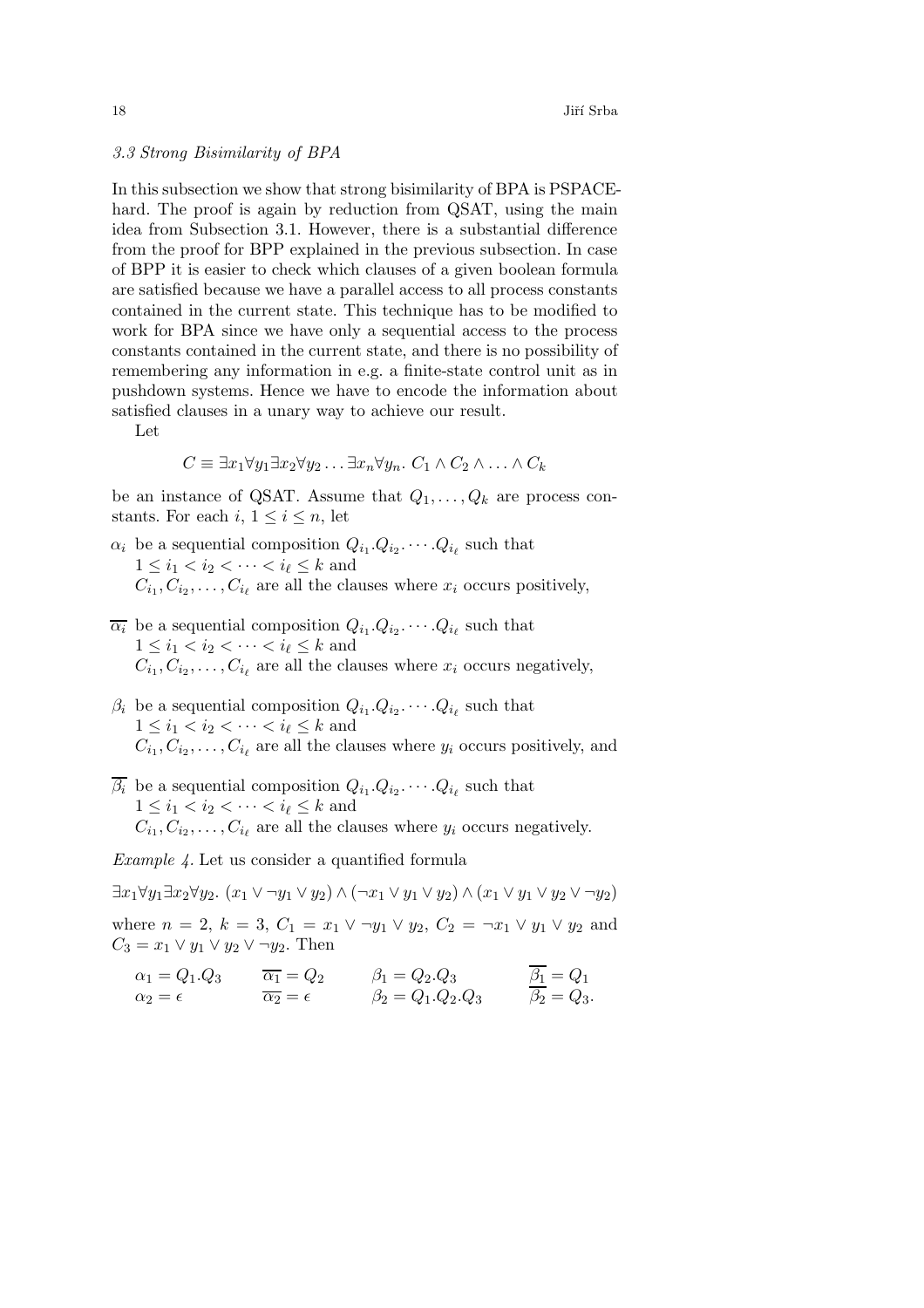# *3.3 Strong Bisimilarity of BPA*

In this subsection we show that strong bisimilarity of BPA is PSPACEhard. The proof is again by reduction from QSAT, using the main idea from Subsection 3.1. However, there is a substantial difference from the proof for BPP explained in the previous subsection. In case of BPP it is easier to check which clauses of a given boolean formula are satisfied because we have a parallel access to all process constants contained in the current state. This technique has to be modified to work for BPA since we have only a sequential access to the process constants contained in the current state, and there is no possibility of remembering any information in e.g. a finite-state control unit as in pushdown systems. Hence we have to encode the information about satisfied clauses in a unary way to achieve our result.

Let

$$
C \equiv \exists x_1 \forall y_1 \exists x_2 \forall y_2 \dots \exists x_n \forall y_n. C_1 \land C_2 \land \dots \land C_k
$$

be an instance of QSAT. Assume that  $Q_1, \ldots, Q_k$  are process constants. For each  $i, 1 \leq i \leq n$ , let

- $\alpha_i$  be a sequential composition  $Q_{i_1}.Q_{i_2}.\cdots.Q_{i_\ell}$  such that  $1 \leq i_1 < i_2 < \cdots < i_\ell \leq k$  and  $C_i, C_i, \ldots, C_i$  are all the clauses where  $x_i$  occurs positively,
- $\overline{\alpha_i}$  be a sequential composition  $Q_{i_1}.Q_{i_2}. \cdots .Q_{i_\ell}$  such that  $1\leq i_1 < i_2 < \cdots < i_\ell \leq k$  and  $C_{i_1}, C_{i_2}, \ldots, C_{i_\ell}$  are all the clauses where  $x_i$  occurs negatively,
- $\beta_i$  be a sequential composition  $Q_{i_1}.Q_{i_2}.\cdots.Q_{i_\ell}$  such that  $1 \leq i_1 < i_2 < \cdots < i_\ell \leq k$  and  $C_i, C_i, \ldots, C_i$  are all the clauses where  $y_i$  occurs positively, and
- $\overline{\beta_i}$  be a sequential composition  $Q_{i_1}.Q_{i_2}.\cdots.Q_{i_\ell}$  such that  $1\leq i_1 < i_2 < \cdots < i_\ell \leq k$  and  $C_i, C_i, \ldots, C_i$  are all the clauses where  $y_i$  occurs negatively.

*Example 4.* Let us consider a quantified formula

 $\exists x_1 \forall y_1 \exists x_2 \forall y_2.$   $(x_1 \vee \neg y_1 \vee y_2) \wedge (\neg x_1 \vee y_1 \vee y_2) \wedge (x_1 \vee y_1 \vee y_2 \vee \neg y_2)$ 

where  $n = 2$ ,  $k = 3$ ,  $C_1 = x_1 \vee \neg y_1 \vee y_2$ ,  $C_2 = \neg x_1 \vee y_1 \vee y_2$  and  $C_3 = x_1 \vee y_1 \vee y_2 \vee \neg y_2$ . Then

$$
\alpha_1 = Q_1 \cdot Q_3 \qquad \overline{\alpha_1} = Q_2 \qquad \beta_1 = Q_2 \cdot Q_3 \qquad \overline{\beta_1} = Q_1 \n\alpha_2 = \epsilon \qquad \beta_2 = Q_1 \cdot Q_2 \cdot Q_3 \qquad \overline{\beta_2} = Q_3.
$$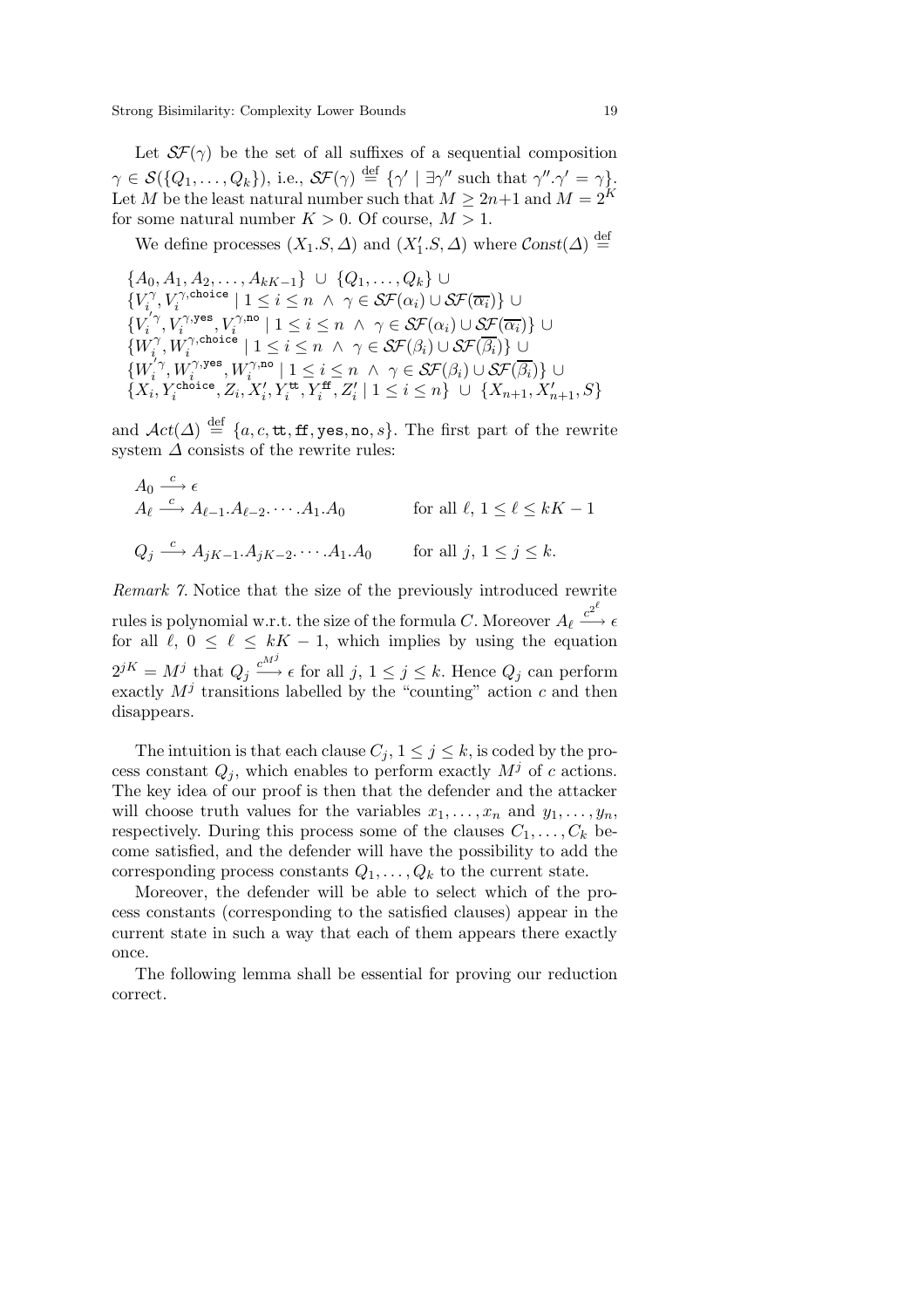Let  $\mathcal{SF}(\gamma)$  be the set of all suffixes of a sequential composition  $\gamma \in \mathcal{S}(\{Q_1,\ldots,Q_k\}),$  i.e.,  $\mathcal{SF}(\gamma) \stackrel{\text{def}}{=} {\{\gamma' \mid \exists \gamma'' \text{ such that } \gamma'', \gamma' = \gamma\}}.$ Let M be the least natural number such that  $M \geq 2n+1$  and  $M = 2^K$ for some natural number  $K > 0$ . Of course,  $M > 1$ .

We define processes  $(X_1.S,\Delta)$  and  $(X'_1.S,\Delta)$  where  $Const(\Delta) \stackrel{\text{def}}{=}$ 

$$
\{A_0, A_1, A_2, \ldots, A_{kK-1}\} \cup \{Q_1, \ldots, Q_k\} \cup \{V_i^{\gamma}, V_i^{\gamma, \text{choice}} | 1 \le i \le n \land \gamma \in \mathcal{SF}(\alpha_i) \cup \mathcal{SF}(\overline{\alpha_i})\} \cup \{V_i^{'\gamma}, V_i^{\gamma, \text{yes}}, V_i^{\gamma, \text{no}} | 1 \le i \le n \land \gamma \in \mathcal{SF}(\alpha_i) \cup \mathcal{SF}(\overline{\alpha_i})\} \cup \{W_i^{\gamma}, W_i^{\gamma, \text{choice}} | 1 \le i \le n \land \gamma \in \mathcal{SF}(\beta_i) \cup \mathcal{SF}(\overline{\beta_i})\} \cup \{W_i^{'\gamma}, W_i^{\gamma, \text{yes}}, W_i^{\gamma, \text{no}} | 1 \le i \le n \land \gamma \in \mathcal{SF}(\beta_i) \cup \mathcal{SF}(\overline{\beta_i})\} \cup \{X_i, Y_i^{\text{choice}}, Z_i, X_i^{\prime}, Y_i^{\text{tt}}, Y_i^{\text{ft}}, Z_i^{\prime} | 1 \le i \le n\} \cup \{X_{n+1}, X_{n+1}^{\prime}, S\}
$$

and  $\mathcal{A}ct(\Delta) \stackrel{\text{def}}{=} \{a, c, \texttt{tt}, \texttt{ff}, \texttt{yes}, \texttt{no}, s\}.$  The first part of the rewrite system  $\Delta$  consists of the rewrite rules:

$$
A_0 \xrightarrow{c} \epsilon
$$
  
\n
$$
A_\ell \xrightarrow{c} A_{\ell-1}.A_{\ell-2}. \cdots .A_1.A_0 \qquad \text{for all } \ell, 1 \le \ell \le kK - 1
$$
  
\n
$$
Q_j \xrightarrow{c} A_{jK-1}.A_{jK-2}. \cdots .A_1.A_0 \qquad \text{for all } j, 1 \le j \le k.
$$

*Remark 7.* Notice that the size of the previously introduced rewrite rules is polynomial w.r.t. the size of the formula  $C.$  Moreover  $A_\ell \stackrel{c^{2^\ell}}{\longrightarrow} \epsilon$ for all  $\ell$ ,  $0 \leq \ell \leq kK - 1$ , which implies by using the equation  $2^{jK} = M^j$  that  $Q_j \stackrel{c^{M^j}}{\longrightarrow} \epsilon$  for all  $j, 1 \leq j \leq k$ . Hence  $Q_j$  can perform exactly  $M^j$  transitions labelled by the "counting" action c and then disappears.

The intuition is that each clause  $C_j$ ,  $1 \leq j \leq k$ , is coded by the process constant  $Q_j$ , which enables to perform exactly  $M^j$  of c actions. The key idea of our proof is then that the defender and the attacker will choose truth values for the variables  $x_1, \ldots, x_n$  and  $y_1, \ldots, y_n$ , respectively. During this process some of the clauses  $C_1, \ldots, C_k$  become satisfied, and the defender will have the possibility to add the corresponding process constants  $Q_1, \ldots, Q_k$  to the current state.

Moreover, the defender will be able to select which of the process constants (corresponding to the satisfied clauses) appear in the current state in such a way that each of them appears there exactly once.

The following lemma shall be essential for proving our reduction correct.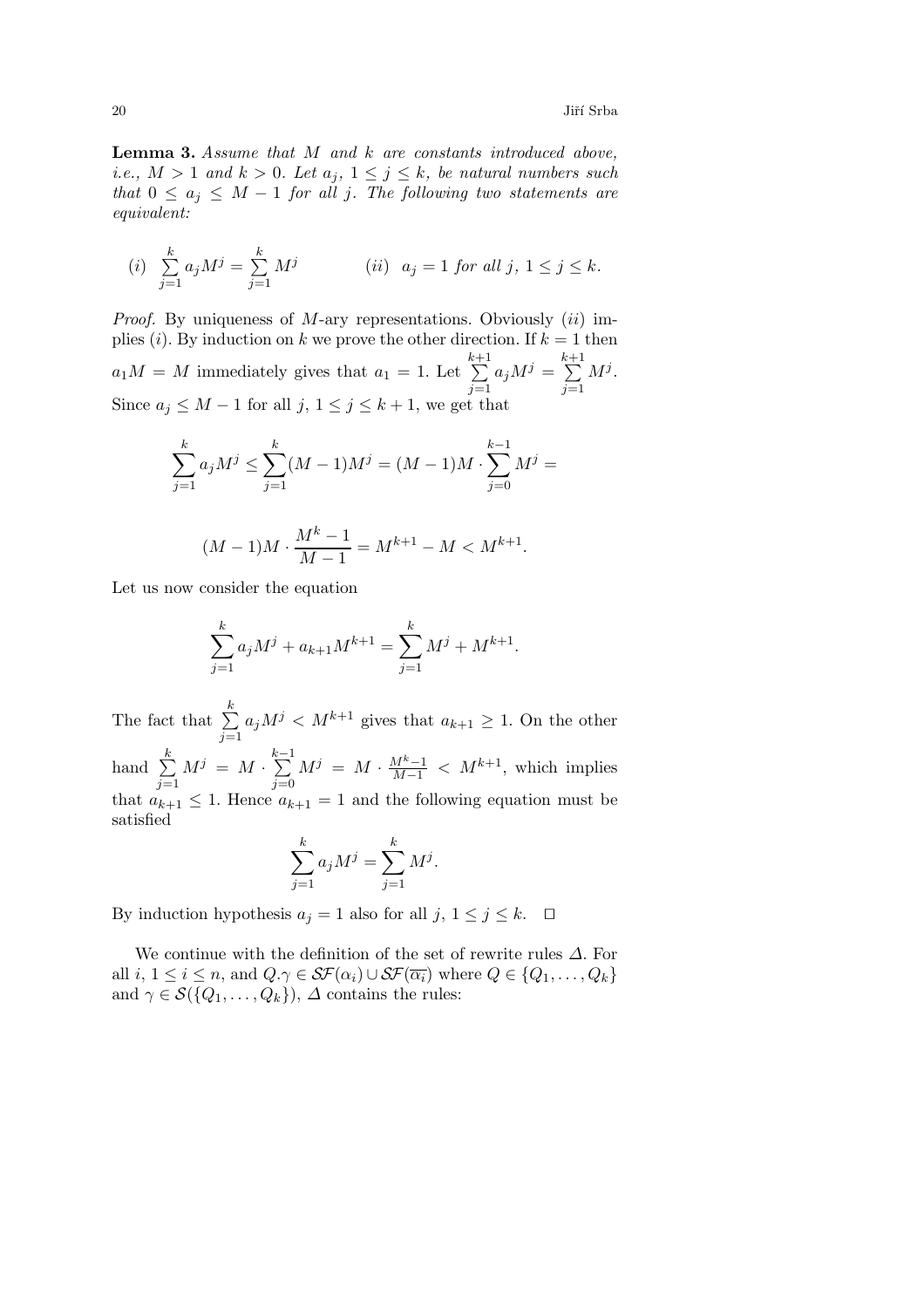**Lemma 3.** *Assume that* M *and* k *are constants introduced above, i.e.,*  $M > 1$  *and*  $k > 0$ *. Let*  $a_j$ *,*  $1 \leq j \leq k$ *, be natural numbers such that*  $0 \leq a_i \leq M - 1$  *for all j. The following two statements are equivalent:*

(i) 
$$
\sum_{j=1}^{k} a_j M^j = \sum_{j=1}^{k} M^j
$$
 (ii)  $a_j = 1$  for all  $j, 1 \le j \le k$ .

*Proof.* By uniqueness of M-ary representations. Obviously *(ii)* implies (i). By induction on k we prove the other direction. If  $k = 1$  then  $a_1M = M$  immediately gives that  $a_1 = 1$ . Let  $\sum^{k+1}$  $\sum_{j=1}$  $a_j M^j = \sum^{k+1}$  $\sum_{j=1}$  $M^j$ . Since  $a_j \leq M - 1$  for all  $j, 1 \leq j \leq k + 1$ , we get that

$$
\sum_{j=1}^{k} a_j M^j \le \sum_{j=1}^{k} (M-1)M^j = (M-1)M \cdot \sum_{j=0}^{k-1} M^j =
$$
  

$$
(M-1)M \cdot \frac{M^k - 1}{M-1} = M^{k+1} - M < M^{k+1}.
$$

Let us now consider the equation

$$
\sum_{j=1}^{k} a_j M^j + a_{k+1} M^{k+1} = \sum_{j=1}^{k} M^j + M^{k+1}.
$$

The fact that  $\sum_{k=1}^{k}$  $\sum_{j=1}$  $a_jM^j \lt M^{k+1}$  gives that  $a_{k+1} \geq 1$ . On the other hand  $\sum_{k=1}^{k}$  $\sum_{j=1}$  $M^j = M \cdot \sum^{k-1}$  $\sum_{j=0}$  $M^{j} = M \cdot \frac{M^{k}-1}{M-1} < M^{k+1}$ , which implies that  $a_{k+1} \leq 1$ . Hence  $a_{k+1} = 1$  and the following equation must be satisfied

$$
\sum_{j=1}^{k} a_j M^j = \sum_{j=1}^{k} M^j.
$$

By induction hypothesis  $a_j = 1$  also for all  $j, 1 \le j \le k$ .  $\Box$ 

We continue with the definition of the set of rewrite rules  $\Delta$ . For all  $i, 1 \leq i \leq n$ , and  $Q.\gamma \in \mathcal{SF}(\alpha_i) \cup \mathcal{SF}(\overline{\alpha_i})$  where  $Q \in \{Q_1, \ldots, Q_k\}$ and  $\gamma \in \mathcal{S}(\{Q_1,\ldots,Q_k\})$ ,  $\Delta$  contains the rules: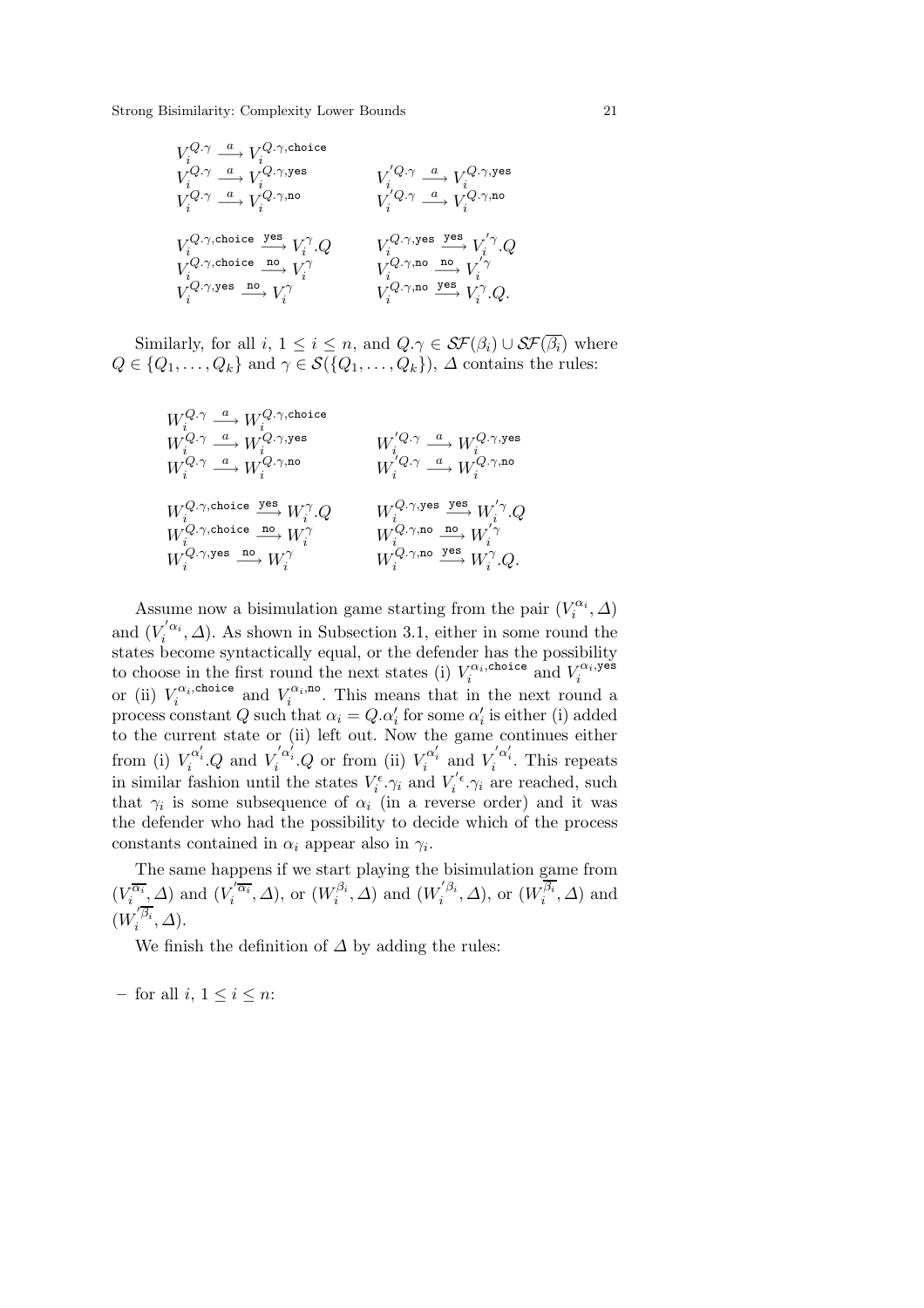V Q.γ i <sup>a</sup> −→ V Q.γ,choice i V Q.γ i <sup>a</sup> −→ V Q.γ,yes <sup>i</sup> <sup>V</sup> <sup>0</sup> Q.γ i <sup>a</sup> −→ V Q.γ,yes i V Q.γ i <sup>a</sup> −→ V Q.γ,no <sup>i</sup> <sup>V</sup> <sup>0</sup> Q.γ i <sup>a</sup> −→ V Q.γ,no i V Q.γ,choice i yes −→ V <sup>γ</sup> <sup>i</sup> .Q V Q.γ,yes i yes −→ V <sup>0</sup> γ <sup>i</sup> .Q V Q.γ,choice i no −→ V <sup>γ</sup> <sup>i</sup> <sup>V</sup> Q.γ,no i no −→ V <sup>0</sup> γ i V Q.γ,yes i no −→ V <sup>γ</sup> <sup>i</sup> <sup>V</sup> Q.γ,no i yes −→ V <sup>γ</sup> <sup>i</sup> .Q.

Similarly, for all i,  $1 \leq i \leq n$ , and  $Q.\gamma \in \mathcal{SF}(\beta_i) \cup \mathcal{SF}(\overline{\beta_i})$  where  $Q \in \{Q_1, \ldots, Q_k\}$  and  $\gamma \in \mathcal{S}(\{Q_1, \ldots, Q_k\})$ ,  $\Delta$  contains the rules:

$$
\begin{array}{llll} W_i^{Q,\gamma} \stackrel{a}{\longrightarrow} W_i^{Q,\gamma,\text{choice}} & & & \\ W_i^{Q,\gamma} \stackrel{a}{\longrightarrow} W_i^{Q,\gamma,\text{geo}} & & W_i^{'Q,\gamma} \stackrel{a}{\longrightarrow} W_i^{Q,\gamma,\text{yes}} \\ W_i^{Q,\gamma} \stackrel{a}{\longrightarrow} W_i^{Q,\gamma,\text{no}} & & W_i^{'Q,\gamma} \stackrel{a}{\longrightarrow} W_i^{Q,\gamma,\text{no}} \\ W_i^{Q,\gamma,\text{choice}} \stackrel{\text{yes}}{\longrightarrow} W_i^{\gamma}.Q & & W_i^{Q,\gamma,\text{yes}} \stackrel{\text{yes}}{\longrightarrow} W_i^{'\gamma}.Q \\ W_i^{Q,\gamma,\text{choice}} \stackrel{\text{no}}{\longrightarrow} W_i^{\gamma} & & W_i^{Q,\gamma,\text{no}} \stackrel{\text{no}}{\longrightarrow} W_i^{'\gamma} \\ W_i^{Q,\gamma,\text{po}} & & W_i^{Q,\gamma,\text{no}} \stackrel{\text{no}}{\longrightarrow} W_i^{'\gamma}.Q. \end{array}
$$

Assume now a bisimulation game starting from the pair  $(V_i^{\alpha_i}, \Delta)$ and  $(V_i^{'\alpha_i}, \Delta)$ . As shown in Subsection 3.1, either in some round the states become syntactically equal, or the defender has the possibility to choose in the first round the next states (i)  $V_i^{\alpha_i, \text{choice}}$  and  $V_i^{\alpha_i, \text{price}}$  or (ii)  $V_i^{\alpha_i, \text{choice}}$  and  $V_i^{\alpha_i, \text{noise}}$ . This means that in the next round a process constant  $Q$  such that  $\alpha_i = Q \cdot \alpha'_i$  for some  $\alpha'_i$  is either (i) added to the current state or (ii) left out. Now the game continues either from (i)  $V_i^{\alpha'_i} Q$  and  $V_i^{'\alpha'_i} Q$  or from (ii)  $V_i^{\alpha'_i}$  and  $V_i^{'\alpha'_i}$ . This repeats in similar fashion until the states  $V_i^{\epsilon} \cdot \gamma_i$  and  $V_i^{\prime \epsilon} \cdot \gamma_i$  are reached, such that  $\gamma_i$  is some subsequence of  $\alpha_i$  (in a reverse order) and it was the defender who had the possibility to decide which of the process constants contained in  $\alpha_i$  appear also in  $\gamma_i$ .

The same happens if we start playing the bisimulation game from  $(V_i^{\overline{\alpha_i}}, \Delta)$  and  $(V_i^{'\overline{\alpha_i}}, \Delta)$ , or  $(W_i^{\beta_i}, \Delta)$  and  $(W_i^{'\beta_i}, \Delta)$ , or  $(W_i^{\beta_i}, \Delta)$  and  $(W_i^{'\beta_i}, \Delta).$ 

We finish the definition of  $\Delta$  by adding the rules:

 $-$  for all *i*,  $1 \leq i \leq n$ :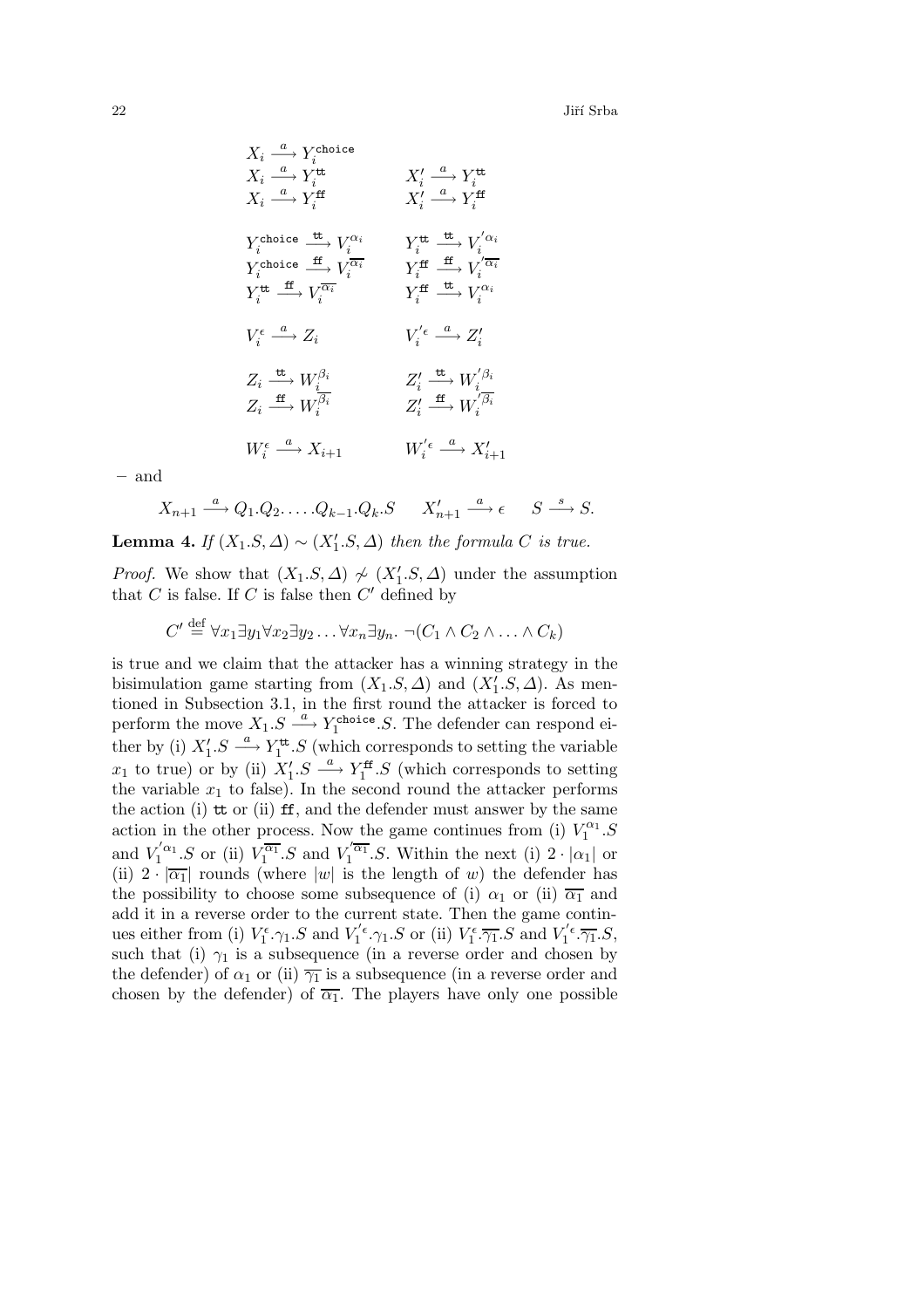$$
\begin{array}{ccc} X_i \stackrel{a}{\longrightarrow} Y_i^{\text{choice}} & & \\ X_i \stackrel{a}{\longrightarrow} Y_i^{\text{tt}} & & X_i' \stackrel{a}{\longrightarrow} Y_i^{\text{tt}} \\ X_i \stackrel{a}{\longrightarrow} Y_i^{\text{ff}} & & X_i' \stackrel{a}{\longrightarrow} Y_i^{\text{tt}} \\ Y_i^{\text{choice}} \stackrel{\text{tt}}{\longrightarrow} Y_i^{\text{ff}} & & X_i' \stackrel{a}{\longrightarrow} Y_i^{\text{ff}} \\ Y_i^{\text{choice}} \stackrel{\text{tt}}{\longrightarrow} V_i^{\alpha_i} & & Y_i^{\text{tt}} \stackrel{\text{tt}}{\longrightarrow} V_i^{'\alpha_i} \\ Y_i^{\text{choice}} \stackrel{\text{tt}}{\longrightarrow} V_i^{\overline{\alpha_i}} & & Y_i^{\text{ff}} \stackrel{\text{tt}}{\longrightarrow} V_i^{'\alpha_i} \\ Y_i^{\text{tt}} \stackrel{\text{tt}}{\longrightarrow} V_i^{\overline{\alpha_i}} & & Y_i^{\text{ff}} \stackrel{\text{tt}}{\longrightarrow} V_i^{'\alpha_i} \\ Y_i^{\text{tt}} \stackrel{\text{tt}}{\longrightarrow} V_i^{'\alpha_i} & & Y_i^{\text{ff}} \stackrel{\text{tt}}{\longrightarrow} V_i^{'\alpha_i} \\ Y_i^{\text{tt}} \stackrel{\text{tt}}{\longrightarrow} V_i^{'\alpha_i} & & Y_i^{\text{tt}} \stackrel{\text{tt}}{\longrightarrow} V_i^{'\alpha_i} \\ Z_i \stackrel{\text{tt}}{\longrightarrow} W_i^{\beta_i} & & Z_i' \stackrel{\text{tt}}{\longrightarrow} W_i^{'\beta_i} \\ Z_i \stackrel{\text{tt}}{\longrightarrow} W_i^{'\beta_i} & & Z_i' \stackrel{\text{tt}}{\longrightarrow} W_i^{'\beta_i} \\ W_i^{\epsilon} \stackrel{a}{\longrightarrow} X_{i+1} & & W_i^{'\epsilon} \stackrel{a}{\longrightarrow} X_{i+1}' \\ \end{array}
$$

**–** and

$$
X_{n+1} \xrightarrow{a} Q_1 \cdot Q_2 \cdot \ldots \cdot Q_{k-1} \cdot Q_k \cdot S \qquad X'_{n+1} \xrightarrow{a} \epsilon \qquad S \xrightarrow{s} S.
$$

**Lemma 4.** *If*  $(X_1.S, \Delta) \sim (X'_1.S, \Delta)$  *then the formula C is true.* 

*Proof.* We show that  $(X_1.S,\Delta) \nsim (X'_1.S,\Delta)$  under the assumption that  $C$  is false. If  $C$  is false then  $C'$  defined by

$$
C' \stackrel{\text{def}}{=} \forall x_1 \exists y_1 \forall x_2 \exists y_2 \dots \forall x_n \exists y_n. \ \neg(C_1 \land C_2 \land \dots \land C_k)
$$

is true and we claim that the attacker has a winning strategy in the bisimulation game starting from  $(X_1.S,\Delta)$  and  $(X'_1.S,\Delta)$ . As mentioned in Subsection 3.1, in the first round the attacker is forced to perform the move  $X_1.S \xrightarrow{a} Y_1^{\text{choice}}.S.$  The defender can respond either by (i)  $X'_1.S \stackrel{a}{\longrightarrow} Y_1^{\mathsf{tt}}.S$  (which corresponds to setting the variable  $x_1$  to true) or by (ii)  $X'_1.S \stackrel{a}{\longrightarrow} Y_1^{\text{ff}}.S$  (which corresponds to setting the variable  $x_1$  to false). In the second round the attacker performs the action (i)  $\pm$  or (ii)  $\pm$ , and the defender must answer by the same action in the other process. Now the game continues from (i)  $V_1^{\alpha_1}.S$ and  $V_1^{'\alpha_1}.S$  or (ii)  $V_1^{\overline{\alpha_1}}.S$  and  $V_1^{'\overline{\alpha_1}}.S$ . Within the next (i)  $2 \cdot |\alpha_1|$  or (ii)  $2 \cdot |\overline{\alpha_1}|$  rounds (where |w| is the length of w) the defender has the possibility to choose some subsequence of (i)  $\alpha_1$  or (ii)  $\overline{\alpha_1}$  and add it in a reverse order to the current state. Then the game continues either from (i)  $V_1^{\epsilon} \gamma_1 S$  and  $V_1^{'\epsilon} \gamma_1 S$  or (ii)  $V_1^{\epsilon} \overline{\gamma_1} S$  and  $V_1^{'\epsilon} \overline{\gamma_1} S$ , such that (i)  $\gamma_1$  is a subsequence (in a reverse order and chosen by the defender) of  $\alpha_1$  or (ii)  $\overline{\gamma_1}$  is a subsequence (in a reverse order and chosen by the defender) of  $\overline{\alpha_1}$ . The players have only one possible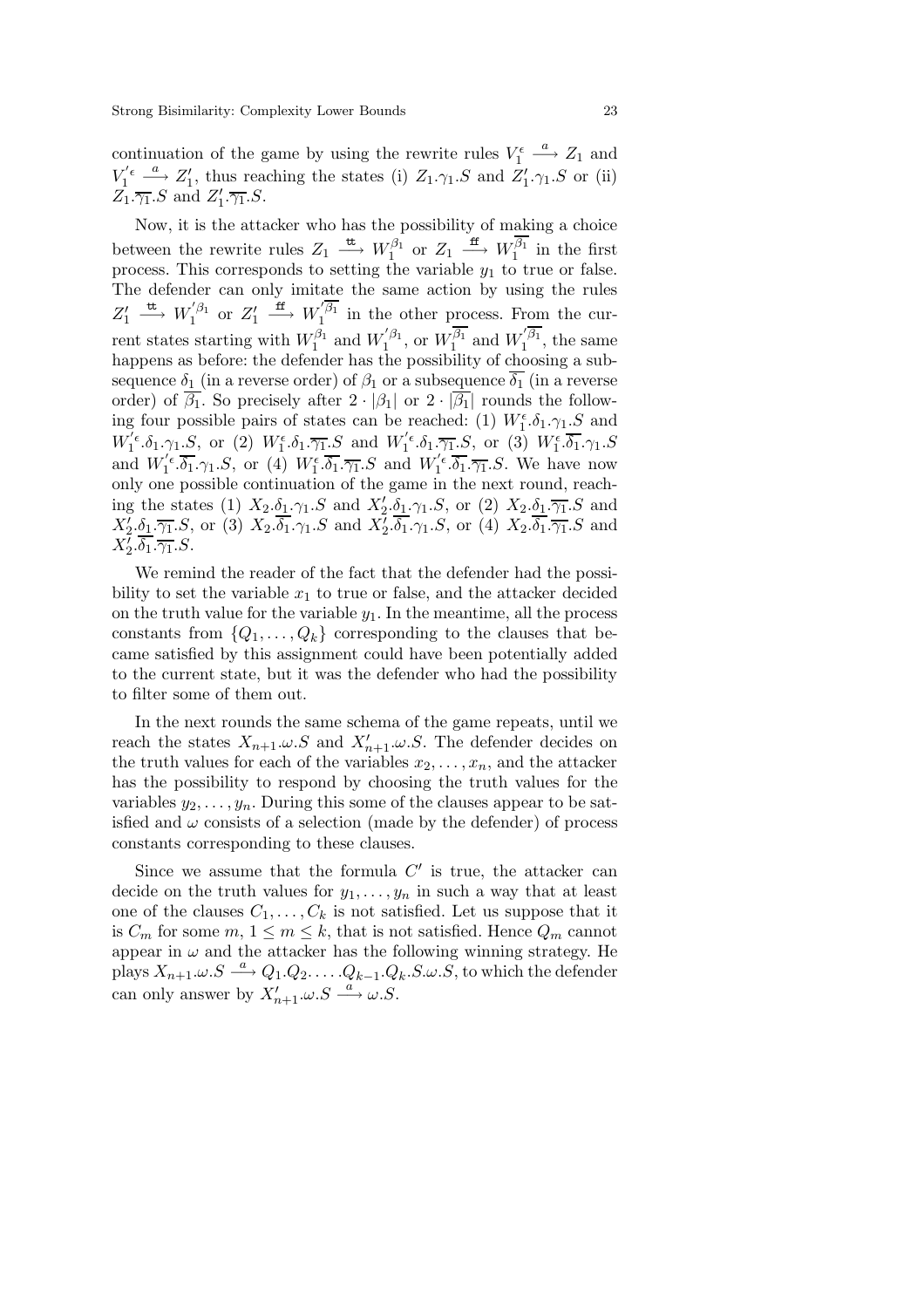continuation of the game by using the rewrite rules  $V_1^{\epsilon} \stackrel{a}{\longrightarrow} Z_1$  and  $V_1^{'\epsilon} \stackrel{a}{\longrightarrow} Z_1'$ , thus reaching the states (i)  $Z_1.\gamma_1.S$  and  $Z_1'.\gamma_1.S$  or (ii)  $Z_1.\overline{\gamma_1}.S$  and  $Z'_1.\overline{\gamma_1}.S$ .

Now, it is the attacker who has the possibility of making a choice between the rewrite rules  $Z_1 \stackrel{\text{tt}}{\longrightarrow} W_1^{\beta_1}$  or  $Z_1 \stackrel{\text{ff}}{\longrightarrow} W_1^{\overline{\beta_1}}$  in the first process. This corresponds to setting the variable  $y_1$  to true or false. The defender can only imitate the same action by using the rules  $Z'_1 \stackrel{\text{tt}}{\longrightarrow} W_1^{'\beta_1}$  or  $Z'_1 \stackrel{\text{ff}}{\longrightarrow} W_1^{'\overline{\beta_1}}$  in the other process. From the current states starting with  $W_1^{\beta_1}$  and  $W_1^{'\beta_1}$ , or  $W_1^{\beta_1}$  and  $W_1^{'\beta_1}$ , the same happens as before: the defender has the possibility of choosing a subsequence  $\delta_1$  (in a reverse order) of  $\beta_1$  or a subsequence  $\overline{\delta_1}$  (in a reverse order) of  $\beta_1$ . So precisely after  $2 \cdot |\beta_1|$  or  $2 \cdot |\beta_1|$  rounds the following four possible pairs of states can be reached: (1)  $W_1^{\epsilon}$ . $\delta_1$ . $\gamma_1$ .S and  $W_1^{'\epsilon}. \delta_1.\gamma_1.S, \text{ or } (2) W_1^{\epsilon}. \delta_1.\overline{\gamma_1}.S \text{ and } W_1^{'\epsilon}. \delta_1.\overline{\gamma_1}.S, \text{ or } (3) W_1^{\epsilon}.\overline{\delta_1}.\gamma_1.S$ and  $W_1^{'\epsilon} \cdot \overline{\delta_1} \cdot \gamma_1 S$ , or (4)  $W_1^{\epsilon} \cdot \overline{\delta_1} \cdot \overline{\gamma_1} S$  and  $W_1^{'\epsilon} \cdot \overline{\delta_1} \cdot \overline{\gamma_1} S$ . We have now only one possible continuation of the game in the next round, reaching the states (1)  $X_2.\delta_1.\gamma_1.S$  and  $X'_2.\delta_1.\gamma_1.S$ , or (2)  $X_2.\delta_1.\overline{\gamma_1}.S$  and  $X_2' \delta_1 \cdot \overline{\gamma_1}.S$ , or (3)  $X_2 \cdot \delta_1 \cdot \gamma_1.S$  and  $X_2' \cdot \delta_1 \cdot \gamma_1.S$ , or (4)  $X_2 \cdot \delta_1 \cdot \overline{\gamma_1}.S$  and  $X_2'.\delta_1.\overline{\gamma_1}.S.$ 

We remind the reader of the fact that the defender had the possibility to set the variable  $x_1$  to true or false, and the attacker decided on the truth value for the variable  $y_1$ . In the meantime, all the process constants from  $\{Q_1,\ldots,Q_k\}$  corresponding to the clauses that became satisfied by this assignment could have been potentially added to the current state, but it was the defender who had the possibility to filter some of them out.

In the next rounds the same schema of the game repeats, until we reach the states  $X_{n+1} \omega S$  and  $X'_{n+1} \omega S$ . The defender decides on the truth values for each of the variables  $x_2, \ldots, x_n$ , and the attacker has the possibility to respond by choosing the truth values for the variables  $y_2, \ldots, y_n$ . During this some of the clauses appear to be satisfied and  $\omega$  consists of a selection (made by the defender) of process constants corresponding to these clauses.

Since we assume that the formula  $C'$  is true, the attacker can decide on the truth values for  $y_1, \ldots, y_n$  in such a way that at least one of the clauses  $C_1, \ldots, C_k$  is not satisfied. Let us suppose that it is  $C_m$  for some  $m, 1 \leq m \leq k$ , that is not satisfied. Hence  $Q_m$  cannot appear in  $\omega$  and the attacker has the following winning strategy. He plays  $X_{n+1}\omega.S \stackrel{a}{\longrightarrow} Q_1.Q_2.\ldots.Q_{k-1}.Q_k.S.\omega.S$ , to which the defender can only answer by  $X'_{n+1} \omega S \stackrel{a}{\longrightarrow} \omega S$ .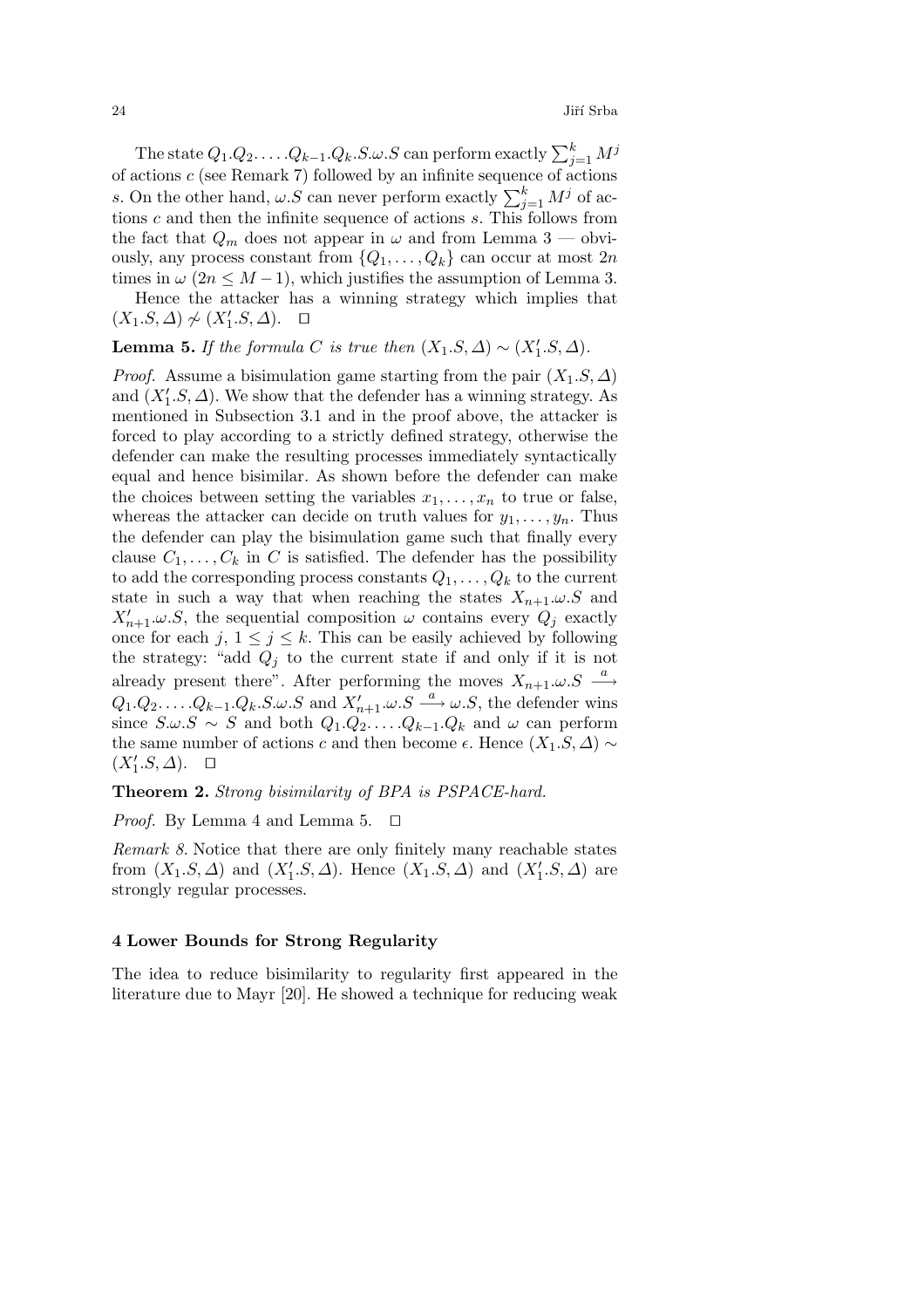$24$  Jiří Srba

The state  $Q_1 . Q_2 . \ldots . Q_{k-1} . Q_k . S . \omega . S$  can perform exactly  $\sum_{j=1}^k M^j$ of actions c (see Remark 7) followed by an infinite sequence of actions s. On the other hand,  $\omega.S$  can never perform exactly  $\sum_{j=1}^{k} M^j$  of actions  $c$  and then the infinite sequence of actions  $s$ . This follows from the fact that  $Q_m$  does not appear in  $\omega$  and from Lemma 3 — obviously, any process constant from  $\{Q_1, \ldots, Q_k\}$  can occur at most  $2n$ times in  $\omega$  (2n  $\leq M-1$ ), which justifies the assumption of Lemma 3.

Hence the attacker has a winning strategy which implies that  $(X_1.S, \Delta) \not\sim (X'_1.S, \Delta)$ . □

**Lemma 5.** *If the formula* C *is true then*  $(X_1.S, \Delta) \sim (X'_1.S, \Delta)$ *.* 

*Proof.* Assume a bisimulation game starting from the pair  $(X_1.S, \Delta)$ and  $(X_1'.S,\Delta)$ . We show that the defender has a winning strategy. As mentioned in Subsection 3.1 and in the proof above, the attacker is forced to play according to a strictly defined strategy, otherwise the defender can make the resulting processes immediately syntactically equal and hence bisimilar. As shown before the defender can make the choices between setting the variables  $x_1, \ldots, x_n$  to true or false, whereas the attacker can decide on truth values for  $y_1, \ldots, y_n$ . Thus the defender can play the bisimulation game such that finally every clause  $C_1, \ldots, C_k$  in C is satisfied. The defender has the possibility to add the corresponding process constants  $Q_1, \ldots, Q_k$  to the current state in such a way that when reaching the states  $X_{n+1} \omega S$  and  $X'_{n+1} \omega S$ , the sequential composition  $\omega$  contains every  $Q_j$  exactly once for each j,  $1 \leq j \leq k$ . This can be easily achieved by following the strategy: "add  $Q_i$  to the current state if and only if it is not already present there". After performing the moves  $X_{n+1} \omega S \stackrel{a}{\longrightarrow}$  $Q_1 \cdot Q_2 \cdot \ldots \cdot Q_{k-1} \cdot Q_k \cdot S \cdot \omega \cdot S$  and  $X'_{n+1} \cdot \omega \cdot S \xrightarrow{a} \omega \cdot S$ , the defender wins since  $S.\omega.S \sim S$  and both  $Q_1.Q_2.\ldots.Q_{k-1}.Q_k$  and  $\omega$  can perform the same number of actions c and then become  $\epsilon$ . Hence  $(X_1.S,\Delta) \sim$  $(X'_1.S,\Delta)$ .  $\Box$ 

# **Theorem 2.** *Strong bisimilarity of BPA is PSPACE-hard.*

*Proof.* By Lemma 4 and Lemma 5.  $\Box$ 

*Remark 8.* Notice that there are only finitely many reachable states from  $(X_1.S,\Delta)$  and  $(X'_1.S,\Delta)$ . Hence  $(X_1.S,\Delta)$  and  $(X'_1.S,\Delta)$  are strongly regular processes.

# **4 Lower Bounds for Strong Regularity**

The idea to reduce bisimilarity to regularity first appeared in the literature due to Mayr [20]. He showed a technique for reducing weak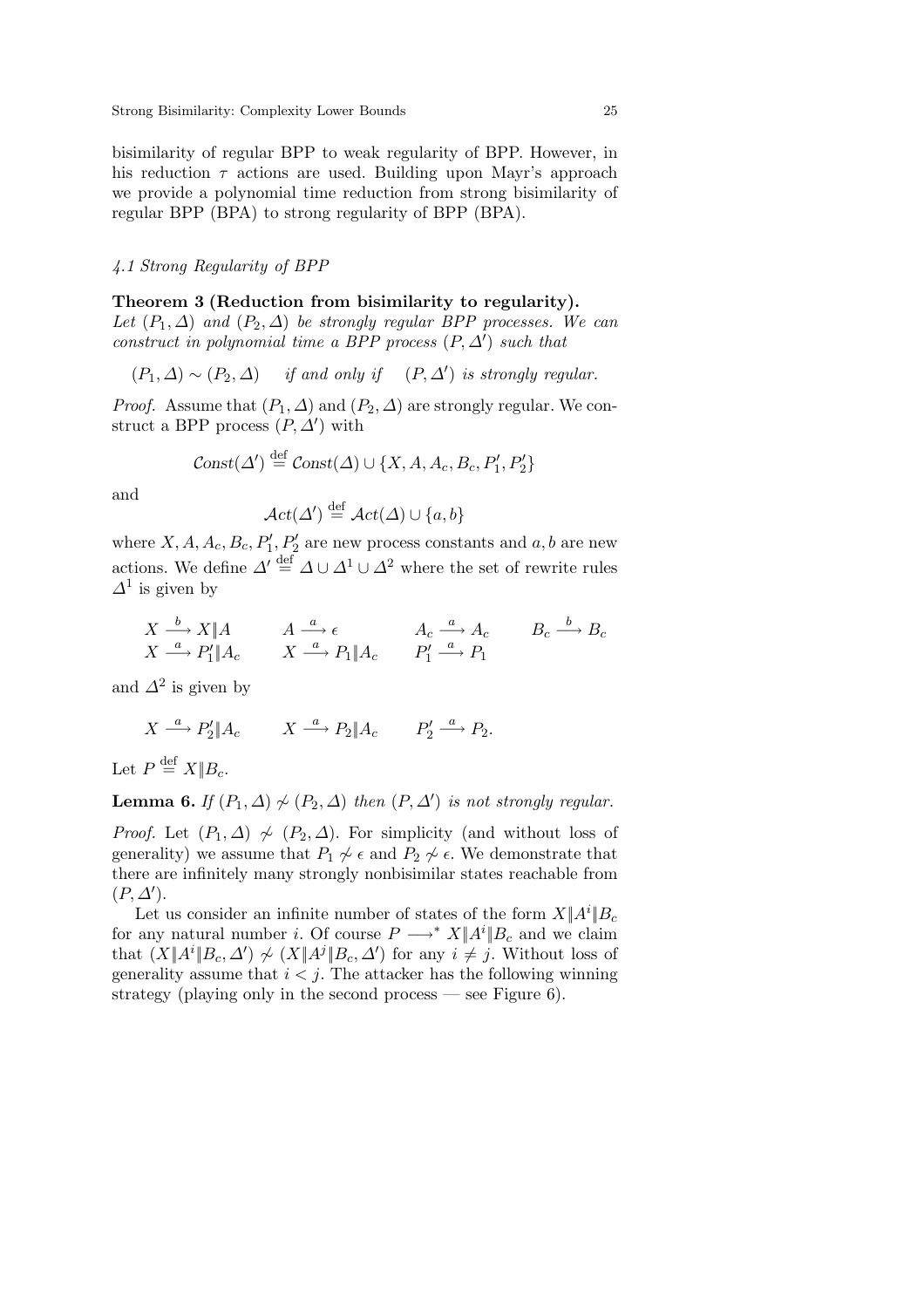bisimilarity of regular BPP to weak regularity of BPP. However, in his reduction  $\tau$  actions are used. Building upon Mayr's approach we provide a polynomial time reduction from strong bisimilarity of regular BPP (BPA) to strong regularity of BPP (BPA).

# *4.1 Strong Regularity of BPP*

# **Theorem 3 (Reduction from bisimilarity to regularity).**

*Let*  $(P_1, \Delta)$  *and*  $(P_2, \Delta)$  *be strongly regular BPP processes. We can construct in polynomial time a BPP process*  $(P, \Delta')$  *such that* 

$$
(P_1, \Delta) \sim (P_2, \Delta)
$$
 if and only if  $(P, \Delta')$  is strongly regular.

*Proof.* Assume that  $(P_1, \Delta)$  and  $(P_2, \Delta)$  are strongly regular. We construct a BPP process  $(P, \Delta')$  with

$$
Const(\Delta') \stackrel{\text{def}}{=} Const(\Delta) \cup \{X, A, A_c, B_c, P'_1, P'_2\}
$$

and

$$
\mathcal{A}ct(\varDelta')\stackrel{{\rm def}}{=}\mathcal{A}ct(\varDelta)\cup\{a,b\}
$$

where  $X, A, A_c, B_c, P'_1, P'_2$  are new process constants and  $a, b$  are new actions. We define  $\Delta' \stackrel{\text{def}}{=} \Delta \cup \Delta^1 \cup \Delta^2$  where the set of rewrite rules  $\Delta^1$  is given by

$$
\begin{array}{ccc}\nX \xrightarrow{b} X \| A & A \xrightarrow{a} \epsilon & A_c \xrightarrow{a} A_c & B_c \xrightarrow{b} B_c \\
X \xrightarrow{a} P'_1 \| A_c & X \xrightarrow{a} P_1 \| A_c & P'_1 \xrightarrow{a} P_1\n\end{array}
$$

and  $\Delta^2$  is given by

$$
X \xrightarrow{a} P_2' \| A_c \qquad X \xrightarrow{a} P_2 \| A_c \qquad P_2' \xrightarrow{a} P_2.
$$

Let  $P \stackrel{\text{def}}{=} X \parallel B_c$ .

**Lemma 6.** *If*  $(P_1, \Delta) \nsim (P_2, \Delta)$  *then*  $(P, \Delta')$  *is not strongly regular.* 

*Proof.* Let  $(P_1, \Delta) \nsim (P_2, \Delta)$ . For simplicity (and without loss of generality) we assume that  $P_1 \not\sim \epsilon$  and  $P_2 \not\sim \epsilon$ . We demonstrate that there are infinitely many strongly nonbisimilar states reachable from  $(P, \Delta').$ 

Let us consider an infinite number of states of the form  $X||A^i||B_c$ for any natural number *i*. Of course  $P \longrightarrow^* X \mid A^i \mid B_c$  and we claim that  $(X||A^i||B_c, \Delta') \nsim (X||A^j||B_c, \Delta')$  for any  $i \neq j$ . Without loss of generality assume that  $i < j$ . The attacker has the following winning strategy (playing only in the second process  $-$  see Figure 6).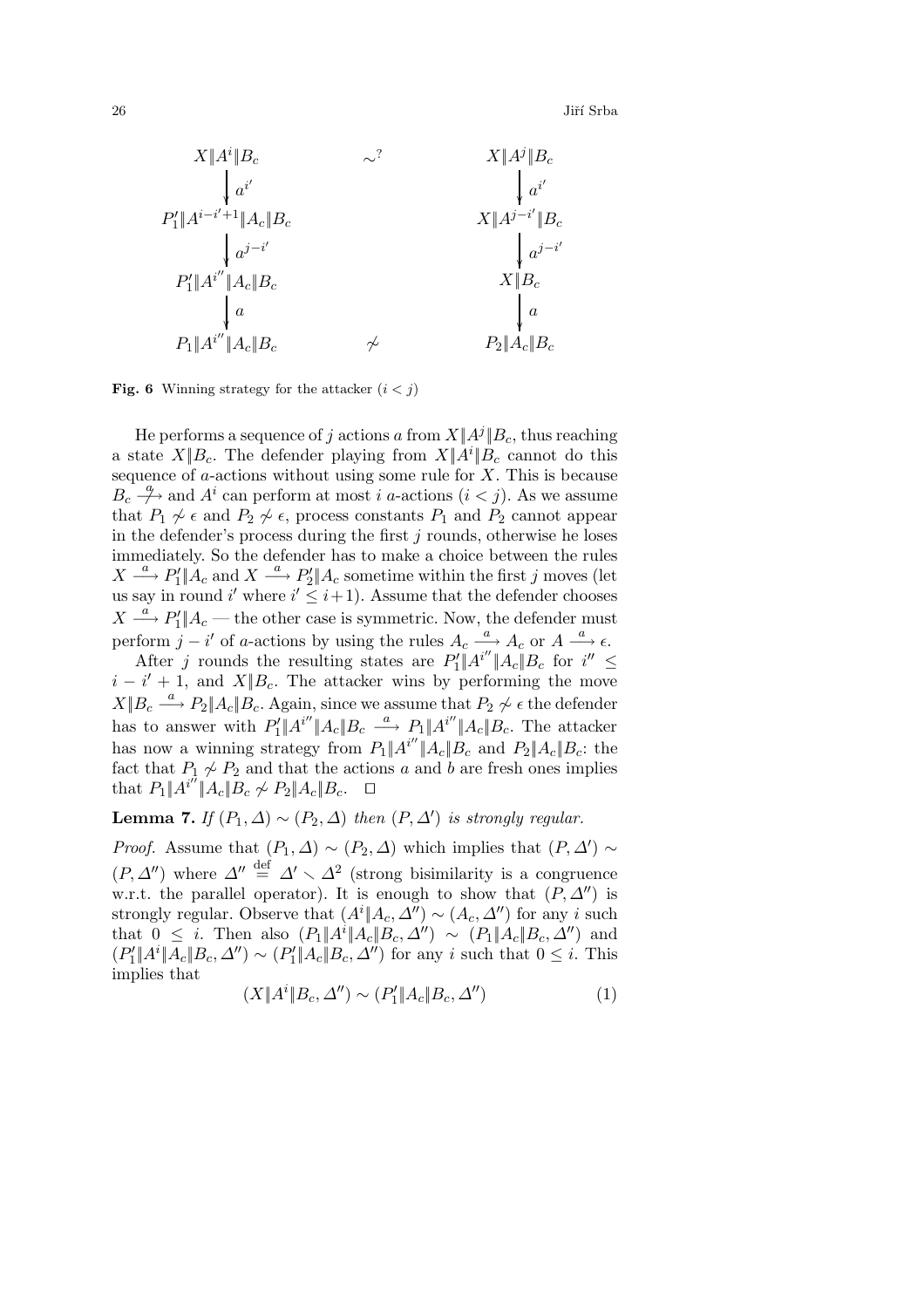$26$  Jiří Srba



**Fig. 6** Winning strategy for the attacker  $(i < j)$ 

He performs a sequence of j actions a from  $X||A^j||B_c$ , thus reaching a state  $X||B_c$ . The defender playing from  $X||A^i||B_c$  cannot do this sequence of  $a$ -actions without using some rule for  $X$ . This is because  $B_c \stackrel{a}{\longrightarrow}$  and  $A^i$  can perform at most i a-actions  $(i < j)$ . As we assume that  $P_1 \nsim \epsilon$  and  $P_2 \nsim \epsilon$ , process constants  $P_1$  and  $P_2$  cannot appear in the defender's process during the first  $j$  rounds, otherwise he loses immediately. So the defender has to make a choice between the rules  $X \stackrel{a}{\longrightarrow} P'_1 \parallel A_c$  and  $X \stackrel{a}{\longrightarrow} P'_2 \parallel A_c$  sometime within the first j moves (let us say in round i' where  $i' \leq i+1$ ). Assume that the defender chooses  $X \stackrel{a}{\longrightarrow} P'_1 \parallel A_c$  — the other case is symmetric. Now, the defender must perform  $j - i'$  of a-actions by using the rules  $A_c \stackrel{a}{\longrightarrow} A_c$  or  $A \stackrel{a}{\longrightarrow} \epsilon$ .

After j rounds the resulting states are  $P_1'||A^{i''}||A_c||B_c$  for  $i'' \leq$  $i - i' + 1$ , and  $X||B_c$ . The attacker wins by performing the move  $X||B_c \longrightarrow P_2||A_c||B_c$ . Again, since we assume that  $P_2 \not\sim \epsilon$  the defender has to answer with  $P'_1 \| A^{i''} \| A_c \| B_c \stackrel{a}{\longrightarrow} P_1 \| A^{i''} \| A_c \| B_c$ . The attacker has now a winning strategy from  $P_1||A^{i''}||A_c||B_c$  and  $P_2||A_c||B_c$ : the fact that  $P_1 \not\sim P_2$  and that the actions a and b are fresh ones implies that  $P_1||A^{i''}||A_c||B_c \nsim P_2||A_c||B_c$ . □

**Lemma 7.** *If*  $(P_1, \Delta) \sim (P_2, \Delta)$  *then*  $(P, \Delta')$  *is strongly regular.* 

*Proof.* Assume that  $(P_1, \Delta) \sim (P_2, \Delta)$  which implies that  $(P, \Delta') \sim$  $(P, \Delta'')$  where  $\Delta'' \stackrel{\text{def}}{=} \Delta' \setminus \Delta^2$  (strong bisimilarity is a congruence w.r.t. the parallel operator). It is enough to show that  $(P, \Delta'')$  is strongly regular. Observe that  $(A<sup>i</sup>||A<sub>c</sub>, \Delta'') \sim (A<sub>c</sub>, \Delta'')$  for any *i* such that  $0 \leq i$ . Then also  $(P_1 \| A^i \| A_c \| B_c, \Delta'') \sim (P_1 \| A_c \| B_c, \Delta'')$  and  $(P'_1 \| A^i \| A_c \| B_c, \Delta'') \sim (P'_1 \| A_c \| B_c, \Delta'')$  for any i such that  $0 \leq i$ . This implies that

$$
(X \| A^i \| B_c, \Delta'') \sim (P_1' \| A_c \| B_c, \Delta'')
$$
 (1)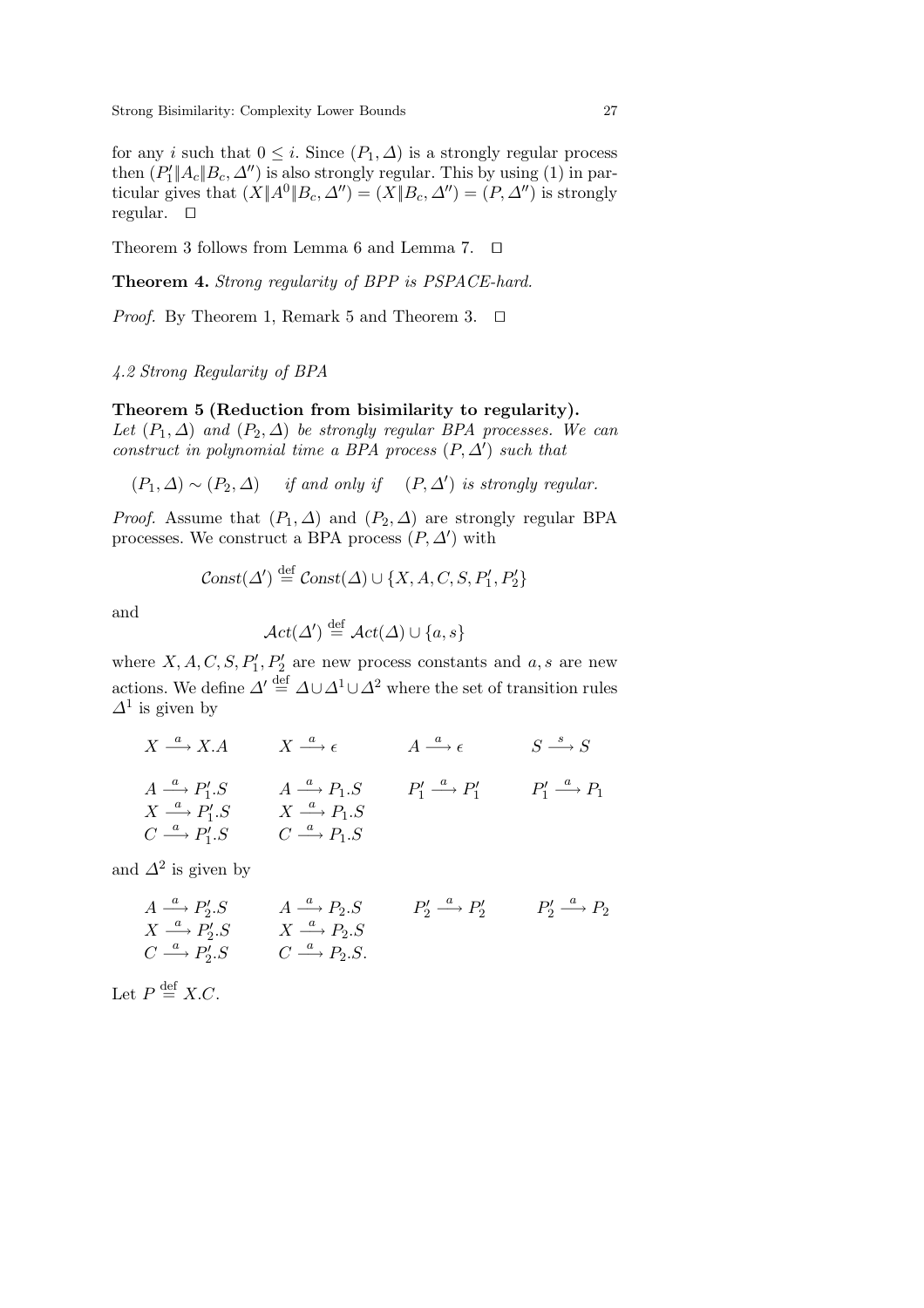for any i such that  $0 \leq i$ . Since  $(P_1, \Delta)$  is a strongly regular process then  $(P'_1 \| A_c \| B_c, \Delta'')$  is also strongly regular. This by using (1) in particular gives that  $(X||A^0||B_c, \Delta'')=(X||B_c, \Delta'')=(P, \Delta'')$  is strongly regular.  $\square$ 

Theorem 3 follows from Lemma 6 and Lemma 7.  $\Box$ 

**Theorem 4.** *Strong regularity of BPP is PSPACE-hard.*

*Proof.* By Theorem 1, Remark 5 and Theorem 3.  $\Box$ 

 $\ddot{\phantom{a}}$ 

# *4.2 Strong Regularity of BPA*

### **Theorem 5 (Reduction from bisimilarity to regularity).**

*Let*  $(P_1, \Delta)$  *and*  $(P_2, \Delta)$  *be strongly regular BPA processes. We can construct in polynomial time a BPA process*  $(P, \Delta')$  *such that* 

 $(P_1, \Delta) \sim (P_2, \Delta)$  *if and only if*  $(P, \Delta')$  *is strongly regular.* 

*Proof.* Assume that  $(P_1, \Delta)$  and  $(P_2, \Delta)$  are strongly regular BPA processes. We construct a BPA process  $(P, \Delta')$  with

$$
Const(\Delta') \stackrel{\text{def}}{=} Const(\Delta) \cup \{X, A, C, S, P'_1, P'_2\}
$$

and

$$
\mathcal{A}ct(\Delta') \stackrel{\text{def}}{=} \mathcal{A}ct(\Delta) \cup \{a, s\}
$$

where  $X, A, C, S, P'_1, P'_2$  are new process constants and  $a, s$  are new actions. We define  $\Delta' \stackrel{\text{def}}{=} \Delta \cup \Delta^1 \cup \Delta^2$  where the set of transition rules  $\Delta^1$  is given by

 $X \xrightarrow{a} X.A \qquad X \xrightarrow{a} \epsilon \qquad A \xrightarrow{a} \epsilon \qquad S \xrightarrow{s} S$  $A \xrightarrow{a} P'_1.S \qquad A \xrightarrow{a} P_1.S \qquad P'_1 \xrightarrow{a} P'_1 \qquad P'_1 \xrightarrow{a} P_1$  $X \stackrel{a}{\longrightarrow} P'_1.S \qquad X \stackrel{a}{\longrightarrow} P_1.S$  $C \stackrel{a}{\longrightarrow} P'_1.S \qquad C \stackrel{a}{\longrightarrow} P_1.S$ 

and  $\Delta^2$  is given by

$$
A \xrightarrow{a} P'_2.S \qquad A \xrightarrow{a} P_2.S \qquad P'_2 \xrightarrow{a} P'_2 \qquad P'_2 \xrightarrow{a} P_2
$$
  
\n
$$
C \xrightarrow{a} P'_2.S \qquad X \xrightarrow{a} P_2.S
$$
  
\n
$$
C \xrightarrow{a} P'_2.S \qquad C \xrightarrow{a} P_2.S.
$$

Let  $P \stackrel{\text{def}}{=} X.C.$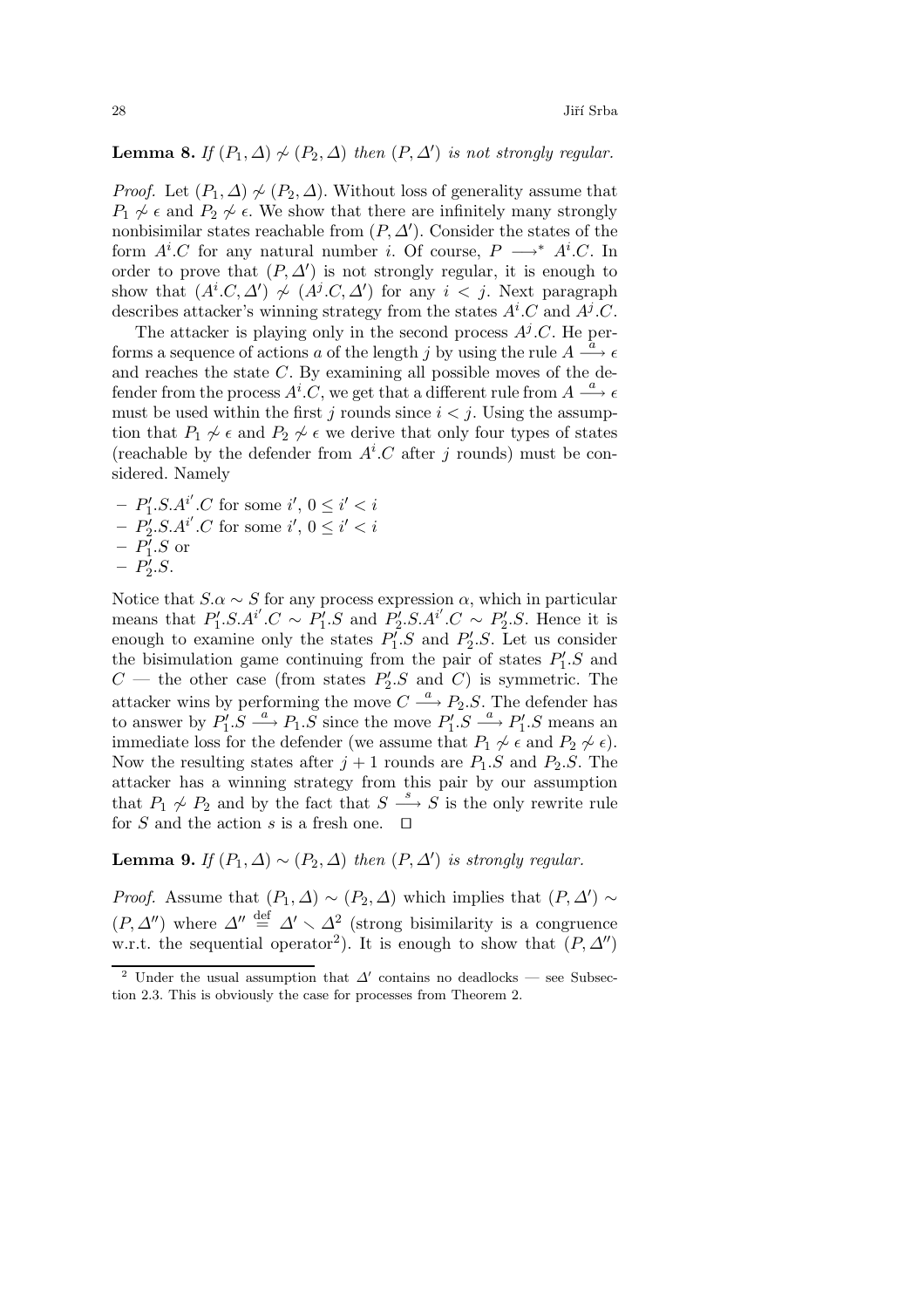# **Lemma 8.** *If*  $(P_1, \Delta) \nsim (P_2, \Delta)$  *then*  $(P, \Delta')$  *is not strongly regular.*

*Proof.* Let  $(P_1, \Delta) \nsim (P_2, \Delta)$ . Without loss of generality assume that  $P_1 \nsim \epsilon$  and  $P_2 \nsim \epsilon$ . We show that there are infinitely many strongly nonbisimilar states reachable from  $(P, \Delta')$ . Consider the states of the form  $A^i.C$  for any natural number *i*. Of course,  $P \longrightarrow^* A^i.C$ . In order to prove that  $(P, \Delta')$  is not strongly regular, it is enough to show that  $(A^i.C, \Delta') \not\sim (A^j.C, \Delta')$  for any  $i < j$ . Next paragraph describes attacker's winning strategy from the states  $A^i$ . C and  $A^j$ . C.

The attacker is playing only in the second process  $A^{j}$ .C. He performs a sequence of actions a of the length j by using the rule  $A \stackrel{a}{\longrightarrow} \epsilon$ and reaches the state C. By examining all possible moves of the defender from the process  $A^i \cdot C$ , we get that a different rule from  $A \stackrel{a}{\longrightarrow} \epsilon$ must be used within the first j rounds since  $i < j$ . Using the assumption that  $P_1 \not\sim \epsilon$  and  $P_2 \not\sim \epsilon$  we derive that only four types of states (reachable by the defender from  $A^i$ .C after j rounds) must be considered. Namely

 $-P'_1.S.A^{i'}.C$  for some  $i', 0 \leq i' < i$  $-P'_2.S.A^{i'}.C$  for some  $i', 0 \leq i' < i$  $- P'_1.S$  or  $- P'_2.S.$ 

Notice that  $S.\alpha \sim S$  for any process expression  $\alpha$ , which in particular means that  $P'_1.S.A^{i'}.C \sim P'_1.S$  and  $P'_2.S.A^{i'}.C \sim P'_2.S$ . Hence it is enough to examine only the states  $P'_1.S$  and  $P'_2.S$ . Let us consider the bisimulation game continuing from the pair of states  $P_1'.S$  and  $C$  — the other case (from states  $P'_2$ . S and C) is symmetric. The attacker wins by performing the move  $C \stackrel{a}{\longrightarrow} P_2.S$ . The defender has to answer by  $P'_1 \text{.} \overline{S} \stackrel{a}{\longrightarrow} P_1 \text{.} \overline{S}$  since the move  $P'_1 \text{.} \overline{S} \stackrel{a}{\longrightarrow} P'_1 \text{.} S$  means an immediate loss for the defender (we assume that  $P_1 \not\sim \epsilon$  and  $P_2 \not\sim \epsilon$ ). Now the resulting states after  $j + 1$  rounds are  $P_1.S$  and  $P_2.S$ . The attacker has a winning strategy from this pair by our assumption that  $P_1 \not\sim P_2$  and by the fact that  $S \stackrel{s}{\longrightarrow} S$  is the only rewrite rule for S and the action s is a fresh one.  $\Box$ 

**Lemma 9.** *If*  $(P_1, \Delta) \sim (P_2, \Delta)$  *then*  $(P, \Delta')$  *is strongly regular.* 

*Proof.* Assume that  $(P_1, \Delta) \sim (P_2, \Delta)$  which implies that  $(P, \Delta') \sim$  $(P, \Delta'')$  where  $\Delta'' \stackrel{\text{def}}{=} \Delta' \setminus \Delta^2$  (strong bisimilarity is a congruence w.r.t. the sequential operator<sup>2</sup>). It is enough to show that  $(P, \Delta'')$ 

<sup>&</sup>lt;sup>2</sup> Under the usual assumption that  $\Delta'$  contains no deadlocks — see Subsection 2.3. This is obviously the case for processes from Theorem 2.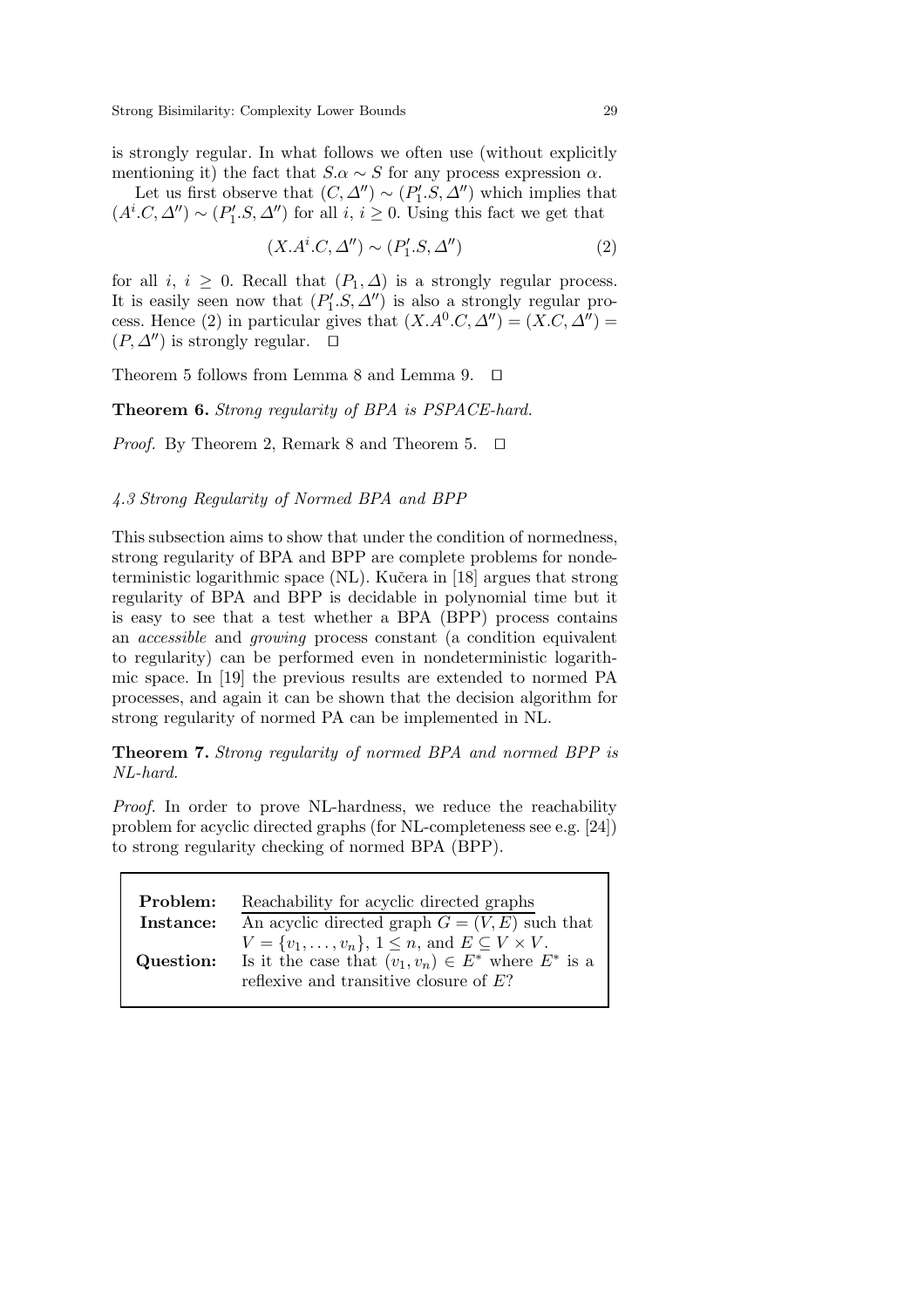is strongly regular. In what follows we often use (without explicitly mentioning it) the fact that  $S.\alpha \sim S$  for any process expression  $\alpha$ .

Let us first observe that  $(C, \Delta'') \sim (P_1'.S, \Delta'')$  which implies that  $(A^i.C, \Delta'') \sim (P'_1.S, \Delta'')$  for all  $i, i \geq 0$ . Using this fact we get that

$$
(X.Ai.C, \Delta'') \sim (P'_1.S, \Delta'')
$$
 (2)

for all *i*,  $i \geq 0$ . Recall that  $(P_1, \Delta)$  is a strongly regular process. It is easily seen now that  $(P_1'.S, \Delta'')$  is also a strongly regular process. Hence (2) in particular gives that  $(X.A^0.C, \Delta'') = (X.C, \Delta'') =$  $(P, \Delta'')$  is strongly regular.  $\Box$ 

Theorem 5 follows from Lemma 8 and Lemma 9.  $\Box$ 

**Theorem 6.** *Strong regularity of BPA is PSPACE-hard.*

*Proof.* By Theorem 2, Remark 8 and Theorem 5.  $\Box$ 

# *4.3 Strong Regularity of Normed BPA and BPP*

This subsection aims to show that under the condition of normedness, strong regularity of BPA and BPP are complete problems for nondeterministic logarithmic space (NL). Kučera in [18] argues that strong regularity of BPA and BPP is decidable in polynomial time but it is easy to see that a test whether a BPA (BPP) process contains an *accessible* and *growing* process constant (a condition equivalent to regularity) can be performed even in nondeterministic logarithmic space. In [19] the previous results are extended to normed PA processes, and again it can be shown that the decision algorithm for strong regularity of normed PA can be implemented in NL.

**Theorem 7.** *Strong regularity of normed BPA and normed BPP is NL-hard.*

*Proof.* In order to prove NL-hardness, we reduce the reachability problem for acyclic directed graphs (for NL-completeness see e.g. [24]) to strong regularity checking of normed BPA (BPP).

| Problem:  | Reachability for acyclic directed graphs                                                                                                                                        |
|-----------|---------------------------------------------------------------------------------------------------------------------------------------------------------------------------------|
| Instance: | An acyclic directed graph $G = (V, E)$ such that                                                                                                                                |
| Question: | $V = \{v_1, \ldots, v_n\}, 1 \leq n$ , and $E \subseteq V \times V$ .<br>Is it the case that $(v_1, v_n) \in E^*$ where $E^*$ is a<br>reflexive and transitive closure of $E$ ? |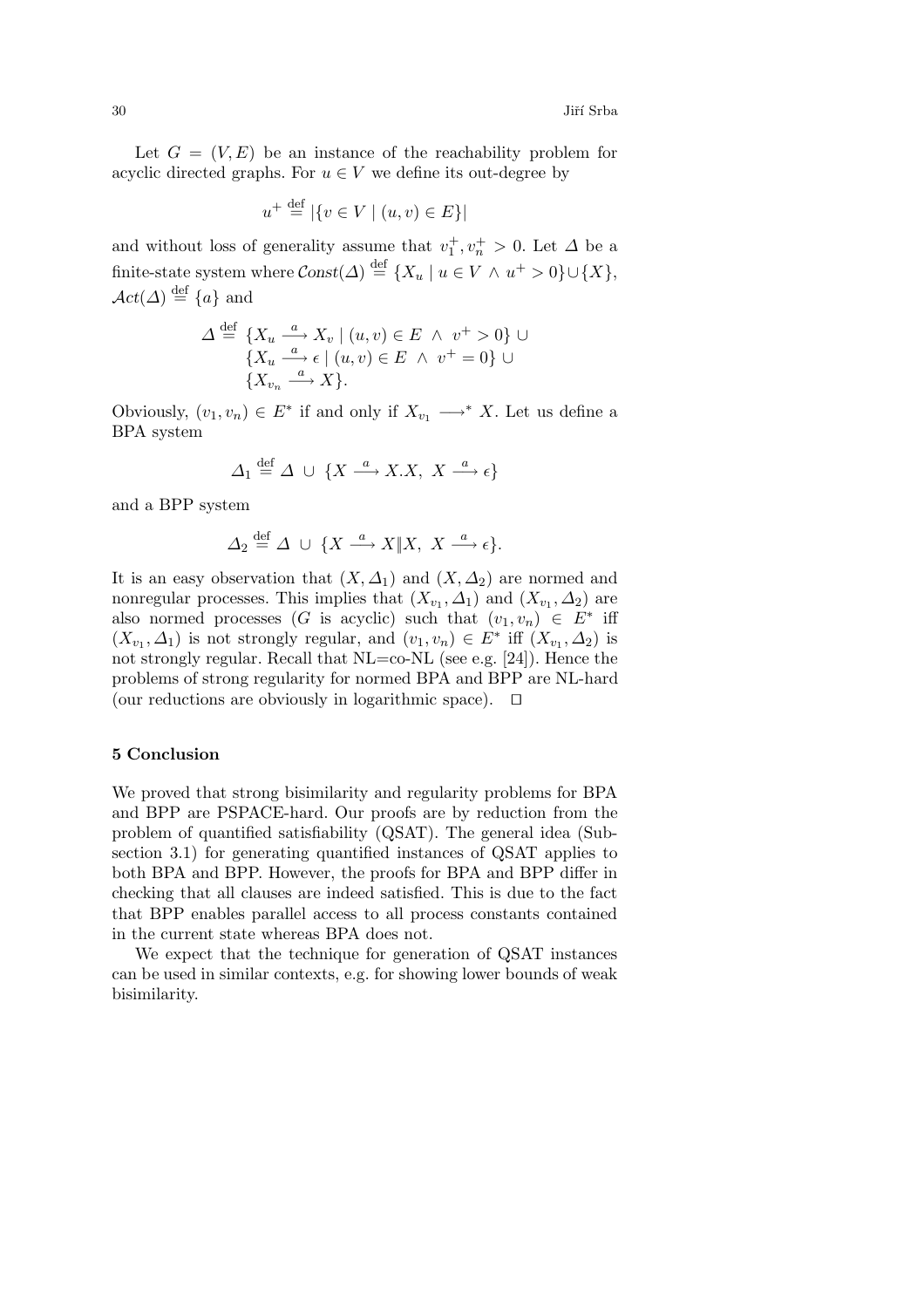Let  $G = (V, E)$  be an instance of the reachability problem for acyclic directed graphs. For  $u \in V$  we define its out-degree by

$$
u^+\stackrel{\rm def}{=}| \{v\in V\mid (u,v)\in E\}|
$$

and without loss of generality assume that  $v_1^+, v_n^+ > 0$ . Let  $\Delta$  be a finite-state system where  $\text{Const}(\Delta) \stackrel{\text{def}}{=} \{X_u \mid u \in V \land u^+ > 0\} \cup \{X\},\$  $\mathcal{A}ct(\Delta) \stackrel{\text{def}}{=} \{a\}$  and

$$
\Delta \stackrel{\text{def}}{=} \{ X_u \stackrel{a}{\longrightarrow} X_v \mid (u, v) \in E \ \land \ v^+ > 0 \} \cup \{ X_u \stackrel{a}{\longrightarrow} \epsilon \mid (u, v) \in E \ \land \ v^+ = 0 \} \cup \{ X_{v_n} \stackrel{a}{\longrightarrow} X \}.
$$

Obviously,  $(v_1, v_n) \in E^*$  if and only if  $X_{v_1} \longrightarrow^* X$ . Let us define a BPA system

$$
\varDelta_1\stackrel{\mathrm{def}}{=}\varDelta\;\cup\;\{X\stackrel{a}{\longrightarrow}X.X,\;X\stackrel{a}{\longrightarrow}\epsilon\}
$$

and a BPP system

$$
\Delta_2 \stackrel{\text{def}}{=} \Delta \cup \{ X \stackrel{a}{\longrightarrow} X \| X, X \stackrel{a}{\longrightarrow} \epsilon \}.
$$

It is an easy observation that  $(X, \Delta_1)$  and  $(X, \Delta_2)$  are normed and nonregular processes. This implies that  $(X_{v_1}, \Delta_1)$  and  $(X_{v_1}, \Delta_2)$  are also normed processes (G is acyclic) such that  $(v_1, v_n) \in E^*$  iff  $(X_{v_1}, \Delta_1)$  is not strongly regular, and  $(v_1, v_n) \in E^*$  iff  $(X_{v_1}, \Delta_2)$  is not strongly regular. Recall that NL=co-NL (see e.g. [24]). Hence the problems of strong regularity for normed BPA and BPP are NL-hard (our reductions are obviously in logarithmic space).  $\Box$ 

# **5 Conclusion**

We proved that strong bisimilarity and regularity problems for BPA and BPP are PSPACE-hard. Our proofs are by reduction from the problem of quantified satisfiability (QSAT). The general idea (Subsection 3.1) for generating quantified instances of QSAT applies to both BPA and BPP. However, the proofs for BPA and BPP differ in checking that all clauses are indeed satisfied. This is due to the fact that BPP enables parallel access to all process constants contained in the current state whereas BPA does not.

We expect that the technique for generation of QSAT instances can be used in similar contexts, e.g. for showing lower bounds of weak bisimilarity.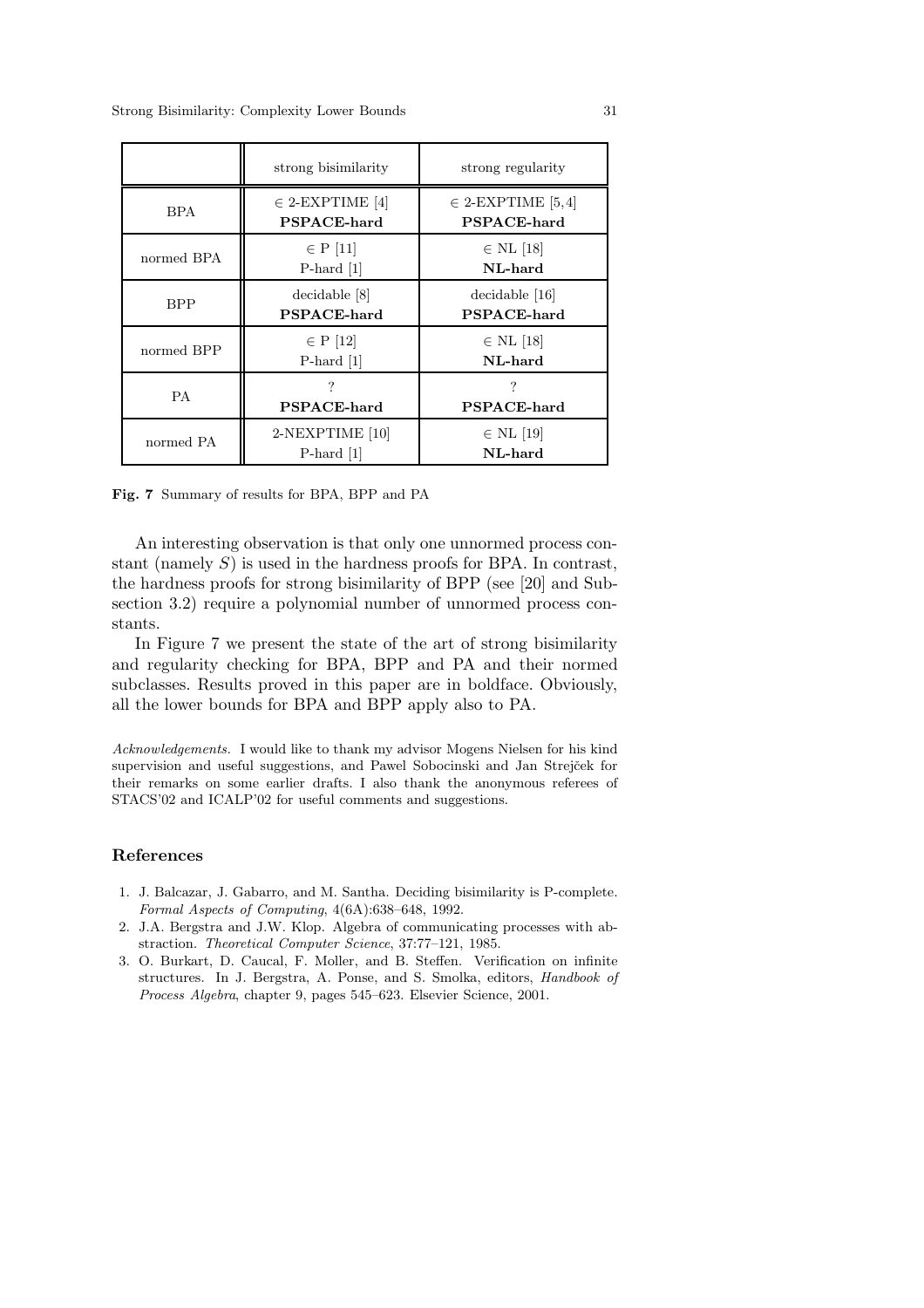|            | strong bisimilarity                       | strong regularity                           |
|------------|-------------------------------------------|---------------------------------------------|
| BPA.       | $\in$ 2-EXPTIME [4]<br><b>PSPACE-hard</b> | $\in$ 2-EXPTIME [5,4]<br><b>PSPACE-hard</b> |
| normed BPA | $\in$ P [11]<br>$P$ -hard [1]             | $\in$ NL [18]<br>NL-hard                    |
| <b>BPP</b> | decidable [8]<br>PSPACE-hard              | decidable [16]<br><b>PSPACE-hard</b>        |
| normed BPP | $\in$ P [12]<br>$P$ -hard [1]             | $\in$ NL [18]<br>NL-hard                    |
| <b>PA</b>  | 7<br><b>PSPACE-hard</b>                   | 7<br><b>PSPACE-hard</b>                     |
| normed PA  | 2-NEXPTIME [10]<br>P-hard $[1]$           | $\in$ NL [19]<br>NL-hard                    |

**Fig. 7** Summary of results for BPA, BPP and PA

An interesting observation is that only one unnormed process constant (namely  $S$ ) is used in the hardness proofs for BPA. In contrast, the hardness proofs for strong bisimilarity of BPP (see [20] and Subsection 3.2) require a polynomial number of unnormed process constants.

In Figure 7 we present the state of the art of strong bisimilarity and regularity checking for BPA, BPP and PA and their normed subclasses. Results proved in this paper are in boldface. Obviously, all the lower bounds for BPA and BPP apply also to PA.

Acknowledgements. I would like to thank my advisor Mogens Nielsen for his kind supervision and useful suggestions, and Pawel Sobocinski and Jan Strejček for their remarks on some earlier drafts. I also thank the anonymous referees of STACS'02 and ICALP'02 for useful comments and suggestions.

# **References**

- 1. J. Balcazar, J. Gabarro, and M. Santha. Deciding bisimilarity is P-complete. Formal Aspects of Computing, 4(6A):638–648, 1992.
- 2. J.A. Bergstra and J.W. Klop. Algebra of communicating processes with abstraction. Theoretical Computer Science, 37:77–121, 1985.
- 3. O. Burkart, D. Caucal, F. Moller, and B. Steffen. Verification on infinite structures. In J. Bergstra, A. Ponse, and S. Smolka, editors, Handbook of Process Algebra, chapter 9, pages 545–623. Elsevier Science, 2001.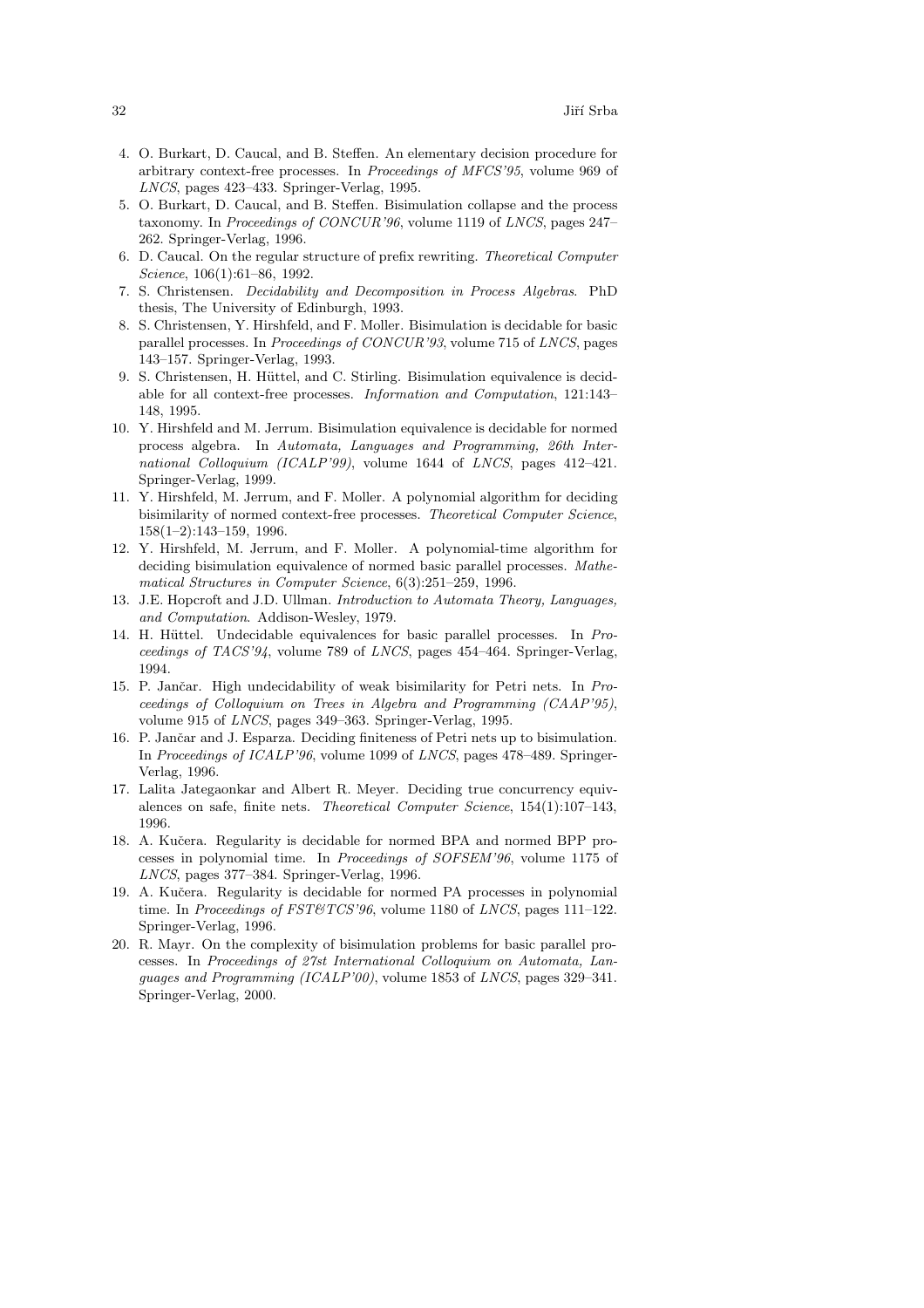- 4. O. Burkart, D. Caucal, and B. Steffen. An elementary decision procedure for arbitrary context-free processes. In Proceedings of MFCS'95, volume 969 of LNCS, pages 423–433. Springer-Verlag, 1995.
- 5. O. Burkart, D. Caucal, and B. Steffen. Bisimulation collapse and the process taxonomy. In Proceedings of CONCUR'96, volume 1119 of LNCS, pages 247– 262. Springer-Verlag, 1996.
- 6. D. Caucal. On the regular structure of prefix rewriting. Theoretical Computer Science, 106(1):61–86, 1992.
- 7. S. Christensen. Decidability and Decomposition in Process Algebras. PhD thesis, The University of Edinburgh, 1993.
- 8. S. Christensen, Y. Hirshfeld, and F. Moller. Bisimulation is decidable for basic parallel processes. In Proceedings of CONCUR'93, volume 715 of LNCS, pages 143–157. Springer-Verlag, 1993.
- 9. S. Christensen, H. Hüttel, and C. Stirling. Bisimulation equivalence is decidable for all context-free processes. Information and Computation, 121:143– 148, 1995.
- 10. Y. Hirshfeld and M. Jerrum. Bisimulation equivalence is decidable for normed process algebra. In Automata, Languages and Programming, 26th International Colloquium (ICALP'99), volume 1644 of LNCS, pages 412-421. Springer-Verlag, 1999.
- 11. Y. Hirshfeld, M. Jerrum, and F. Moller. A polynomial algorithm for deciding bisimilarity of normed context-free processes. Theoretical Computer Science, 158(1–2):143–159, 1996.
- 12. Y. Hirshfeld, M. Jerrum, and F. Moller. A polynomial-time algorithm for deciding bisimulation equivalence of normed basic parallel processes. Mathematical Structures in Computer Science, 6(3):251–259, 1996.
- 13. J.E. Hopcroft and J.D. Ullman. Introduction to Automata Theory, Languages, and Computation. Addison-Wesley, 1979.
- 14. H. Hüttel. Undecidable equivalences for basic parallel processes. In Proceedings of TACS'94, volume 789 of LNCS, pages 454–464. Springer-Verlag, 1994.
- 15. P. Jančar. High undecidability of weak bisimilarity for Petri nets. In Proceedings of Colloquium on Trees in Algebra and Programming (CAAP'95), volume 915 of LNCS, pages 349–363. Springer-Verlag, 1995.
- 16. P. Jančar and J. Esparza. Deciding finiteness of Petri nets up to bisimulation. In Proceedings of ICALP'96, volume 1099 of LNCS, pages 478–489. Springer-Verlag, 1996.
- 17. Lalita Jategaonkar and Albert R. Meyer. Deciding true concurrency equivalences on safe, finite nets. Theoretical Computer Science, 154(1):107–143, 1996.
- 18. A. Kučera. Regularity is decidable for normed BPA and normed BPP processes in polynomial time. In Proceedings of SOFSEM'96, volume 1175 of LNCS, pages 377–384. Springer-Verlag, 1996.
- 19. A. Kučera. Regularity is decidable for normed PA processes in polynomial time. In Proceedings of FST&TCS'96, volume 1180 of LNCS, pages 111-122. Springer-Verlag, 1996.
- 20. R. Mayr. On the complexity of bisimulation problems for basic parallel processes. In Proceedings of 27st International Colloquium on Automata, Languages and Programming (ICALP'00), volume 1853 of LNCS, pages 329–341. Springer-Verlag, 2000.